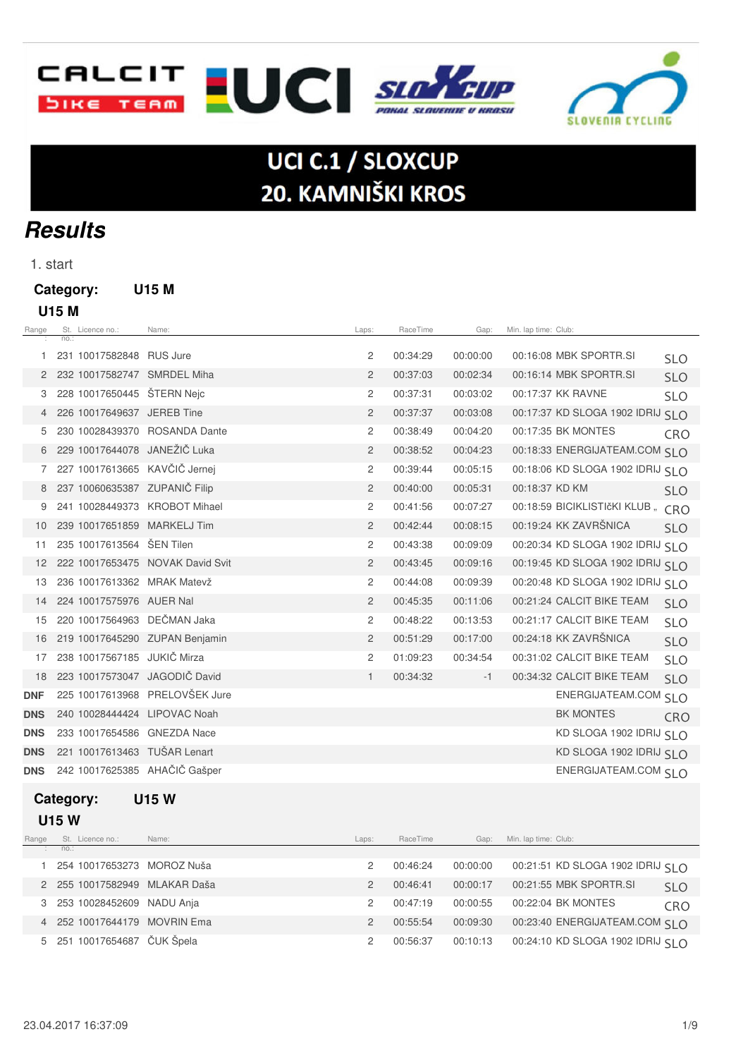



# UCI C.1 / SLOXCUP 20. KAMNIŠKI KROS

# **Results**

1. start

### **Category: U15 M**

| ×<br>۰.<br>۰.<br>× |
|--------------------|
|--------------------|

| Range      |      | St. Licence no.:            | Name:                            | Laps:          | RaceTime | Gap:     | Min. lap time: Club: |                                   |            |
|------------|------|-----------------------------|----------------------------------|----------------|----------|----------|----------------------|-----------------------------------|------------|
|            | no.: |                             |                                  |                |          |          |                      |                                   |            |
| 1          |      | 231 10017582848 RUS Jure    |                                  | 2              | 00:34:29 | 00:00:00 |                      | 00:16:08 MBK SPORTR.SI            | <b>SLO</b> |
| 2          |      |                             | 232 10017582747 SMRDEL Miha      | $\overline{2}$ | 00:37:03 | 00:02:34 |                      | 00:16:14 MBK SPORTR.SI            | <b>SLO</b> |
| 3          |      | 228 10017650445 ŠTERN Nejc  |                                  | 2              | 00:37:31 | 00:03:02 |                      | 00:17:37 KK RAVNE                 | <b>SLO</b> |
|            |      | 226 10017649637 JEREB Tine  |                                  | 2              | 00:37:37 | 00:03:08 |                      | 00:17:37 KD SLOGA 1902 IDRIJ SLO  |            |
| 5          |      |                             | 230 10028439370 ROSANDA Dante    | 2              | 00:38:49 | 00:04:20 |                      | 00:17:35 BK MONTES                | <b>CRO</b> |
| 6          |      |                             | 229 10017644078 JANEŽIČ Luka     | 2              | 00:38:52 | 00:04:23 |                      | 00:18:33 ENERGIJATEAM.COM SLO     |            |
| 7          |      |                             | 227 10017613665 KAVČIČ Jernej    | 2              | 00:39:44 | 00:05:15 |                      | 00:18:06 KD SLOGA 1902 IDRIJ SLO  |            |
| 8          |      |                             | 237 10060635387 ZUPANIČ Filip    | $\overline{2}$ | 00:40:00 | 00:05:31 | 00:18:37 KD KM       |                                   | <b>SLO</b> |
| 9          |      |                             | 241 10028449373 KROBOT Mihael    | 2              | 00:41:56 | 00:07:27 |                      | 00:18:59 BICIKLISTIčKI KLUB " CRO |            |
| 10         |      |                             | 239 10017651859 MARKELJ Tim      | $\overline{2}$ | 00:42:44 | 00:08:15 |                      | 00:19:24 KK ZAVRŠNICA             | <b>SLO</b> |
| 11         |      | 235 10017613564 ŠEN Tilen   |                                  | 2              | 00:43:38 | 00:09:09 |                      | 00:20:34 KD SLOGA 1902 IDRIJ SLO  |            |
| 12         |      |                             | 222 10017653475 NOVAK David Svit | $\overline{2}$ | 00:43:45 | 00:09:16 |                      | 00:19:45 KD SLOGA 1902 IDRIJ SLO  |            |
| 13         |      |                             | 236 10017613362 MRAK Matevž      | 2              | 00:44:08 | 00:09:39 |                      | 00:20:48 KD SLOGA 1902 IDRIJ SLO  |            |
| 14         |      | 224 10017575976 AUER Nal    |                                  | $\overline{2}$ | 00:45:35 | 00:11:06 |                      | 00:21:24 CALCIT BIKE TEAM         | <b>SLO</b> |
| 15         |      |                             | 220 10017564963 DEČMAN Jaka      | 2              | 00:48:22 | 00:13:53 |                      | 00:21:17 CALCIT BIKE TEAM         | <b>SLO</b> |
| 16         |      |                             | 219 10017645290 ZUPAN Benjamin   | $\overline{2}$ | 00:51:29 | 00:17:00 |                      | 00:24:18 KK ZAVRŠNICA             | <b>SLO</b> |
| 17         |      | 238 10017567185 JUKIČ Mirza |                                  | 2              | 01:09:23 | 00:34:54 |                      | 00:31:02 CALCIT BIKE TEAM         | <b>SLO</b> |
| 18         |      |                             | 223 10017573047 JAGODIČ David    | $\mathbf{1}$   | 00:34:32 | $-1$     |                      | 00:34:32 CALCIT BIKE TEAM         | <b>SLO</b> |
| <b>DNF</b> |      |                             | 225 10017613968 PRELOVŠEK Jure   |                |          |          |                      | ENERGIJATEAM.COM SLO              |            |
| <b>DNS</b> |      |                             | 240 10028444424 LIPOVAC Noah     |                |          |          |                      | <b>BK MONTES</b>                  | CRO        |
| <b>DNS</b> |      |                             | 233 10017654586 GNEZDA Nace      |                |          |          |                      | KD SLOGA 1902 IDRIJ SLO           |            |
| <b>DNS</b> |      |                             | 221 10017613463 TUŠAR Lenart     |                |          |          |                      | KD SLOGA 1902 IDRIJ SLO           |            |
| <b>DNS</b> |      |                             | 242 10017625385 AHAČIČ Gašper    |                |          |          |                      | ENERGIJATEAM.COM SLO              |            |
|            |      |                             |                                  |                |          |          |                      |                                   |            |

#### **Category: U15 W**

 **U15 W**

| Range | St. Licence no.:              | Name: | Laps:         | RaceTime | Gap:     | Min. Iap time: Club:              |            |
|-------|-------------------------------|-------|---------------|----------|----------|-----------------------------------|------------|
|       | $\therefore$ no.:             |       |               |          |          |                                   |            |
|       | 254 10017653273 MOROZ Nuša    |       |               | 00:46:24 | 00:00:00 | 00:21:51 KD SLOGA 1902 IDRIJ SI O |            |
|       | 2 255 10017582949 MLAKAR Daša |       | $\mathcal{P}$ | 00:46:41 | 00:00:17 | 00:21:55 MBK SPORTR.SI            | <b>SLO</b> |
|       | 3 253 10028452609 NADU Anja   |       | 2             | 00:47:19 | 00:00:55 | 00:22:04 BK MONTES                | <b>CRO</b> |
|       | 4 252 10017644179 MOVRIN Ema  |       | $\mathcal{P}$ | 00:55:54 | 00:09:30 | 00:23:40 ENERGIJATEAM.COM SI O    |            |
|       | 5 251 10017654687 ČUK Špela   |       |               | 00:56:37 | 00:10:13 | 00:24:10 KD SLOGA 1902 IDRIJ SI O |            |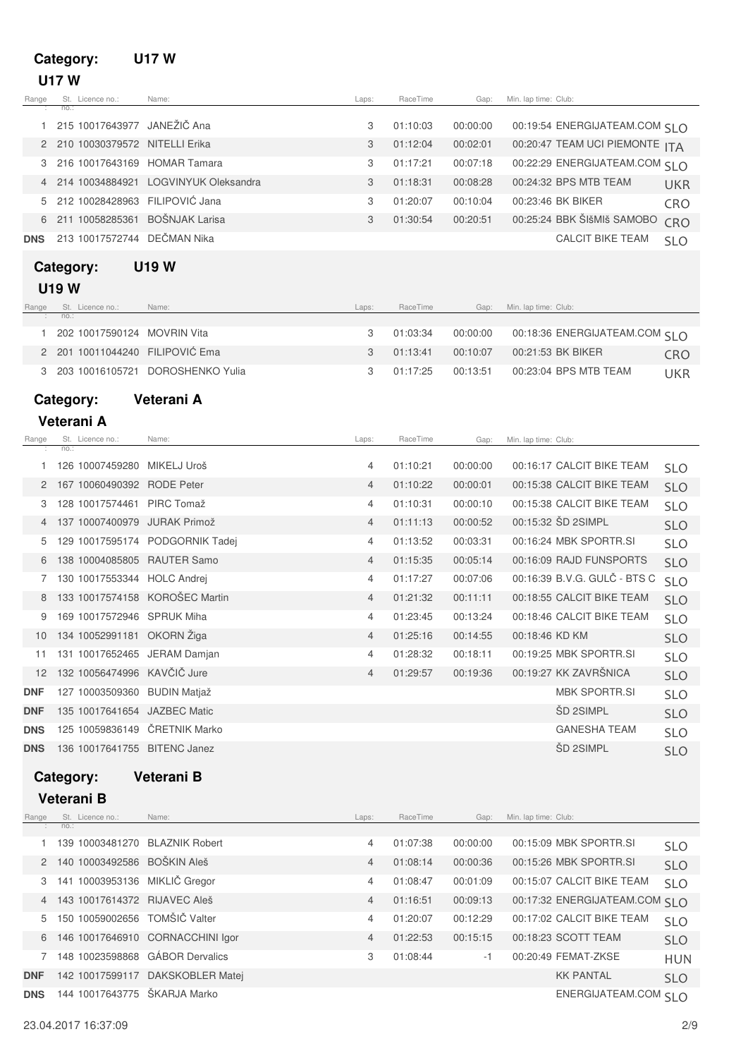### **Category: U17 W U17 W**

| Range      | no.:        | St. Licence no.:           | Name:                                                      | Laps:               | RaceTime             | Gap:                 | Min. lap time: Club:                                    |                          |
|------------|-------------|----------------------------|------------------------------------------------------------|---------------------|----------------------|----------------------|---------------------------------------------------------|--------------------------|
| 1          |             |                            | 215 10017643977 JANEŽIČ Ana                                | 3                   | 01:10:03             | 00:00:00             | 00:19:54 ENERGIJATEAM.COM SI O                          |                          |
| 2          |             |                            | 210 10030379572 NITELLI Erika                              | 3                   | 01:12:04             | 00:02:01             | 00:20:47 TEAM UCI PIEMONTE ITA                          |                          |
| З          |             |                            | 216 10017643169 HOMAR Tamara                               | 3                   | 01:17:21             | 00:07:18             | 00:22:29 ENERGIJATEAM.COM SLO                           |                          |
|            |             | 214 10034884921            | LOGVINYUK Oleksandra                                       | 3                   | 01:18:31             | 00:08:28             | 00:24:32 BPS MTB TEAM                                   | <b>UKR</b>               |
| 5          |             |                            | 212 10028428963 FILIPOVIĆ Jana                             | 3                   | 01:20:07             | 00:10:04             | 00:23:46 BK BIKER                                       | CRO                      |
|            |             | 211 10058285361            | <b>BOŠNJAK Larisa</b>                                      | 3                   | 01:30:54             | 00:20:51             | 00:25:24 BBK ŠIšMIš SAMOBO                              | CRO                      |
| <b>DNS</b> |             |                            | 213 10017572744 DEČMAN Nika                                |                     |                      |                      | <b>CALCIT BIKE TEAM</b>                                 | <b>SLO</b>               |
|            |             |                            | <b>U19 W</b>                                               |                     |                      |                      |                                                         |                          |
|            | Category:   |                            |                                                            |                     |                      |                      |                                                         |                          |
|            | <b>U19W</b> |                            |                                                            |                     |                      |                      |                                                         |                          |
| Range      | no.:        | St. Licence no.:           | Name:                                                      | Laps:               | RaceTime             | Gap:                 | Min. lap time: Club:                                    |                          |
| 1.         |             |                            | 202 10017590124 MOVRIN Vita                                | 3                   | 01:03:34             | 00:00:00             | 00:18:36 ENERGIJATEAM.COM SLO                           |                          |
| 2          |             |                            | 201 10011044240 FILIPOVIĆ Ema                              | 3                   | 01:13:41             | 00:10:07             | 00:21:53 BK BIKER                                       | <b>CRO</b>               |
| 3          |             |                            | 203 10016105721 DOROSHENKO Yulia                           | 3                   | 01:17:25             | 00:13:51             | 00:23:04 BPS MTB TEAM                                   | <b>UKR</b>               |
|            | Category:   |                            | Veterani A                                                 |                     |                      |                      |                                                         |                          |
|            | Veterani A  |                            |                                                            |                     |                      |                      |                                                         |                          |
| Range      |             | St. Licence no.:           | Name:                                                      | Laps:               | RaceTime             | Gap:                 | Min. lap time: Club:                                    |                          |
|            | no.:        |                            |                                                            |                     |                      |                      |                                                         |                          |
| 1          |             |                            | 126 10007459280 MIKELJ Uroš                                | 4                   | 01:10:21             | 00:00:00             | 00:16:17 CALCIT BIKE TEAM                               | <b>SLO</b>               |
| 2          |             | 167 10060490392 RODE Peter |                                                            | 4                   | 01:10:22             | 00:00:01             | 00:15:38 CALCIT BIKE TEAM                               | <b>SLO</b>               |
| 3          |             |                            | 128 10017574461 PIRC Tomaž                                 | 4                   | 01:10:31             | 00:00:10             | 00:15:38 CALCIT BIKE TEAM                               | <b>SLO</b>               |
|            |             |                            | 137 10007400979 JURAK Primož                               | $\overline{4}$      | 01:11:13             | 00:00:52             | 00:15:32 SD 2SIMPL                                      | <b>SLO</b>               |
| 5          |             |                            | 129 10017595174 PODGORNIK Tadej                            | 4                   | 01:13:52             | 00:03:31             | 00:16:24 MBK SPORTR.SI                                  | <b>SLO</b>               |
| 6          |             |                            | 138 10004085805 RAUTER Samo<br>130 10017553344 HOLC Andrej | $\overline{4}$      | 01:15:35             | 00:05:14<br>00:07:06 | 00:16:09 RAJD FUNSPORTS<br>00:16:39 B.V.G. GULČ - BTS C | <b>SLO</b>               |
| 7<br>8     |             |                            | 133 10017574158 KOROŠEC Martin                             | 4<br>$\overline{4}$ | 01:17:27<br>01:21:32 | 00:11:11             | 00:18:55 CALCIT BIKE TEAM                               | <b>SLO</b>               |
| 9          |             |                            | 169 10017572946 SPRUK Miha                                 | 4                   | 01:23:45             | 00:13:24             | 00:18:46 CALCIT BIKE TEAM                               | <b>SLO</b>               |
| 10         |             |                            | 134 10052991181 OKORN Žiga                                 | $\overline{4}$      | 01:25:16             | 00:14:55             | 00:18:46 KD KM                                          | <b>SLO</b>               |
| 11         |             |                            | 131 10017652465 JERAM Damjan                               | 4                   | 01:28:32             | 00:18:11             | 00:19:25 MBK SPORTR.SI                                  | <b>SLO</b><br><b>SLO</b> |
| 12         |             |                            | 132 10056474996 KAVČIČ Jure                                | $\overline{4}$      | 01:29:57             | 00:19:36             | 00:19:27 KK ZAVRŠNICA                                   | <b>SLO</b>               |
| DNF        |             |                            | 127 10003509360 BUDIN Matjaž                               |                     |                      |                      | <b>MBK SPORTR.SI</b>                                    | <b>SLO</b>               |
| DNF        |             |                            | 135 10017641654 JAZBEC Matic                               |                     |                      |                      | <b>ŠD 2SIMPL</b>                                        | <b>SLO</b>               |
| <b>DNS</b> |             |                            | 125 10059836149 ČRETNIK Marko                              |                     |                      |                      | <b>GANESHA TEAM</b>                                     | <b>SLO</b>               |
| <b>DNS</b> |             |                            | 136 10017641755 BITENC Janez                               |                     |                      |                      | <b>ŠD 2SIMPL</b>                                        | <b>SLO</b>               |
|            |             |                            |                                                            |                     |                      |                      |                                                         |                          |
|            | Category:   |                            | Veterani B                                                 |                     |                      |                      |                                                         |                          |
|            | Veterani B  |                            |                                                            |                     |                      |                      |                                                         |                          |
| Range      | no.:        | St. Licence no.:           | Name:                                                      | Laps:               | RaceTime             | Gap:                 | Min. lap time: Club:                                    |                          |
| 1          |             |                            | 139 10003481270 BLAZNIK Robert                             | 4                   | 01:07:38             | 00:00:00             | 00:15:09 MBK SPORTR.SI                                  | <b>SLO</b>               |
| 2          |             |                            | 140 10003492586 BOŠKIN Aleš                                | 4                   | 01:08:14             | 00:00:36             | 00:15:26 MBK SPORTR.SI                                  | <b>SLO</b>               |
| З          |             |                            | 141 10003953136 MIKLIČ Gregor                              | 4                   | 01:08:47             | 00:01:09             | 00:15:07 CALCIT BIKE TEAM                               | <b>SLO</b>               |
|            |             |                            | 143 10017614372 RIJAVEC Aleš                               | 4                   | 01:16:51             | 00:09:13             | 00:17:32 ENERGIJATEAM.COM SLO                           |                          |
| 5          |             |                            | 150 10059002656 TOMŠIČ Valter                              | 4                   | 01:20:07             | 00:12:29             | 00:17:02 CALCIT BIKE TEAM                               | <b>SLO</b>               |
|            |             |                            | 6 146 10017646910 CORNACCHINI Igor                         | 4                   | 01:22:53             | 00:15:15             | 00:18:23 SCOTT TEAM                                     | <b>SLO</b>               |
|            |             |                            | 7 148 10023598868 GÁBOR Dervalics                          | 3                   | 01:08:44             | $-1$                 | 00:20:49 FEMAT-ZKSE                                     | HUN                      |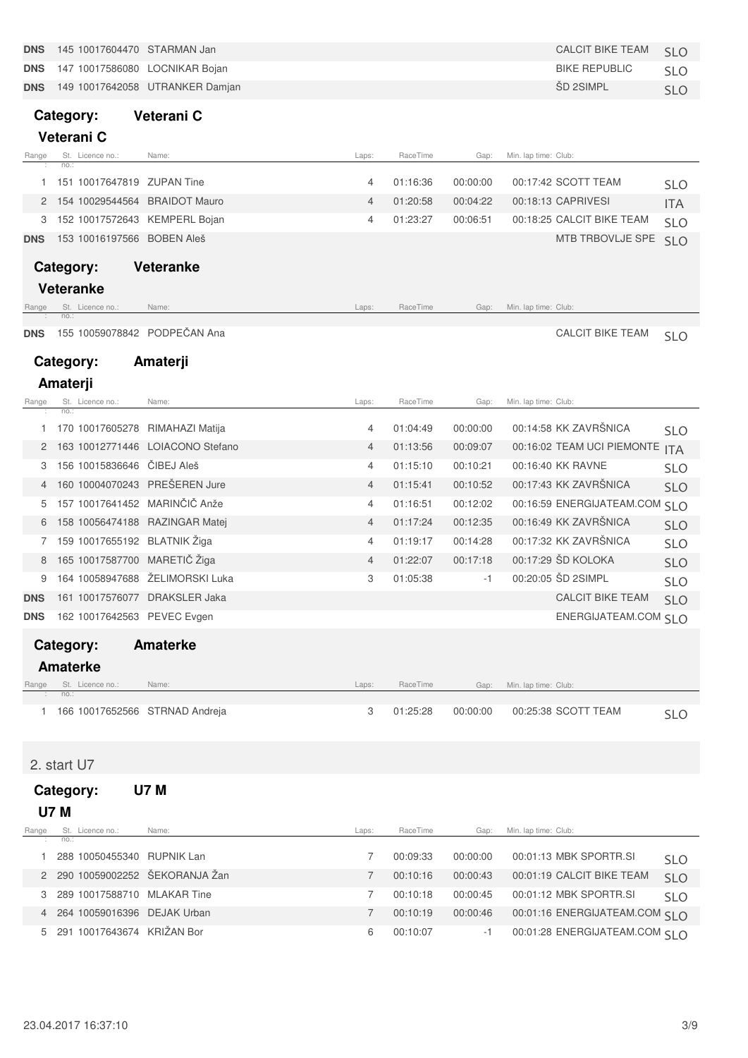| <b>DNS</b> | 145 10017604470 STARMAN Jan          |                                 |       |          |          | <b>CALCIT BIKE TEAM</b>       | <b>SLO</b> |
|------------|--------------------------------------|---------------------------------|-------|----------|----------|-------------------------------|------------|
| <b>DNS</b> | 147 10017586080 LOCNIKAR Bojan       |                                 |       |          |          | <b>BIKE REPUBLIC</b>          | <b>SLO</b> |
| <b>DNS</b> |                                      | 149 10017642058 UTRANKER Damjan |       |          |          | ŠD 2SIMPL                     | <b>SLO</b> |
|            | Category:                            | Veterani C                      |       |          |          |                               |            |
|            | Veterani C                           |                                 |       |          |          |                               |            |
| Range      | St. Licence no.:                     | Name:                           | Laps: | RaceTime | Gap:     | Min. lap time: Club:          |            |
|            | no.:                                 |                                 |       |          |          |                               |            |
| 1          | 151 10017647819 ZUPAN Tine           |                                 | 4     | 01:16:36 | 00:00:00 | 00:17:42 SCOTT TEAM           | <b>SLO</b> |
|            | 154 10029544564 BRAIDOT Mauro        |                                 | 4     | 01:20:58 | 00:04:22 | 00:18:13 CAPRIVESI            | <b>ITA</b> |
| 3          | 152 10017572643 KEMPERL Bojan        |                                 | 4     | 01:23:27 | 00:06:51 | 00:18:25 CALCIT BIKE TEAM     | <b>SLO</b> |
| <b>DNS</b> | 153 10016197566 BOBEN Aleš           |                                 |       |          |          | MTB TRBOVLJE SPE              | <b>SLO</b> |
|            | Category:                            | <b>Veteranke</b>                |       |          |          |                               |            |
|            | <b>Veteranke</b>                     |                                 |       |          |          |                               |            |
| Hange      | St. Licence no.:                     | Name:                           | Laps: | RaceTime | Gap:     | Min. lap time: Club:          |            |
|            | no.:<br>155 10059078842 PODPEČAN Ana |                                 |       |          |          | <b>CALCIT BIKE TEAM</b>       |            |
| <b>DNS</b> |                                      |                                 |       |          |          |                               | <b>SLO</b> |
|            | Category:                            | Amaterji                        |       |          |          |                               |            |
|            | Amaterji                             |                                 |       |          |          |                               |            |
| Range      | St. Licence no.:<br>no.:             | Name:                           | Laps: | RaceTime | Gap:     | Min. lap time: Club:          |            |
| 1          | 170 10017605278 RIMAHAZI Matija      |                                 | 4     | 01:04:49 | 00:00:00 | 00:14:58 KK ZAVRŠNICA         | <b>SLO</b> |
| 2          | 163 10012771446                      | <b>LOIACONO Stefano</b>         | 4     | 01:13:56 | 00:09:07 | 00:16:02 TEAM UCI PIEMONTE    | <b>ITA</b> |
| З          | 156 10015836646                      | CIBEJ Aleš                      | 4     | 01:15:10 | 00:10:21 | 00:16:40 KK RAVNE             | <b>SLO</b> |
| 4          | 160 10004070243 PREŠEREN Jure        |                                 | 4     | 01:15:41 | 00:10:52 | 00:17:43 KK ZAVRŠNICA         | <b>SLO</b> |
| 5          | 157 10017641452 MARINČIČ Anže        |                                 | 4     | 01:16:51 | 00:12:02 | 00:16:59 ENERGIJATEAM.COM SLO |            |
| 6          | 158 10056474188                      | <b>RAZINGAR Matej</b>           | 4     | 01:17:24 | 00:12:35 | 00:16:49 KK ZAVRŠNICA         | <b>SLO</b> |
| 7          | 159 10017655192 BLATNIK Žiga         |                                 | 4     | 01:19:17 | 00:14:28 | 00:17:32 KK ZAVRŠNICA         | <b>SLO</b> |
| 8          | 165 10017587700 MARETIČ Žiga         |                                 | 4     | 01:22:07 | 00:17:18 | 00:17:29 ŠD KOLOKA            | <b>SLO</b> |
| 9          | 164 10058947688                      | ŽELIMORSKI Luka                 | 3     | 01:05:38 | -1       | 00:20:05 ŠD 2SIMPL            | <b>SLO</b> |
| <b>DNS</b> | 161 10017576077 DRAKSLER Jaka        |                                 |       |          |          | <b>CALCIT BIKE TEAM</b>       | <b>SLO</b> |
| <b>DNS</b> | 162 10017642563 PEVEC Evgen          |                                 |       |          |          | ENERGIJATEAM.COM SLO          |            |
|            |                                      |                                 |       |          |          |                               |            |
|            | Category:                            | <b>Amaterke</b>                 |       |          |          |                               |            |
|            | <b>Amaterke</b>                      |                                 |       |          |          |                               |            |
| Range      | St. Licence no.:<br>no.:             | Name:                           | Laps: | RaceTime | Gap:     | Min. lap time: Club:          |            |
| 1.         | 166 10017652566 STRNAD Andreja       |                                 | 3     | 01:25:28 | 00:00:00 | 00:25:38 SCOTT TEAM           | <b>SLO</b> |
|            |                                      |                                 |       |          |          |                               |            |
|            |                                      |                                 |       |          |          |                               |            |
|            | 2. start U7                          |                                 |       |          |          |                               |            |
|            | Category:                            | <b>U7 M</b>                     |       |          |          |                               |            |
|            | <b>U7 M</b>                          |                                 |       |          |          |                               |            |
| Range      | St. Licence no.:<br>no.:             | Name:                           | Laps: | RaceTime | Gap:     | Min. lap time: Club:          |            |
| 1          | 288 10050455340 RUPNIK Lan           |                                 | 7     | 00:09:33 | 00:00:00 | 00:01:13 MBK SPORTR.SI        | <b>SLO</b> |
| 2          | 290 10059002252 ŠEKORANJA Žan        |                                 | 7     | 00:10:16 | 00:00:43 | 00:01:19 CALCIT BIKE TEAM     | <b>SLO</b> |
| З          | 289 10017588710 MLAKAR Tine          |                                 | 7     | 00:10:18 | 00:00:45 | 00:01:12 MBK SPORTR.SI        | <b>SLO</b> |
| 4          | 264 10059016396 DEJAK Urban          |                                 | 7     | 00:10:19 | 00:00:46 | 00:01:16 ENERGIJATEAM.COM SLO |            |
| 5          | 291 10017643674 KRIŽAN Bor           |                                 | 6     | 00:10:07 | $-1$     | 00:01:28 ENERGIJATEAM.COM SLO |            |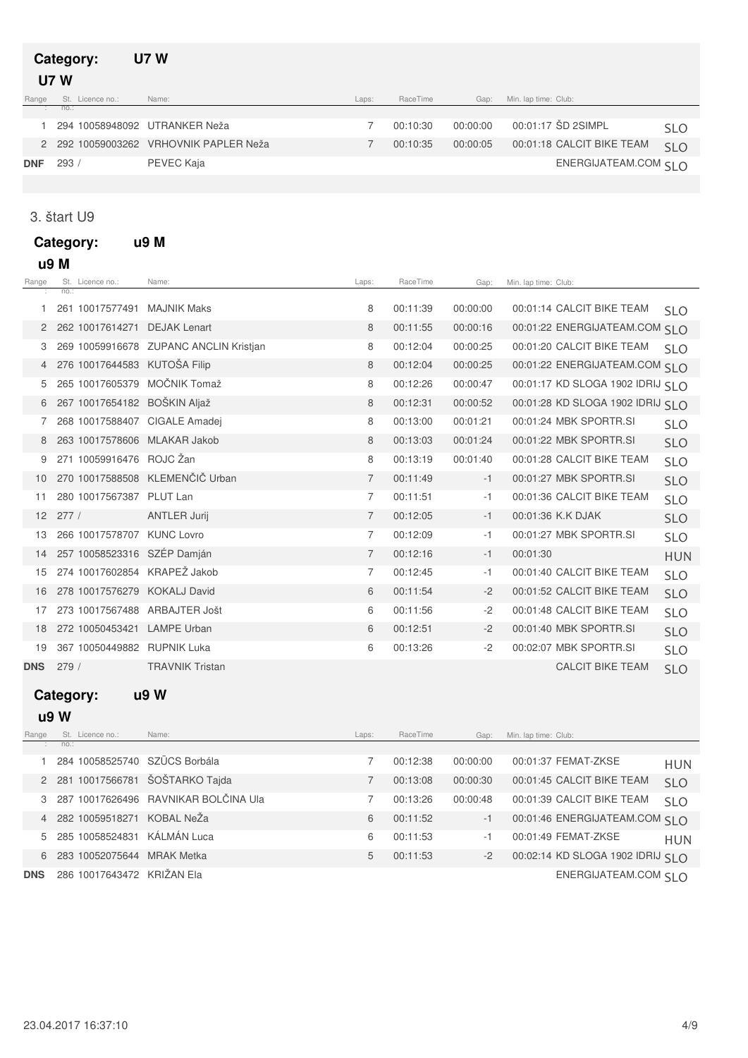#### **Category: U7 W** Range St. Licence no.: no.: Range St. Licence no.: Name: Name: Name: Club: Name: Club: Laps: RaceTime Gap: Min.lap time: Club: :  **U7 W** 1 294 10058948092 UTRANKER Neža 2010 10:10:30 00:10:30 00:00:00 00:01:17 ŠD 2SIMPL SLO 2 292 10059003262 VRHOVNIK PAPLER Neža 292 100:00:05 00:00:05 00:01:18 CALCIT BIKE TEAM SLO

**DNF** 293 / PEVEC Kaja **ENERGIJATEAM.COM** SLO

#### 3. štart U9

**Category: u9 M** Range St. Licence no.: Name: Name: Name: Name: Name: RaceTime Gap: Min.lap time: Club: no.: : Laps: RaceTime Gap: Min. lap time: Club:  **u9 M** 1 261 10017577491 MAJNIK Maks 200 200 200:11:39 00:00:00 00:01:14 CALCIT BIKE TEAM SLO 2 262 10017614271 DEJAK Lenart 262 00:11:55 00:01:22 ENERGIJATEAM.COM SLO 3 269 10059916678 ZUPANC ANCLIN Kristjan 26 20:12:04 00:01:20 00:01:20 OO:01:20 CALCIT BIKE TEAM SLO 4 KUTOŠA Filip 276 10017644583 8 00:12:04 00:01:22 00:00:25 ENERGIJATEAM.COM SLO 5 265 10017605379 MOČNIK Tomaž 8 00:12:26 00:00:47 00:01:17 KD SLOGA 1902 IDRIJ SLO 6 BOŠKIN Aljaž 267 10017654182 8 00:12:31 00:01:28 00:00:52 KD SLOGA 1902 IDRIJ SLO 7 268 10017588407 CIGALE Amadej 268 00:13:00 00:01:21 00:01:24 MBK SPORTR.SI SLO 8 263 10017578606 MLAKAR Jakob 26 8 00:13:03 00:01:24 00:01:22 MBK SPORTR.SI SLO 9 271 10059916476 ROJC Žan 271 10059916476 ROJC Žan 271 28 271 10059916476 ROJC Žan 10 270 10017588508 KLEMENČIČ Urban 7 00:11:49 -1 00:01:27 MBK SPORTR.SI SLO 11 280 10017567387 PLUT Lan 280 10017567387 PLUT Lan 280 100:01:36 CALCIT BIKE TEAM SLO 12 277 / ANTLER Jurij 27 00:12:05 -1 00:01:36 K.K DJAK SLO 13 KUNC Lovro 266 10017578707 7 00:12:09 00:01:27 -1 MBK SPORTR.SI SLO 14 257 10058523316 SZÉP Damján 257 100:12:16 -1 00:01:30 HUN 15 274 10017602854 KRAPEŽ Jakob 27 00:12:45 -1 00:01:40 CALCIT BIKE TEAM SLO 16 278 10017576279 KOKALJ David 278 10017576279 KOKALJ David

- 18 272 10050453421 LAMPE Urban 200 00:12:51 2 00:01:40 MBK SPORTR.SI SLO 19 367 10050449882 RUPNIK Luka 367 10050449882 RUPNIK Luka 367 100502.07 MBK SPORTR.SI **DNS** 279 / TRAVNIK Tristan CALCIT BIKE TEAM SLO
	-

### **Category: u9 W**

#### **u9 W**

| Range      | St. Licence no.:                 | Name:                                  | Laps: | RaceTime | Gap:     | Min. lap time: Club:              |            |
|------------|----------------------------------|----------------------------------------|-------|----------|----------|-----------------------------------|------------|
|            | no.:                             |                                        |       |          |          |                                   |            |
|            | 284 10058525740 SZÜCS Borbála    |                                        |       | 00:12:38 | 00:00:00 | 00:01:37 FEMAT-ZKSE               | <b>HUN</b> |
|            | 2 281 10017566781 ŠOŠTARKO Tajda |                                        |       | 00:13:08 | 00:00:30 | 00:01:45 CALCIT BIKE TEAM         | <b>SLO</b> |
|            |                                  | 3 287 10017626496 RAVNIKAR BOLČINA Ula |       | 00:13:26 | 00:00:48 | 00:01:39 CALCIT BIKE TEAM         | <b>SLO</b> |
|            | 4 282 10059518271 KOBAL NeŽa     |                                        | 6     | 00:11:52 | $-1$     | 00:01:46 ENERGIJATEAM.COM SI O    |            |
|            | 5 285 10058524831                | KÁLMÁN Luca                            | 6     | 00:11:53 | $-1$     | 00:01:49 FEMAT-ZKSE               | <b>HUN</b> |
| 6          | 283 10052075644                  | MRAK Metka                             | 5     | 00:11:53 | $-2$     | 00:02:14 KD SLOGA 1902 IDRIJ SI O |            |
| <b>DNS</b> | 286 10017643472 KRIŽAN Ela       |                                        |       |          |          | ENERGIJATEAM.COM SI O             |            |

17 ARBAJTER Jošt 273 10017567488 6 00:11:56 00:01:48 -2 CALCIT BIKE TEAM SLO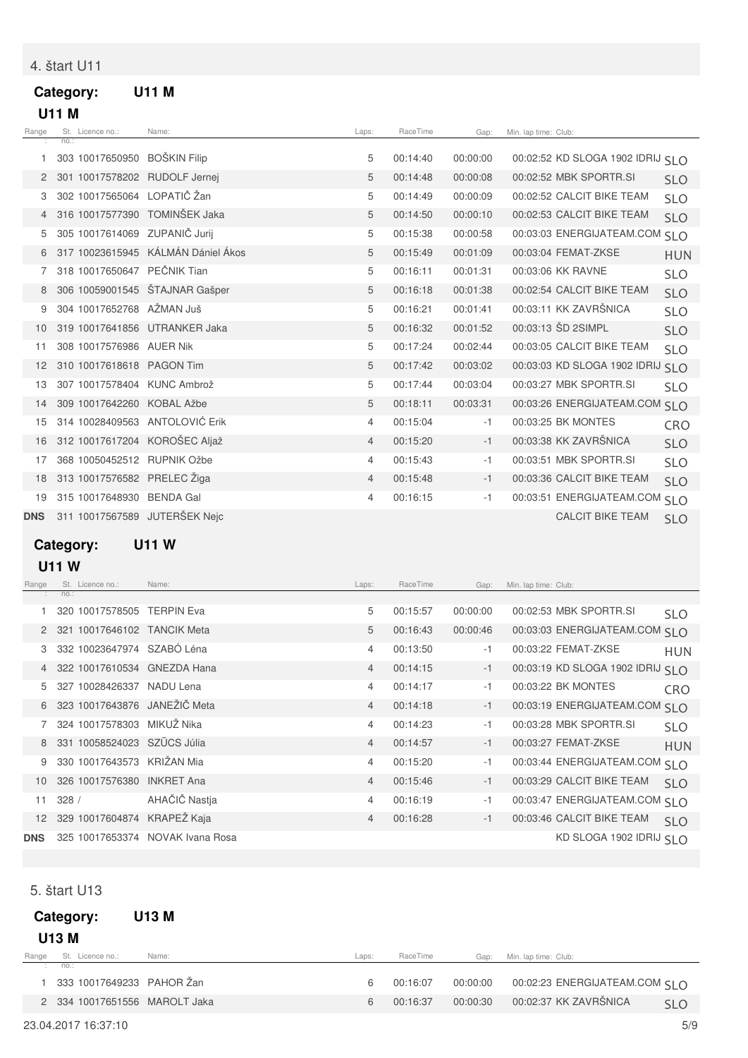## 4. štart U11

## **Category: U11 M U11 M**

| Range      |      | St. Licence no.:             | Name:                              | Laps:          | RaceTime | Gap:     | Min. lap time: Club: |                               |            |
|------------|------|------------------------------|------------------------------------|----------------|----------|----------|----------------------|-------------------------------|------------|
|            | no.: |                              |                                    |                |          |          |                      |                               |            |
|            |      | 303 10017650950 BOŠKIN Filip |                                    | 5              | 00:14:40 | 00:00:00 |                      | 00:02:52 KD SLOGA 1902 IDRIJ  | <b>SLO</b> |
|            |      |                              | 301 10017578202 RUDOLF Jernei      | 5              | 00:14:48 | 00:00:08 |                      | 00:02:52 MBK SPORTR.SI        | <b>SLO</b> |
| З          |      | 302 10017565064 LOPATIČ Žan  |                                    | 5              | 00:14:49 | 00:00:09 |                      | 00:02:52 CALCIT BIKE TEAM     | <b>SLO</b> |
|            |      |                              | 316 10017577390 TOMINŠEK Jaka      | 5              | 00:14:50 | 00:00:10 |                      | 00:02:53 CALCIT BIKE TEAM     | <b>SLO</b> |
| 5          |      |                              | 305 10017614069 ZUPANIČ Jurij      | 5              | 00:15:38 | 00:00:58 |                      | 00:03:03 ENERGIJATEAM.COM     | <b>SLO</b> |
|            |      |                              | 317 10023615945 KÁLMÁN Dániel Ákos | 5              | 00:15:49 | 00:01:09 |                      | 00:03:04 FEMAT-ZKSE           | <b>HUN</b> |
|            |      | 318 10017650647 PEČNIK Tian  |                                    | 5              | 00:16:11 | 00:01:31 |                      | 00:03:06 KK RAVNE             | <b>SLO</b> |
|            |      |                              | 306 10059001545 ŠTAJNAR Gašper     | 5              | 00:16:18 | 00:01:38 |                      | 00:02:54 CALCIT BIKE TEAM     | <b>SLO</b> |
| 9          |      | 304 10017652768 AŽMAN Juš    |                                    | 5              | 00:16:21 | 00:01:41 |                      | 00:03:11 KK ZAVRŠNICA         | <b>SLO</b> |
| 10         |      |                              | 319 10017641856 UTRANKER Jaka      | 5              | 00:16:32 | 00:01:52 |                      | 00:03:13 SD 2SIMPL            | <b>SLO</b> |
| 11         |      | 308 10017576986 AUER Nik     |                                    | 5              | 00:17:24 | 00:02:44 |                      | 00:03:05 CALCIT BIKE TEAM     | <b>SLO</b> |
| 12         |      | 310 10017618618 PAGON Tim    |                                    | 5              | 00:17:42 | 00:03:02 |                      | 00:03:03 KD SLOGA 1902 IDRIJ  | <b>SLO</b> |
| 13         |      |                              | 307 10017578404 KUNC Ambrož        | 5              | 00:17:44 | 00:03:04 |                      | 00:03:27 MBK SPORTR.SI        | <b>SLO</b> |
| 14         |      | 309 10017642260 KOBAL Ažbe   |                                    | 5              | 00:18:11 | 00:03:31 |                      | 00:03:26 ENERGIJATEAM.COM     | <b>SLO</b> |
| 15         |      |                              | 314 10028409563 ANTOLOVIĆ Erik     | 4              | 00:15:04 | $-1$     |                      | 00:03:25 BK MONTES            | CRO        |
| 16         |      |                              | 312 10017617204 KOROŠEC Aljaž      | $\overline{4}$ | 00:15:20 | $-1$     |                      | 00:03:38 KK ZAVRŠNICA         | <b>SLO</b> |
| 17         |      |                              | 368 10050452512 RUPNIK Ožbe        | $\overline{4}$ | 00:15:43 | $-1$     |                      | 00:03:51 MBK SPORTR.SI        | <b>SLO</b> |
| 18         |      | 313 10017576582 PRELEC Žiga  |                                    | $\overline{4}$ | 00:15:48 | $-1$     |                      | 00:03:36 CALCIT BIKE TEAM     | <b>SLO</b> |
| 19         |      | 315 10017648930              | <b>BENDA Gal</b>                   | 4              | 00:16:15 | $-1$     |                      | 00:03:51 ENERGIJATEAM.COM SLO |            |
| <b>DNS</b> |      |                              | 311 10017567589 JUTERŠEK Nejc      |                |          |          |                      | <b>CALCIT BIKE TEAM</b>       | <b>SLO</b> |
|            |      |                              |                                    |                |          |          |                      |                               |            |

**Category: U11 W**

 **U11 W**

| Range           |      | St. Licence no.:            | Name:                            | Laps:          | RaceTime | Gap:     | Min. lap time: Club:             |            |
|-----------------|------|-----------------------------|----------------------------------|----------------|----------|----------|----------------------------------|------------|
|                 | no.: |                             |                                  |                |          |          |                                  |            |
|                 |      | 320 10017578505 TERPIN Eva  |                                  | 5              | 00:15:57 | 00:00:00 | 00:02:53 MBK SPORTR.SI           | <b>SLO</b> |
|                 |      | 321 10017646102 TANCIK Meta |                                  | 5              | 00:16:43 | 00:00:46 | 00:03:03 ENERGIJATEAM.COM SLO    |            |
| 3               |      | 332 10023647974 SZABÓ Léna  |                                  | $\overline{4}$ | 00:13:50 | $-1$     | 00:03:22 FEMAT-ZKSE              | <b>HUN</b> |
|                 |      |                             | 322 10017610534 GNEZDA Hana      | 4              | 00:14:15 | $-1$     | 00:03:19 KD SLOGA 1902 IDRIJ SLO |            |
| 5.              |      | 327 10028426337             | NADU Lena                        | 4              | 00:14:17 | $-1$     | 00:03:22 BK MONTES               | CRO        |
| 6               |      |                             | 323 10017643876 JANEŽIČ Meta     | $\overline{4}$ | 00:14:18 | $-1$     | 00:03:19 ENERGIJATEAM.COM SLO    |            |
|                 |      | 324 10017578303             | MIKUŽ Nika                       | 4              | 00:14:23 | $-1$     | 00:03:28 MBK SPORTR.SI           | <b>SLO</b> |
| 8               |      | 331 10058524023 SZÜCS Júlia |                                  | $\overline{4}$ | 00:14:57 | $-1$     | 00:03:27 FEMAT-ZKSE              | <b>HUN</b> |
| 9               |      | 330 10017643573 KRIŽAN Mia  |                                  | 4              | 00:15:20 | $-1$     | 00:03:44 ENERGIJATEAM.COM SLO    |            |
| 10              |      | 326 10017576380             | <b>INKRET Ana</b>                | 4              | 00:15:46 | $-1$     | 00:03:29 CALCIT BIKE TEAM        | <b>SLO</b> |
| 11              | 328/ |                             | AHAČIČ Nastja                    | 4              | 00:16:19 | $-1$     | 00:03:47 ENERGIJATEAM.COM SLO    |            |
| 12 <sup>2</sup> |      |                             | 329 10017604874 KRAPEŽ Kaja      | 4              | 00:16:28 | $-1$     | 00:03:46 CALCIT BIKE TEAM        | <b>SLO</b> |
| <b>DNS</b>      |      |                             | 325 10017653374 NOVAK Ivana Rosa |                |          |          | KD SLOGA 1902 IDRIJ SI O         |            |

5. štart U13

|       | Category:<br><b>U13 M</b>     | U13 M |       |          |          |                                                  |            |
|-------|-------------------------------|-------|-------|----------|----------|--------------------------------------------------|------------|
| Range | St. Licence no.:              | Name: | Laps: | RaceTime | Gap:     | Min. Iap time: Club:                             |            |
|       | : no.:                        |       |       |          |          |                                                  |            |
|       | 333 10017649233 PAHOR Žan     |       | 6     | 00:16:07 | 00:00:00 | 00:02:23 ENERGIJATEAM.COM $\varsigma$   $\Omega$ |            |
|       | 2 334 10017651556 MAROLT Jaka |       | 6     | 00:16:37 | 00:00:30 | 00:02:37 KK ZAVRŠNICA                            | <b>SLO</b> |
|       |                               |       |       |          |          |                                                  |            |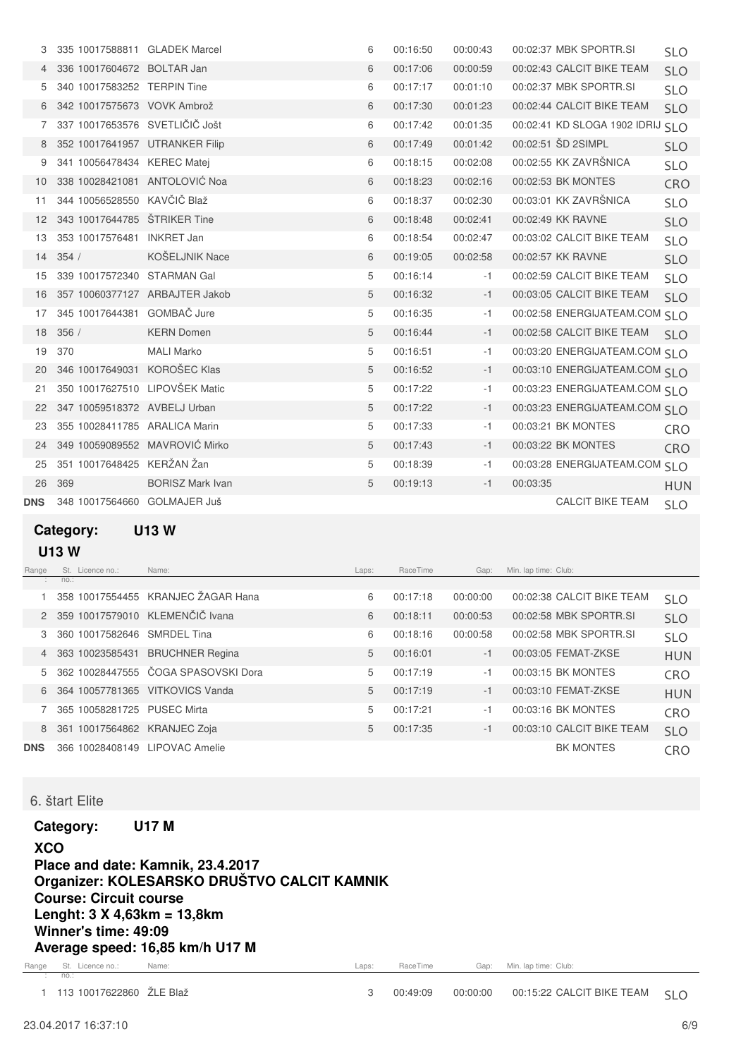|            | 335 10017588811 GLADEK Marcel  |                         | 6 | 00:16:50 | 00:00:43 |          | 00:02:37 MBK SPORTR.SI           | <b>SLO</b> |
|------------|--------------------------------|-------------------------|---|----------|----------|----------|----------------------------------|------------|
|            | 336 10017604672 BOLTAR Jan     |                         | 6 | 00:17:06 | 00:00:59 |          | 00:02:43 CALCIT BIKE TEAM        | <b>SLO</b> |
| 5          | 340 10017583252 TERPIN Tine    |                         | 6 | 00:17:17 | 00:01:10 |          | 00:02:37 MBK SPORTR.SI           | <b>SLO</b> |
| 6          | 342 10017575673 VOVK Ambrož    |                         | 6 | 00:17:30 | 00:01:23 |          | 00:02:44 CALCIT BIKE TEAM        | <b>SLO</b> |
| 7          | 337 10017653576 SVETLIČIČ Jošt |                         | 6 | 00:17:42 | 00:01:35 |          | 00:02:41 KD SLOGA 1902 IDRIJ SLO |            |
| 8          | 352 10017641957 UTRANKER Filip |                         | 6 | 00:17:49 | 00:01:42 |          | 00:02:51 SD 2SIMPL               | <b>SLO</b> |
| 9          | 341 10056478434 KEREC Matei    |                         | 6 | 00:18:15 | 00:02:08 |          | 00:02:55 KK ZAVRŠNICA            | <b>SLO</b> |
| 10         | 338 10028421081 ANTOLOVIĆ Noa  |                         | 6 | 00:18:23 | 00:02:16 |          | 00:02:53 BK MONTES               | CRO        |
| 11         | 344 10056528550 KAVČIČ Blaž    |                         | 6 | 00:18:37 | 00:02:30 |          | 00:03:01 KK ZAVRŠNICA            | <b>SLO</b> |
| 12         | 343 10017644785 ŠTRIKER Tine   |                         | 6 | 00:18:48 | 00:02:41 |          | 00:02:49 KK RAVNE                | <b>SLO</b> |
| 13         | 353 10017576481 INKRET Jan     |                         | 6 | 00:18:54 | 00:02:47 |          | 00:03:02 CALCIT BIKE TEAM        | <b>SLO</b> |
| 14         | 354/                           | KOŠELJNIK Nace          | 6 | 00:19:05 | 00:02:58 |          | 00:02:57 KK RAVNE                | <b>SLO</b> |
| 15         | 339 10017572340 STARMAN Gal    |                         | 5 | 00:16:14 | $-1$     |          | 00:02:59 CALCIT BIKE TEAM        | <b>SLO</b> |
| 16         | 357 10060377127 ARBAJTER Jakob |                         | 5 | 00:16:32 | $-1$     |          | 00:03:05 CALCIT BIKE TEAM        | <b>SLO</b> |
| 17         | 345 10017644381 GOMBAČ Jure    |                         | 5 | 00:16:35 | $-1$     |          | 00:02:58 ENERGIJATEAM.COM SLO    |            |
| 18         | 356/                           | <b>KERN Domen</b>       | 5 | 00:16:44 | $-1$     |          | 00:02:58 CALCIT BIKE TEAM        | <b>SLO</b> |
| 19         | 370                            | <b>MALI Marko</b>       | 5 | 00:16:51 | $-1$     |          | 00:03:20 ENERGIJATEAM.COM SLO    |            |
| 20         | 346 10017649031                | KOROŠEC Klas            | 5 | 00:16:52 | $-1$     |          | 00:03:10 ENERGIJATEAM.COM SI O   |            |
| 21         | 350 10017627510 LIPOVŠEK Matic |                         | 5 | 00:17:22 | $-1$     |          | 00:03:23 ENERGIJATEAM.COM SLO    |            |
| 22         | 347 10059518372 AVBELJ Urban   |                         | 5 | 00:17:22 | $-1$     |          | 00:03:23 ENERGIJATEAM.COM SLO    |            |
| 23         | 355 10028411785 ARALICA Marin  |                         | 5 | 00:17:33 | $-1$     |          | 00:03:21 BK MONTES               | CRO        |
| 24         | 349 10059089552 MAVROVIĆ Mirko |                         | 5 | 00:17:43 | $-1$     |          | 00:03:22 BK MONTES               | CRO        |
| 25         | 351 10017648425 KERŽAN Žan     |                         | 5 | 00:18:39 | $-1$     |          | 00:03:28 ENERGIJATEAM.COM SLO    |            |
| 26         | 369                            | <b>BORISZ Mark Ivan</b> | 5 | 00:19:13 | $-1$     | 00:03:35 |                                  | <b>HUN</b> |
| <b>DNS</b> | 348 10017564660 GOLMAJER Juš   |                         |   |          |          |          | <b>CALCIT BIKE TEAM</b>          | <b>SLO</b> |
|            |                                |                         |   |          |          |          |                                  |            |

**Category: U13 W**

#### **U13 W**

| Range      |      | St. Licence no.: | Name:                               | Laps: | RaceTime | Gap:     | Min. lap time: Club:      |            |
|------------|------|------------------|-------------------------------------|-------|----------|----------|---------------------------|------------|
|            | no.: |                  |                                     |       |          |          |                           |            |
|            |      |                  | 358 10017554455 KRANJEC ŽAGAR Hana  | 6     | 00:17:18 | 00:00:00 | 00:02:38 CALCIT BIKE TEAM | <b>SLO</b> |
|            |      |                  | 2 359 10017579010 KLEMENČIČ Ivana   | 6     | 00:18:11 | 00:00:53 | 00:02:58 MBK SPORTR.SI    | <b>SLO</b> |
| 3          |      | 360 10017582646  | <b>SMRDEL Tina</b>                  | 6     | 00:18:16 | 00:00:58 | 00:02:58 MBK SPORTR.SI    | <b>SLO</b> |
| 4          |      | 363 10023585431  | <b>BRUCHNER Regina</b>              | 5     | 00:16:01 | $-1$     | 00:03:05 FEMAT-ZKSE       | <b>HUN</b> |
| 5          |      |                  | 362 10028447555 ČOGA SPASOVSKI Dora | 5     | 00:17:19 | $-1$     | 00:03:15 BK MONTES        | <b>CRO</b> |
| 6          |      | 364 10057781365  | <b>VITKOVICS Vanda</b>              | 5     | 00:17:19 | $-1$     | 00:03:10 FEMAT-ZKSE       | <b>HUN</b> |
|            |      | 365 10058281725  | <b>PUSEC Mirta</b>                  | 5     | 00:17:21 | -1       | 00:03:16 BK MONTES        | <b>CRO</b> |
| 8          |      | 361 10017564862  | <b>KRANJEC Zoja</b>                 | 5     | 00:17:35 | $-1$     | 00:03:10 CALCIT BIKE TEAM | <b>SLO</b> |
| <b>DNS</b> |      | 366 10028408149  | LIPOVAC Amelie                      |       |          |          | <b>BK MONTES</b>          | <b>CRO</b> |

#### 6. štart Elite

**Category: U17 M**

Laps: RaceTime Gap: Min. lap time: Club: **XCO Place and date: Kamnik, 23.4.2017 Organizer: KOLESARSKO DRUŠTVO CALCIT KAMNIK Course: Circuit course Lenght: 3 X 4,63km = 13,8km Winner's time: 49:09 Average speed: 16,85 km/h U17 M**

Range St. Licence no.: Name: Name: Name: All Annual Comparence Name: Club: All Annual Comparence Name: Club: A no.: :

1 113 10017622860 ŽLE Blaž 10017622860 + 12 External CALCIT BIKE TEAM SLO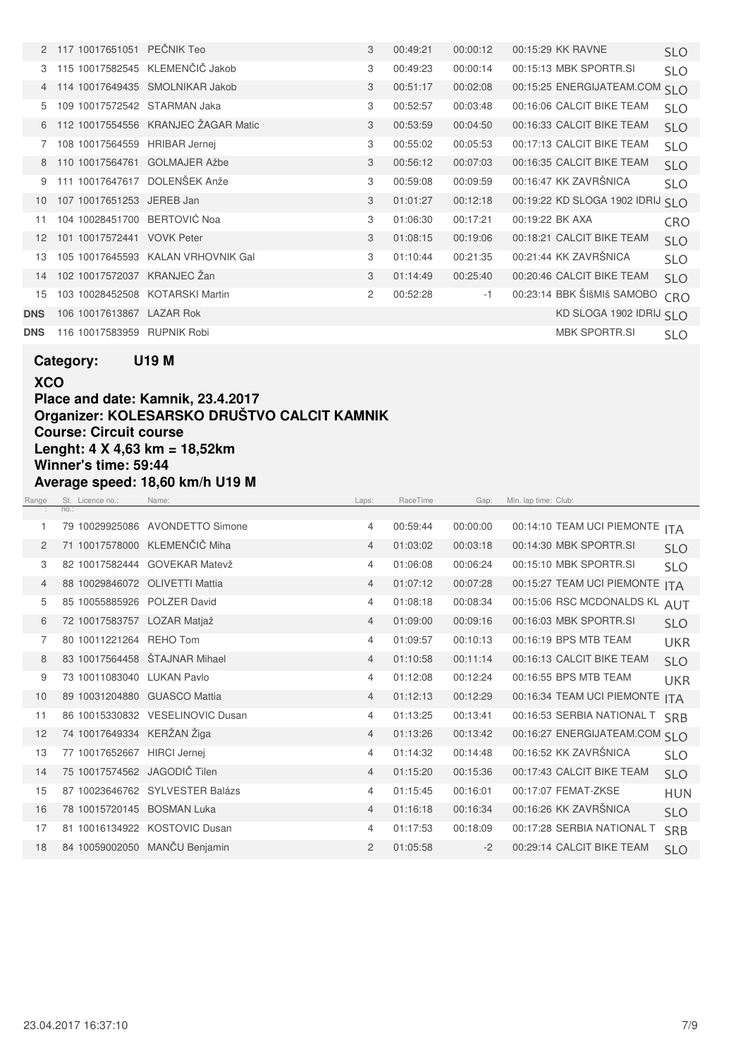|                 | 2 117 10017651051 PEČNIK Teo  |                                       | 3              | 00:49:21 | 00:00:12 | 00:15:29 KK RAVNE                | <b>SLO</b> |
|-----------------|-------------------------------|---------------------------------------|----------------|----------|----------|----------------------------------|------------|
|                 |                               | 115 10017582545 KLEMENČIČ Jakob       | 3              | 00:49:23 | 00:00:14 | 00:15:13 MBK SPORTR.SI           | <b>SLO</b> |
|                 |                               | 114 10017649435 SMOLNIKAR Jakob       | 3              | 00:51:17 | 00:02:08 | 00:15:25 ENERGIJATEAM.COM SLO    |            |
| 5.              | 109 10017572542 STARMAN Jaka  |                                       | 3              | 00:52:57 | 00:03:48 | 00:16:06 CALCIT BIKE TEAM        | <b>SLO</b> |
|                 |                               | 6 112 10017554556 KRANJEC ŽAGAR Matic | 3              | 00:53:59 | 00:04:50 | 00:16:33 CALCIT BIKE TEAM        | <b>SLO</b> |
| 7               | 108 10017564559 HRIBAR Jernej |                                       | 3              | 00:55:02 | 00:05:53 | 00:17:13 CALCIT BIKE TEAM        | <b>SLO</b> |
| 8               | 110 10017564761 GOLMAJER Ažbe |                                       | 3              | 00:56:12 | 00:07:03 | 00:16:35 CALCIT BIKE TEAM        | <b>SLO</b> |
|                 | 111 10017647617               | DOLENŠEK Anže                         | 3              | 00:59:08 | 00:09:59 | 00:16:47 KK ZAVRŠNICA            | <b>SLO</b> |
| 10              | 107 10017651253 JEREB Jan     |                                       | 3              | 01:01:27 | 00:12:18 | 00:19:22 KD SLOGA 1902 IDRIJ SLO |            |
| 11              | 104 10028451700 BERTOVIĆ Noa  |                                       | 3              | 01:06:30 | 00:17:21 | 00:19:22 BK AXA                  | CRO        |
| 12 <sup>°</sup> | 101 10017572441 VOVK Peter    |                                       | 3              | 01:08:15 | 00:19:06 | 00:18:21 CALCIT BIKE TEAM        | <b>SLO</b> |
| 13              |                               | 105 10017645593 KALAN VRHOVNIK Gal    | 3              | 01:10:44 | 00:21:35 | 00:21:44 KK ZAVRŠNICA            | <b>SLO</b> |
| 14              | 102 10017572037 KRANJEC Žan   |                                       | 3              | 01:14:49 | 00:25:40 | 00:20:46 CALCIT BIKE TEAM        | <b>SLO</b> |
| 15              |                               | 103 10028452508 KOTARSKI Martin       | $\overline{2}$ | 00:52:28 | $-1$     | 00:23:14 BBK ŠIšMIš SAMOBO       | CRO        |
| <b>DNS</b>      | 106 10017613867 LAZAR Rok     |                                       |                |          |          | KD SLOGA 1902 IDRIJ SLO          |            |
| <b>DNS</b>      | 116 10017583959               | <b>RUPNIK Robi</b>                    |                |          |          | <b>MBK SPORTR.SI</b>             | <b>SLO</b> |

**Category: U19 M**

**XCO Place and date: Kamnik, 23.4.2017 Organizer: KOLESARSKO DRUŠTVO CALCIT KAMNIK Course: Circuit course Lenght: 4 X 4,63 km = 18,52km Winner's time: 59:44 Average speed: 18,60 km/h U19 M**

| Range          | St. Licence no.:             | Name:                            | Laps:          | RaceTime | Gap:     | Min. lap time: Club:          |            |
|----------------|------------------------------|----------------------------------|----------------|----------|----------|-------------------------------|------------|
|                | no.:                         |                                  |                |          |          |                               |            |
| 1.             | 79 10029925086               | <b>AVONDETTO Simone</b>          | $\overline{4}$ | 00:59:44 | 00:00:00 | 00:14:10 TEAM UCI PIEMONTE    | <b>ITA</b> |
| $\overline{2}$ | 71 10017578000               | KLEMENČIČ Miha                   | 4              | 01:03:02 | 00:03:18 | 00:14:30 MBK SPORTR.SI        | <b>SLO</b> |
| 3              |                              | 82 10017582444 GOVEKAR Matevž    | 4              | 01:06:08 | 00:06:24 | 00:15:10 MBK SPORTR.SI        | <b>SLO</b> |
| 4              | 88 10029846072               | <b>OLIVETTI Mattia</b>           | $\overline{4}$ | 01:07:12 | 00:07:28 | 00:15:27 TEAM UCI PIEMONTE    | <b>ITA</b> |
| 5              | 85 10055885926 POLZER David  |                                  | $\overline{4}$ | 01:08:18 | 00:08:34 | 00:15:06 RSC MCDONALDS KL     | <b>AUT</b> |
| 6              | 72 10017583757 LOZAR Matjaž  |                                  | 4              | 01:09:00 | 00:09:16 | 00:16:03 MBK SPORTR.SI        | <b>SLO</b> |
| 7              | 80 10011221264 REHO Tom      |                                  | $\overline{4}$ | 01:09:57 | 00:10:13 | 00:16:19 BPS MTB TEAM         | <b>UKR</b> |
| 8              |                              | 83 10017564458 STAJNAR Mihael    | 4              | 01:10:58 | 00:11:14 | 00:16:13 CALCIT BIKE TEAM     | <b>SLO</b> |
| 9              | 73 10011083040               | <b>LUKAN Pavlo</b>               | $\overline{4}$ | 01:12:08 | 00:12:24 | 00:16:55 BPS MTB TEAM         | <b>UKR</b> |
| 10             | 89 10031204880 GUASCO Mattia |                                  | 4              | 01:12:13 | 00:12:29 | 00:16:34 TEAM UCI PIEMONTE    | <b>ITA</b> |
| 11             |                              | 86 10015330832 VESELINOVIC Dusan | 4              | 01:13:25 | 00:13:41 | 00:16:53 SERBIA NATIONAL T    | <b>SRB</b> |
| 12             | 74 10017649334 KERŽAN Žiga   |                                  | 4              | 01:13:26 | 00:13:42 | 00:16:27 ENERGIJATEAM.COM SLO |            |
| 13             | 77 10017652667 HIRCI Jernej  |                                  | 4              | 01:14:32 | 00:14:48 | 00:16:52 KK ZAVRŠNICA         | <b>SLO</b> |
| 14             | 75 10017574562 JAGODIČ Tilen |                                  | $\overline{4}$ | 01:15:20 | 00:15:36 | 00:17:43 CALCIT BIKE TEAM     | <b>SLO</b> |
| 15             |                              | 87 10023646762 SYLVESTER Balázs  | $\overline{4}$ | 01:15:45 | 00:16:01 | 00:17:07 FEMAT-ZKSE           | <b>HUN</b> |
| 16             | 78 10015720145 BOSMAN Luka   |                                  | $\overline{4}$ | 01:16:18 | 00:16:34 | 00:16:26 KK ZAVRŠNICA         | <b>SLO</b> |
| 17             |                              | 81 10016134922 KOSTOVIC Dusan    | 4              | 01:17:53 | 00:18:09 | 00:17:28 SERBIA NATIONAL T    | <b>SRB</b> |
| 18             |                              | 84 10059002050 MANČU Benjamin    | $\overline{2}$ | 01:05:58 | $-2$     | 00:29:14 CALCIT BIKE TEAM     | <b>SLO</b> |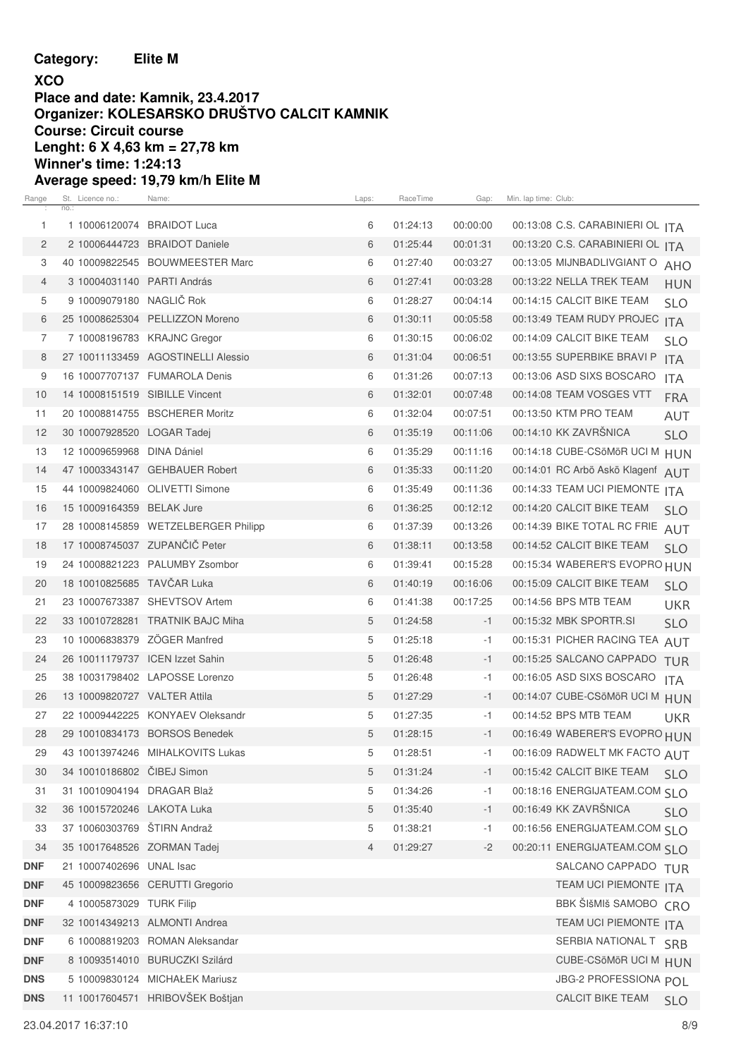**Category: Elite M**

#### **XCO Place and date: Kamnik, 23.4.2017 Organizer: KOLESARSKO DRUŠTVO CALCIT KAMNIK Course: Circuit course Lenght: 6 X 4,63 km = 27,78 km Winner's time: 1:24:13 Average speed: 19,79 km/h Elite M**

| Range          | St. Licence no.:<br>no.:        | Name:                               | Laps:       | RaceTime | Gap:     | Min. lap time: Club:                     |  |
|----------------|---------------------------------|-------------------------------------|-------------|----------|----------|------------------------------------------|--|
| $\mathbf{1}$   | 1 10006120074 BRAIDOT Luca      |                                     | 6           | 01:24:13 | 00:00:00 | 00:13:08 C.S. CARABINIERI OL ITA         |  |
| $\overline{2}$ |                                 | 2 10006444723 BRAIDOT Daniele       | 6           | 01:25:44 | 00:01:31 | 00:13:20 C.S. CARABINIERI OL ITA         |  |
| 3              |                                 | 40 10009822545 BOUWMEESTER Marc     | 6           | 01:27:40 | 00:03:27 | 00:13:05 MIJNBADLIVGIANT O<br>AHO        |  |
| 4              | 3 10004031140 PARTI András      |                                     | 6           | 01:27:41 | 00:03:28 | 00:13:22 NELLA TREK TEAM<br><b>HUN</b>   |  |
| 5              | 9 10009079180 NAGLIC Rok        |                                     | 6           | 01:28:27 | 00:04:14 | 00:14:15 CALCIT BIKE TEAM<br><b>SLO</b>  |  |
| 6              |                                 | 25 10008625304 PELLIZZON Moreno     | 6           | 01:30:11 | 00:05:58 | 00:13:49 TEAM RUDY PROJEC ITA            |  |
| 7              |                                 | 7 10008196783 KRAJNC Gregor         | 6           | 01:30:15 | 00:06:02 | 00:14:09 CALCIT BIKE TEAM<br><b>SLO</b>  |  |
| 8              |                                 | 27 10011133459 AGOSTINELLI Alessio  | 6           | 01:31:04 | 00:06:51 | 00:13:55 SUPERBIKE BRAVI P<br><b>ITA</b> |  |
| 9              |                                 | 16 10007707137 FUMAROLA Denis       | 6           | 01:31:26 | 00:07:13 | 00:13:06 ASD SIXS BOSCARO<br><b>ITA</b>  |  |
| 10             | 14 10008151519 SIBILLE Vincent  |                                     | 6           | 01:32:01 | 00:07:48 | 00:14:08 TEAM VOSGES VTT<br><b>FRA</b>   |  |
| 11             |                                 | 20 10008814755 BSCHERER Moritz      | 6           | 01:32:04 | 00:07:51 | 00:13:50 KTM PRO TEAM<br><b>AUT</b>      |  |
| 12             | 30 10007928520 LOGAR Tadej      |                                     | 6           | 01:35:19 | 00:11:06 | 00:14:10 KK ZAVRSNICA<br><b>SLO</b>      |  |
| 13             | 12 10009659968 DINA Dániel      |                                     | 6           | 01:35:29 | 00:11:16 | 00:14:18 CUBE-CSöMöR UCI M HUN           |  |
| 14             |                                 | 47 10003343147 GEHBAUER Robert      | 6           | 01:35:33 | 00:11:20 | 00:14:01 RC Arbö Askö Klagenf AUT        |  |
| 15             |                                 | 44 10009824060 OLIVETTI Simone      | 6           | 01:35:49 | 00:11:36 | 00:14:33 TEAM UCI PIEMONTE ITA           |  |
| 16             | 15 10009164359 BELAK Jure       |                                     | 6           | 01:36:25 | 00:12:12 | 00:14:20 CALCIT BIKE TEAM<br><b>SLO</b>  |  |
| 17             |                                 | 28 10008145859 WETZELBERGER Philipp | 6           | 01:37:39 | 00:13:26 | 00:14:39 BIKE TOTAL RC FRIE AUT          |  |
| 18             |                                 | 17 10008745037 ZUPANČIČ Peter       | 6           | 01:38:11 | 00:13:58 | 00:14:52 CALCIT BIKE TEAM<br><b>SLO</b>  |  |
| 19             |                                 | 24 10008821223 PALUMBY Zsombor      | 6           | 01:39:41 | 00:15:28 | 00:15:34 WABERER'S EVOPRO HUN            |  |
| 20             | 18 10010825685 TAVCAR Luka      |                                     | 6           | 01:40:19 | 00:16:06 | 00:15:09 CALCIT BIKE TEAM<br><b>SLO</b>  |  |
| 21             |                                 | 23 10007673387 SHEVTSOV Artem       | 6           | 01:41:38 | 00:17:25 | 00:14:56 BPS MTB TEAM<br><b>UKR</b>      |  |
| 22             |                                 | 33 10010728281 TRATNIK BAJC Miha    | 5           | 01:24:58 | $-1$     | 00:15:32 MBK SPORTR.SI<br><b>SLO</b>     |  |
| 23             | 10 10006838379 ZÖGER Manfred    |                                     | 5           | 01:25:18 | $-1$     | 00:15:31 PICHER RACING TEA AUT           |  |
| 24             | 26 10011179737 ICEN Izzet Sahin |                                     | 5           | 01:26:48 | $-1$     | 00:15:25 SALCANO CAPPADO<br><b>TUR</b>   |  |
| 25             |                                 | 38 10031798402 LAPOSSE Lorenzo      | 5           | 01:26:48 | $-1$     | 00:16:05 ASD SIXS BOSCARO<br>ITA.        |  |
| 26             | 13 10009820727 VALTER Attila    |                                     | 5           | 01:27:29 | $-1$     | 00:14:07 CUBE-CSöMöR UCI M HUN           |  |
| 27             |                                 | 22 10009442225 KONYAEV Oleksandr    | 5           | 01:27:35 | $-1$     | 00:14:52 BPS MTB TEAM<br>UKR             |  |
| 28             |                                 | 29 10010834173 BORSOS Benedek       | 5           | 01:28:15 | $-1$     | 00:16:49 WABERER'S EVOPRO HUN            |  |
| 29             |                                 | 43 10013974246 MIHALKOVITS Lukas    | $\,$ 5 $\,$ | 01:28:51 | $-1$     | 00:16:09 RADWELT MK FACTO AUT            |  |
| 30             | 34 10010186802 CIBEJ Simon      |                                     | 5           | 01:31:24 | $-1$     | 00:15:42 CALCIT BIKE TEAM<br><b>SLO</b>  |  |
| 31             | 31 10010904194 DRAGAR Blaž      |                                     | 5           | 01:34:26 | $-1$     | 00:18:16 ENERGIJATEAM.COM SLO            |  |
| 32             | 36 10015720246 LAKOTA Luka      |                                     | 5           | 01:35:40 | $-1$     | 00:16:49 KK ZAVRŠNICA<br><b>SLO</b>      |  |
| 33             | 37 10060303769 ŠTIRN Andraž     |                                     | 5           | 01:38:21 | -1       | 00:16:56 ENERGIJATEAM.COM SLO            |  |
| 34             | 35 10017648526 ZORMAN Tadej     |                                     | 4           | 01:29:27 | $-2$     | 00:20:11 ENERGIJATEAM.COM SI O           |  |
| <b>DNF</b>     | 21 10007402696 UNAL Isac        |                                     |             |          |          | SALCANO CAPPADO TUR                      |  |
| <b>DNF</b>     |                                 | 45 10009823656 CERUTTI Gregorio     |             |          |          | TEAM UCI PIEMONTE ITA                    |  |
| <b>DNF</b>     | 4 10005873029 TURK Filip        |                                     |             |          |          | BBK ŠIŠMIŠ SAMOBO CRO                    |  |
| <b>DNF</b>     |                                 | 32 10014349213 ALMONTI Andrea       |             |          |          | TEAM UCI PIEMONTE ITA                    |  |
| <b>DNF</b>     |                                 | 6 10008819203 ROMAN Aleksandar      |             |          |          | SERBIA NATIONAL T SRB                    |  |
| <b>DNF</b>     |                                 | 8 10093514010 BURUCZKI Szilárd      |             |          |          | CUBE-CSÖMÖR UCI M HUN                    |  |
| <b>DNS</b>     |                                 | 5 10009830124 MICHAŁEK Mariusz      |             |          |          | JBG-2 PROFESSIONA POL                    |  |
| <b>DNS</b>     |                                 | 11 10017604571 HRIBOVŠEK Boštjan    |             |          |          | <b>CALCIT BIKE TEAM</b><br><b>SLO</b>    |  |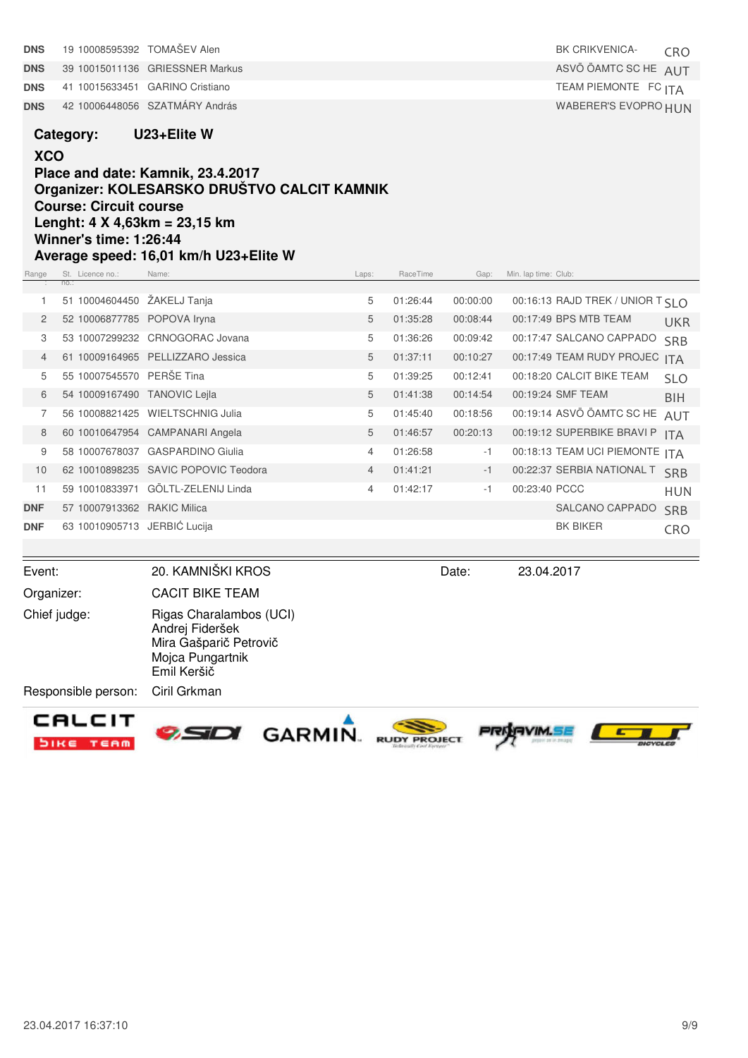| <b>DNS</b>     | 19 10008595392 TOMAŠEV Alen                                            |                                                                                                         |                |          |          | <b>BK CRIKVENICA-</b>            | <b>CRO</b>               |
|----------------|------------------------------------------------------------------------|---------------------------------------------------------------------------------------------------------|----------------|----------|----------|----------------------------------|--------------------------|
| <b>DNS</b>     |                                                                        | 39 10015011136 GRIESSNER Markus                                                                         |                |          |          | ASVÖ ÖAMTC SC HE AUT             |                          |
| <b>DNS</b>     |                                                                        | 41 10015633451 GARINO Cristiano                                                                         |                |          |          | TEAM PIEMONTE FC ITA             |                          |
| <b>DNS</b>     |                                                                        | 42 10006448056 SZATMÁRY András                                                                          |                |          |          | WABERER'S EVOPRO HUN             |                          |
|                | Category:                                                              | U23+Elite W                                                                                             |                |          |          |                                  |                          |
| <b>XCO</b>     |                                                                        |                                                                                                         |                |          |          |                                  |                          |
|                |                                                                        | Place and date: Kamnik, 23.4.2017                                                                       |                |          |          |                                  |                          |
|                |                                                                        | Organizer: KOLESARSKO DRUŠTVO CALCIT KAMNIK                                                             |                |          |          |                                  |                          |
|                | <b>Course: Circuit course</b>                                          |                                                                                                         |                |          |          |                                  |                          |
|                | Lenght: $4 \times 4,63$ km = 23,15 km<br><b>Winner's time: 1:26:44</b> |                                                                                                         |                |          |          |                                  |                          |
|                |                                                                        | Average speed: 16,01 km/h U23+Elite W                                                                   |                |          |          |                                  |                          |
| Range          | St. Licence no.:                                                       | Name:                                                                                                   | Laps:          | RaceTime | Gap:     | Min. lap time: Club:             |                          |
| 1              | no.:<br>51 10004604450 ŽAKELJ Tanja                                    |                                                                                                         | 5              | 01:26:44 | 00:00:00 | 00:16:13 RAJD TREK / UNIOR T SLO |                          |
| 2              | 52 10006877785 POPOVA Iryna                                            |                                                                                                         | 5              | 01:35:28 | 00:08:44 | 00:17:49 BPS MTB TEAM            |                          |
| 3              |                                                                        | 53 10007299232 CRNOGORAC Jovana                                                                         | 5              | 01:36:26 | 00:09:42 | 00:17:47 SALCANO CAPPADO         | <b>UKR</b><br><b>SRB</b> |
| $\overline{4}$ |                                                                        | 61 10009164965 PELLIZZARO Jessica                                                                       | 5              | 01:37:11 | 00:10:27 | 00:17:49 TEAM RUDY PROJEC ITA    |                          |
| 5              | 55 10007545570 PERŠE Tina                                              |                                                                                                         | 5              | 01:39:25 | 00:12:41 | 00:18:20 CALCIT BIKE TEAM        | <b>SLO</b>               |
| 6              | 54 10009167490 TANOVIC Lejla                                           |                                                                                                         | 5              | 01:41:38 | 00:14:54 | 00:19:24 SMF TEAM                | <b>BIH</b>               |
| 7              |                                                                        | 56 10008821425 WIELTSCHNIG Julia                                                                        | 5              | 01:45:40 | 00:18:56 | 00:19:14 ASVÖ ÖAMTC SC HE        | <b>AUT</b>               |
| 8              |                                                                        | 60 10010647954 CAMPANARI Angela                                                                         | 5              | 01:46:57 | 00:20:13 | 00:19:12 SUPERBIKE BRAVI P       | <b>ITA</b>               |
| 9              |                                                                        | 58 10007678037 GASPARDINO Giulia                                                                        | 4              | 01:26:58 | $-1$     | 00:18:13 TEAM UCI PIEMONTE ITA   |                          |
| 10             |                                                                        | 62 10010898235 SAVIC POPOVIC Teodora                                                                    | $\overline{4}$ | 01:41:21 | $-1$     | 00:22:37 SERBIA NATIONAL T       | <b>SRB</b>               |
| 11             |                                                                        | 59 10010833971 GÖLTL-ZELENIJ Linda                                                                      | 4              | 01:42:17 | $-1$     | 00:23:40 PCCC                    | <b>HUN</b>               |
| <b>DNF</b>     | 57 10007913362 RAKIC Milica                                            |                                                                                                         |                |          |          | SALCANO CAPPADO                  | <b>SRB</b>               |
| <b>DNF</b>     | 63 10010905713 JERBIĆ Lucija                                           |                                                                                                         |                |          |          | <b>BK BIKER</b>                  | CRO                      |
|                |                                                                        |                                                                                                         |                |          |          |                                  |                          |
| Event:         |                                                                        | 20. KAMNIŠKI KROS                                                                                       |                |          | Date:    | 23.04.2017                       |                          |
|                | Organizer:                                                             | <b>CACIT BIKE TEAM</b>                                                                                  |                |          |          |                                  |                          |
|                | Chief judge:                                                           | Rigas Charalambos (UCI)<br>Andrej Fideršek<br>Mira Gašparič Petrovič<br>Mojca Pungartnik<br>Emil Keršič |                |          |          |                                  |                          |
|                | Responsible person:                                                    | Ciril Grkman                                                                                            |                |          |          |                                  |                          |
|                | CALCIT<br>SIKE<br>TEAM                                                 | <b>GARMIN</b>                                                                                           |                |          |          |                                  |                          |







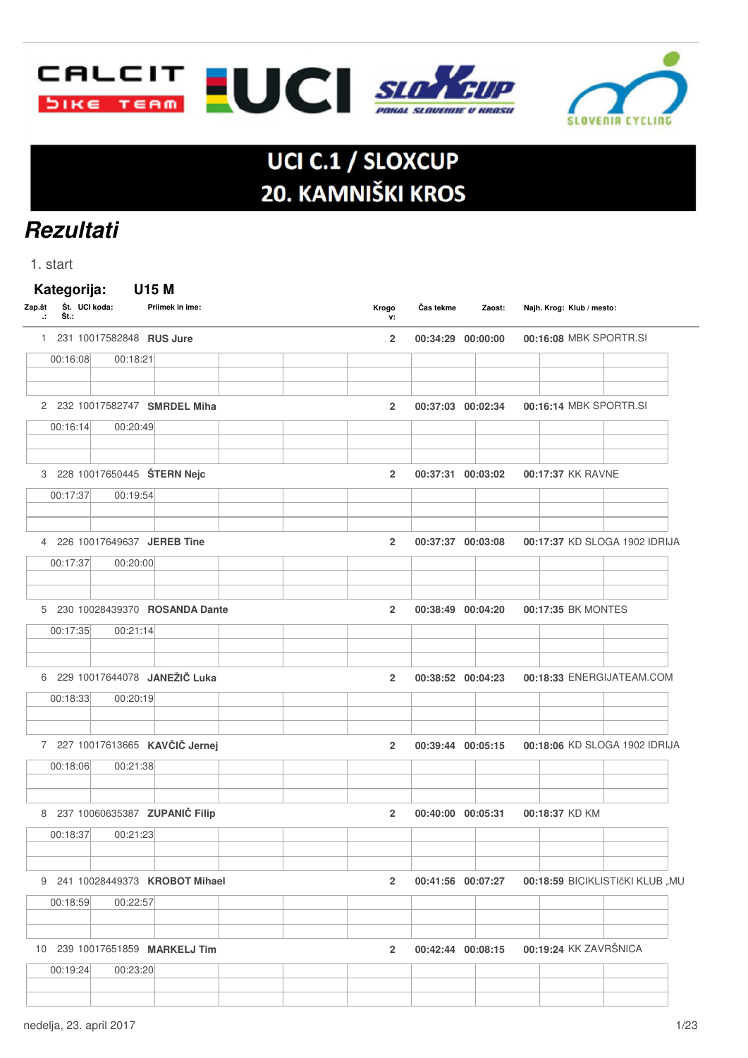



# UCI C.1 / SLOXCUP 20. KAMNIŠKI KROS

# **Rezultati**

1. start

| 00:16:08 | 1 231 10017582848 RUS Jure |                                 |                |                   |                                 |  |
|----------|----------------------------|---------------------------------|----------------|-------------------|---------------------------------|--|
|          |                            |                                 | $\overline{2}$ | 00:34:29 00:00:00 | 00:16:08 MBK SPORTR.SI          |  |
|          | 00:18:21                   |                                 |                |                   |                                 |  |
|          |                            | 2 232 10017582747 SMRDEL Miha   | $\overline{2}$ | 00:37:03 00:02:34 | 00:16:14 MBK SPORTR.SI          |  |
| 00:16:14 | 00:20:49                   |                                 |                |                   |                                 |  |
|          |                            | 3 228 10017650445 ŠTERN Nejc    | $\overline{2}$ | 00:37:31 00:03:02 | 00:17:37 KK RAVNE               |  |
| 00:17:37 | 00:19:54                   |                                 |                |                   |                                 |  |
|          |                            | 4 226 10017649637 JEREB Tine    | $\overline{2}$ | 00:37:37 00:03:08 | 00:17:37 KD SLOGA 1902 IDRIJA   |  |
| 00:17:37 | 00:20:00                   |                                 |                |                   |                                 |  |
|          |                            | 5 230 10028439370 ROSANDA Dante | $\overline{2}$ | 00:38:49 00:04:20 | 00:17:35 BK MONTES              |  |
| 00:17:35 | 00:21:14                   |                                 |                |                   |                                 |  |
|          |                            | 6 229 10017644078 JANEŽIČ Luka  | $\overline{2}$ | 00:38:52 00:04:23 | 00:18:33 ENERGIJATEAM.COM       |  |
| 00:18:33 | 00:20:19                   |                                 |                |                   |                                 |  |
|          |                            | 7 227 10017613665 KAVČIČ Jernej | $\overline{2}$ | 00:39:44 00:05:15 | 00:18:06 KD SLOGA 1902 IDRIJA   |  |
| 00:18:06 | 00:21:38                   |                                 |                |                   |                                 |  |
|          |                            | 8 237 10060635387 ZUPANIČ Filip | $\overline{2}$ | 00:40:00 00:05:31 | 00:18:37 KD KM                  |  |
| 00:18:37 | 00:21:23                   |                                 |                |                   |                                 |  |
|          |                            | 9 241 10028449373 KROBOT Mihael | $\overline{2}$ | 00:41:56 00:07:27 | 00:18:59 BICIKLISTIčKI KLUB "MU |  |
| 00:18:59 | 00:22:57                   |                                 |                |                   |                                 |  |
|          |                            | 10 239 10017651859 MARKELJ Tim  | $\overline{2}$ | 00:42:44 00:08:15 | 00:19:24 KK ZAVRŠNICA           |  |
| 00:19:24 | 00:23:20                   |                                 |                |                   |                                 |  |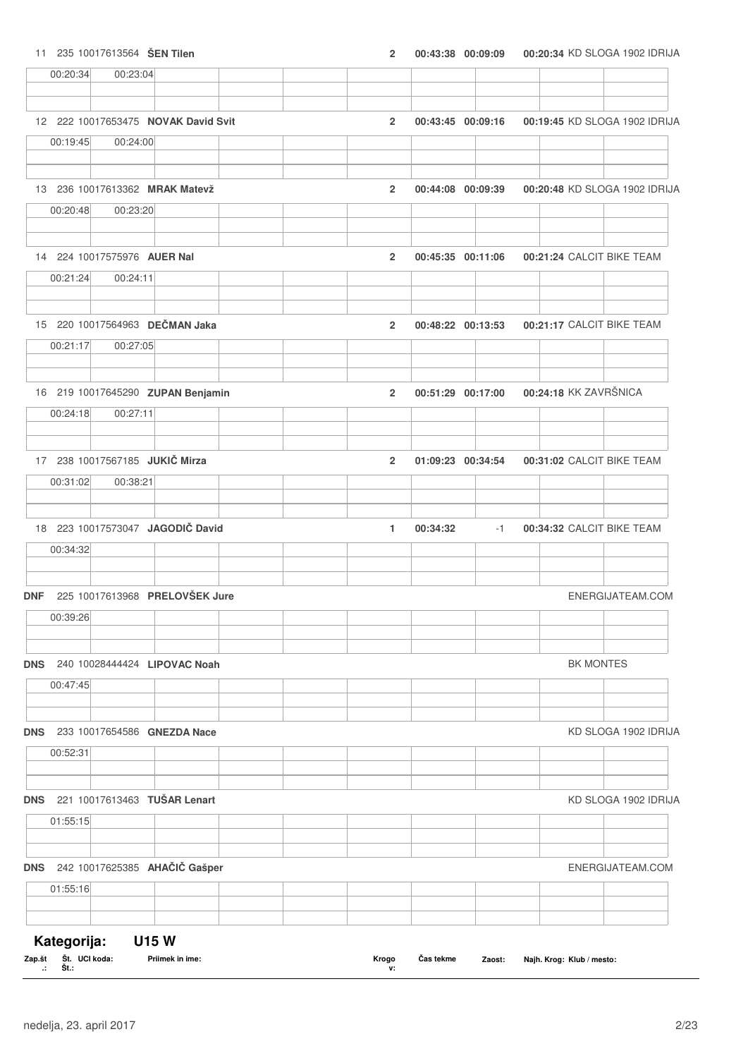|  |  | 235 10017613564 SEN Tilen |  |  |  |  |  |
|--|--|---------------------------|--|--|--|--|--|
|--|--|---------------------------|--|--|--|--|--|

|            | 00:20:34    | 00:23:04 |                                     |                |          |                   |                           |                               |
|------------|-------------|----------|-------------------------------------|----------------|----------|-------------------|---------------------------|-------------------------------|
|            |             |          |                                     |                |          |                   |                           |                               |
|            |             |          | 12 222 10017653475 NOVAK David Svit | $\overline{2}$ |          | 00:43:45 00:09:16 |                           | 00:19:45 KD SLOGA 1902 IDRIJA |
|            | 00:19:45    | 00:24:00 |                                     |                |          |                   |                           |                               |
|            |             |          | 13 236 10017613362 MRAK Matevž      | $\overline{2}$ |          | 00:44:08 00:09:39 |                           | 00:20:48 KD SLOGA 1902 IDRIJA |
|            | 00:20:48    | 00:23:20 |                                     |                |          |                   |                           |                               |
|            |             |          | 14 224 10017575976 AUER Nal         | $\overline{2}$ |          | 00:45:35 00:11:06 | 00:21:24 CALCIT BIKE TEAM |                               |
|            | 00:21:24    | 00:24:11 |                                     |                |          |                   |                           |                               |
|            |             |          | 15 220 10017564963 DEČMAN Jaka      | $\overline{2}$ |          | 00:48:22 00:13:53 | 00:21:17 CALCIT BIKE TEAM |                               |
|            | 00:21:17    | 00:27:05 |                                     |                |          |                   |                           |                               |
|            |             |          | 16 219 10017645290 ZUPAN Benjamin   | $\overline{2}$ |          | 00:51:29 00:17:00 | 00:24:18 KK ZAVRŠNICA     |                               |
|            | 00:24:18    | 00:27:11 |                                     |                |          |                   |                           |                               |
|            |             |          | 17 238 10017567185 JUKIČ Mirza      | $\overline{2}$ |          | 01:09:23 00:34:54 | 00:31:02 CALCIT BIKE TEAM |                               |
|            | 00:31:02    | 00:38:21 |                                     |                |          |                   |                           |                               |
|            |             |          | 18 223 10017573047 JAGODIČ David    | 1              | 00:34:32 | $-1$              | 00:34:32 CALCIT BIKE TEAM |                               |
|            | 00:34:32    |          |                                     |                |          |                   |                           |                               |
| <b>DNF</b> |             |          | 225 10017613968 PRELOVŠEK Jure      |                |          |                   |                           | ENERGIJATEAM.COM              |
|            | 00:39:26    |          |                                     |                |          |                   |                           |                               |
| <b>DNS</b> |             |          | 240 10028444424 LIPOVAC Noah        |                |          |                   |                           | <b>BK MONTES</b>              |
|            | 00:47:45    |          |                                     |                |          |                   |                           |                               |
| <b>DNS</b> |             |          | 233 10017654586 GNEZDA Nace         |                |          |                   |                           | KD SLOGA 1902 IDRIJA          |
|            | 00:52:31    |          |                                     |                |          |                   |                           |                               |
| <b>DNS</b> |             |          | 221 10017613463 TUŠAR Lenart        |                |          |                   |                           | KD SLOGA 1902 IDRIJA          |
|            | 01:55:15    |          |                                     |                |          |                   |                           |                               |
| <b>DNS</b> |             |          | 242 10017625385 AHAČIČ Gašper       |                |          |                   |                           | ENERGIJATEAM.COM              |
|            | 01:55:16    |          |                                     |                |          |                   |                           |                               |
|            |             |          |                                     |                |          |                   |                           |                               |
|            | Kategorija: |          | <b>U15W</b>                         |                |          |                   |                           |                               |

|                          | Zap.št Št. UCI koda: | <b>Priimek in ime:</b> | Krogo | Čas tekme | Zaost: Najh. Krog: Klub / mesto: |
|--------------------------|----------------------|------------------------|-------|-----------|----------------------------------|
| <b>Contract Contract</b> | St.:                 |                        |       |           |                                  |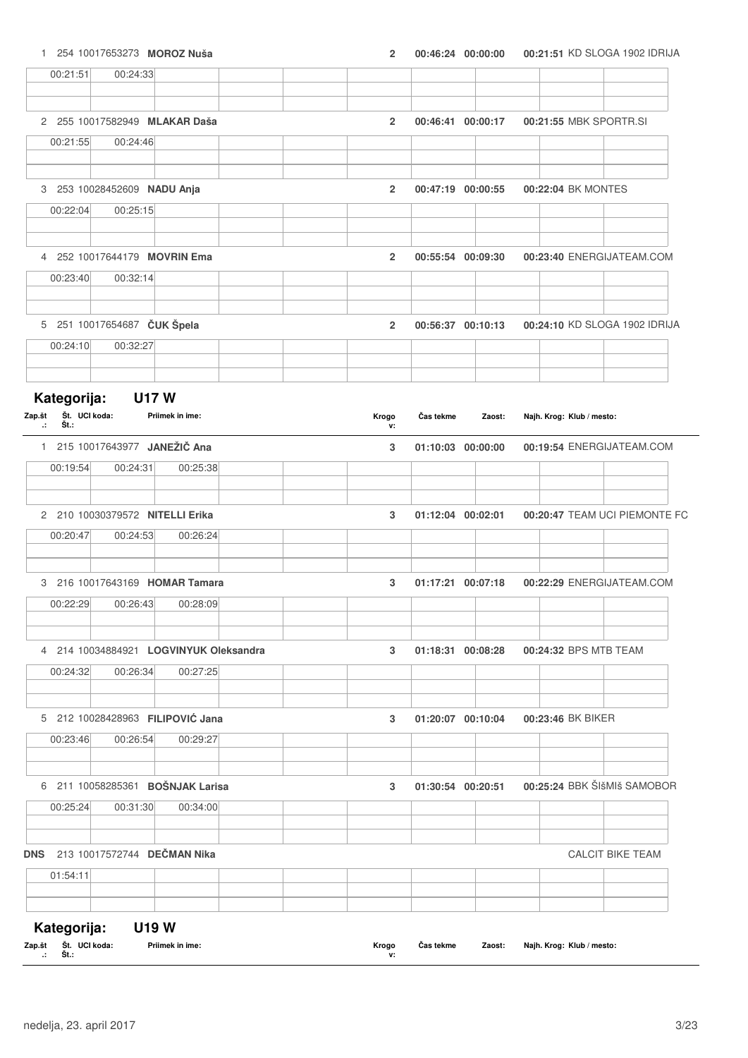| $\mathbf{1}$                                    | 254 10017653273 MOROZ Nuša       |                                        | $\overline{2}$ |           | 00:46:24 00:00:00 |                           | 00:21:51 KD SLOGA 1902 IDRIJA                          |
|-------------------------------------------------|----------------------------------|----------------------------------------|----------------|-----------|-------------------|---------------------------|--------------------------------------------------------|
| 00:21:51                                        | 00:24:33                         |                                        |                |           |                   |                           |                                                        |
|                                                 |                                  |                                        |                |           |                   |                           |                                                        |
|                                                 | 2 255 10017582949 MLAKAR Daša    |                                        | $\overline{2}$ |           | 00:46:41 00:00:17 |                           | 00:21:55 MBK SPORTR.SI                                 |
| 00:21:55                                        | 00:24:46                         |                                        |                |           |                   |                           |                                                        |
|                                                 | 3 253 10028452609 NADU Anja      |                                        | $\overline{2}$ |           | 00:47:19 00:00:55 | 00:22:04 BK MONTES        |                                                        |
| 00:22:04                                        | 00:25:15                         |                                        |                |           |                   |                           |                                                        |
|                                                 | 4 252 10017644179 MOVRIN Ema     |                                        | $\overline{2}$ |           | 00:55:54 00:09:30 |                           | 00:23:40 ENERGIJATEAM.COM                              |
| 00:23:40                                        | 00:32:14                         |                                        |                |           |                   |                           |                                                        |
|                                                 | 5 251 10017654687 ČUK Špela      |                                        | $\overline{2}$ |           | 00:56:37 00:10:13 |                           | 00:24:10 KD SLOGA 1902 IDRIJA                          |
| 00:24:10                                        | 00:32:27                         |                                        |                |           |                   |                           |                                                        |
| Kategorija:                                     | <b>U17W</b>                      |                                        |                |           |                   |                           |                                                        |
| Št. UCI koda:<br>Zap.št<br>Št.:<br>$\mathbf{r}$ |                                  | Priimek in ime:                        | Krogo<br>v:    | Čas tekme | Zaost:            | Najh. Krog: Klub / mesto: |                                                        |
|                                                 | 1 215 10017643977 JANEŽIČ Ana    |                                        | 3              |           | 01:10:03 00:00:00 |                           | 00:19:54 ENERGIJATEAM.COM                              |
| 00:19:54                                        | 00:24:31                         | 00:25:38                               |                |           |                   |                           |                                                        |
|                                                 | 2 210 10030379572 NITELLI Erika  |                                        | 3              |           | 01:12:04 00:02:01 |                           | 00:20:47 TEAM UCI PIEMONTE FC                          |
| 00:20:47                                        | 00:24:53                         | 00:26:24                               |                |           |                   |                           |                                                        |
|                                                 | 3 216 10017643169 HOMAR Tamara   |                                        | 3              |           | 01:17:21 00:07:18 |                           | 00:22:29 ENERGIJATEAM.COM                              |
| 00:22:29                                        | 00:26:43                         | 00:28:09                               |                |           |                   |                           |                                                        |
|                                                 |                                  | 4 214 10034884921 LOGVINYUK Oleksandra | 3              |           | 01:18:31 00:08:28 | 00:24:32 BPS MTB TEAM     |                                                        |
| 00:24:32                                        | 00:26:34                         | 00:27:25                               |                |           |                   |                           |                                                        |
|                                                 |                                  | 5 212 10028428963 FILIPOVIĆ Jana       | 3              |           | 01:20:07 00:10:04 | 00:23:46 BK BIKER         |                                                        |
|                                                 |                                  |                                        |                |           |                   |                           |                                                        |
| 00:23:46                                        | 00:26:54                         | 00:29:27                               |                |           |                   |                           |                                                        |
|                                                 | 6 211 10058285361 BOŠNJAK Larisa |                                        | 3              |           | 01:30:54 00:20:51 |                           |                                                        |
| 00:25:24                                        | 00:31:30                         | 00:34:00                               |                |           |                   |                           |                                                        |
|                                                 | DNS 213 10017572744 DEČMAN Nika  |                                        |                |           |                   |                           | 00:25:24 BBK ŠIšMIš SAMOBOR<br><b>CALCIT BIKE TEAM</b> |
| 01:54:11                                        |                                  |                                        |                |           |                   |                           |                                                        |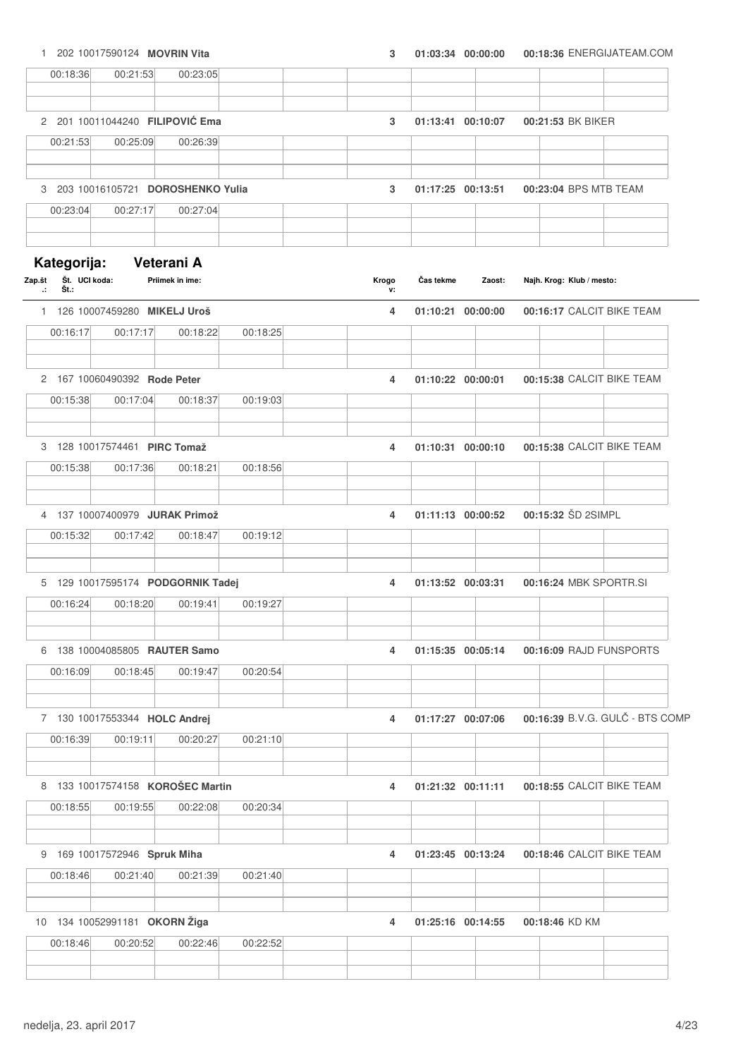1 202 10017590124 **MOVRIN Vita 3 01:03:34 00:18:36 00:00:00** ENERGIJATEAM.COM 00:18:36 00:21:53 00:23:05 2 201 10011044240 **FILIPOVI**Ć **Ema 3 01:13:41 00:21:53 00:10:07** BK BIKER 00:21:53 00:25:09 00:26:39 3 203 10016105721 **DOROSHENKO Yulia 3 01:17:25 00:23:04 00:13:51** BPS MTB TEAM 00:23:04 00:27:17 00:27:04 **Kategorija: Veterani A Št. Št.: .: Zap.št UCI koda: Priimek in ime: Klub / mesto: Krogo v:**  $\check{\textbf{C}}$ as tekme 1 126 10007459280 **MIKELJ Uroš 4 01:10:21 00:16:17 00:00:00** CALCIT BIKE TEAM 00:16:17 00:17:17 00:18:22 00:18:25 2 167 10060490392 **Rode Peter 4 01:10:22 00:15:38 00:00:01** CALCIT BIKE TEAM 00:15:38 00:17:04 00:18:37 00:19:03 3 128 10017574461 **PIRC Tomaž 4 01:10:31 00:15:38 00:00:10** CALCIT BIKE TEAM 00:15:38 00:17:36 00:18:21 00:18:56 4 137 10007400979 **JURAK Primož 4 01:11:13 00:15:32 00:00:52** ŠD 2SIMPL 00:15:32 00:17:42 00:18:47 00:19:12 5 129 10017595174 **PODGORNIK Tadej 4 01:13:52 00:16:24 00:03:31** MBK SPORTR.SI 00:16:24 00:18:20 00:19:41 00:19:27 6 138 10004085805 **RAUTER Samo 4 01:15:35 00:16:09 00:05:14** RAJD FUNSPORTS 00:16:09 00:18:45 00:19:47 00:20:54 7 130 10017553344 **HOLC Andrej 4 01:17:27 00:16:39 00:07:06** B.V.G. GULČ - BTS COMP 00:16:39 00:19:11 00:20:27 00:21:10 8 133 10017574158 **KOROŠEC Martin 4 01:21:32 00:18:55 00:11:11** CALCIT BIKE TEAM 00:18:55 00:19:55 00:22:08 00:20:34 9 169 10017572946 **Spruk Miha 4 01:23:45 00:18:46 00:13:24** CALCIT BIKE TEAM 00:18:46 00:21:40 00:21:39 00:21:40 10 134 10052991181 **OKORN Žiga 4 01:25:16 00:18:46 00:14:55** KD KM 00:18:46 00:20:52 00:22:46 00:22:52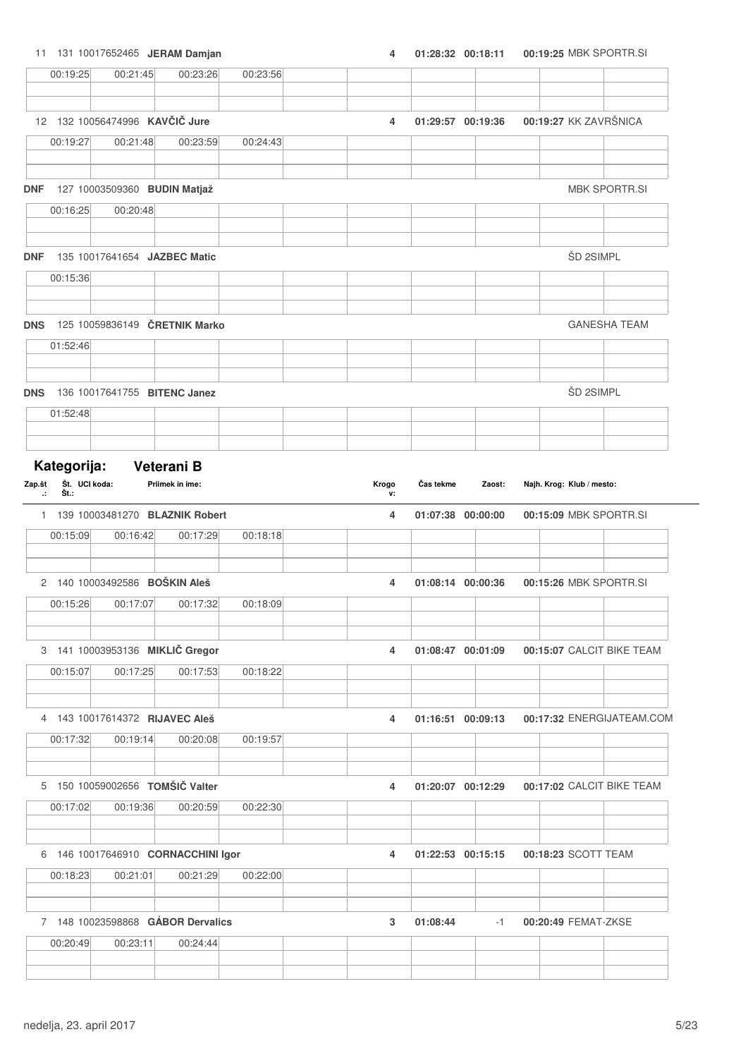11 131 10017652465 **JERAM Damjan 4 01:28:32 00:19:25 00:18:11** MBK SPORTR.SI

|                         | 00:19:25                             | 00:21:45                       | 00:23:26                                    | 00:23:56 |             |                   |        |                           |           |                           |
|-------------------------|--------------------------------------|--------------------------------|---------------------------------------------|----------|-------------|-------------------|--------|---------------------------|-----------|---------------------------|
|                         |                                      |                                |                                             |          |             |                   |        |                           |           |                           |
|                         |                                      | 12 132 10056474996 KAVČIČ Jure |                                             |          | 4           | 01:29:57 00:19:36 |        | 00:19:27 KK ZAVRŠNICA     |           |                           |
|                         | 00:19:27                             | 00:21:48                       | 00:23:59                                    | 00:24:43 |             |                   |        |                           |           |                           |
| <b>DNF</b>              |                                      |                                | 127 10003509360 BUDIN Matjaž                |          |             |                   |        |                           |           | <b>MBK SPORTR.SI</b>      |
|                         | 00:16:25                             | 00:20:48                       |                                             |          |             |                   |        |                           |           |                           |
|                         |                                      |                                |                                             |          |             |                   |        |                           |           |                           |
| <b>DNF</b>              |                                      |                                | 135 10017641654 JAZBEC Matic                |          |             |                   |        |                           | ŠD 2SIMPL |                           |
|                         | 00:15:36                             |                                |                                             |          |             |                   |        |                           |           |                           |
| <b>DNS</b>              |                                      |                                | 125 10059836149 ČRETNIK Marko               |          |             |                   |        |                           |           | <b>GANESHA TEAM</b>       |
|                         | 01:52:46                             |                                |                                             |          |             |                   |        |                           |           |                           |
|                         |                                      |                                |                                             |          |             |                   |        |                           |           |                           |
| <b>DNS</b>              |                                      |                                | 136 10017641755 BITENC Janez                |          |             |                   |        |                           | ŠD 2SIMPL |                           |
|                         | 01:52:48                             |                                |                                             |          |             |                   |        |                           |           |                           |
|                         |                                      |                                |                                             |          |             |                   |        |                           |           |                           |
| Zap.št<br>$\mathcal{L}$ | Kategorija:<br>Št. UCI koda:<br>Št.: |                                | Veterani B<br>Priimek in ime:               |          | Krogo<br>v: | Čas tekme         | Zaost: | Najh. Krog: Klub / mesto: |           |                           |
|                         |                                      |                                | 1 139 10003481270 BLAZNIK Robert            |          | 4           | 01:07:38 00:00:00 |        |                           |           | 00:15:09 MBK SPORTR.SI    |
|                         | 00:15:09                             | 00:16:42                       | 00:17:29                                    | 00:18:18 |             |                   |        |                           |           |                           |
|                         |                                      |                                | 2 140 10003492586 BOŠKIN Aleš               |          | 4           | 01:08:14 00:00:36 |        |                           |           | 00:15:26 MBK SPORTR.SI    |
|                         | 00:15:26                             | 00:17:07                       | 00:17:32                                    | 00:18:09 |             |                   |        |                           |           |                           |
|                         |                                      |                                |                                             |          |             |                   |        |                           |           |                           |
|                         | 00:15:07                             | 00:17:25                       | 3 141 10003953136 MIKLIČ Gregor<br>00:17:53 | 00:18:22 | 4           | 01:08:47 00:01:09 |        |                           |           | 00:15:07 CALCIT BIKE TEAM |
|                         |                                      |                                |                                             |          |             |                   |        |                           |           |                           |
|                         |                                      |                                | 4 143 10017614372 RIJAVEC Aleš              |          | 4           | 01:16:51 00:09:13 |        |                           |           | 00:17:32 ENERGIJATEAM.COM |
|                         | 00:17:32                             | 00:19:14                       | 00:20:08                                    | 00:19:57 |             |                   |        |                           |           |                           |
|                         |                                      |                                |                                             |          |             |                   |        |                           |           |                           |
|                         |                                      |                                | 5 150 10059002656 TOMŠIČ Valter             |          | 4           | 01:20:07 00:12:29 |        |                           |           | 00:17:02 CALCIT BIKE TEAM |
|                         | 00:17:02                             | 00:19:36                       | 00:20:59                                    | 00:22:30 |             |                   |        |                           |           |                           |
|                         |                                      |                                | 6 146 10017646910 CORNACCHINI Igor          |          | 4           | 01:22:53 00:15:15 |        | 00:18:23 SCOTT TEAM       |           |                           |
|                         | 00:18:23                             | 00:21:01                       | 00:21:29                                    | 00:22:00 |             |                   |        |                           |           |                           |
|                         |                                      |                                |                                             |          |             |                   |        |                           |           |                           |
|                         |                                      |                                | 7 148 10023598868 GÁBOR Dervalics           |          | 3           | 01:08:44          | $-1$   | 00:20:49 FEMAT-ZKSE       |           |                           |
|                         | 00:20:49                             | 00:23:11                       | 00:24:44                                    |          |             |                   |        |                           |           |                           |
|                         |                                      |                                |                                             |          |             |                   |        |                           |           |                           |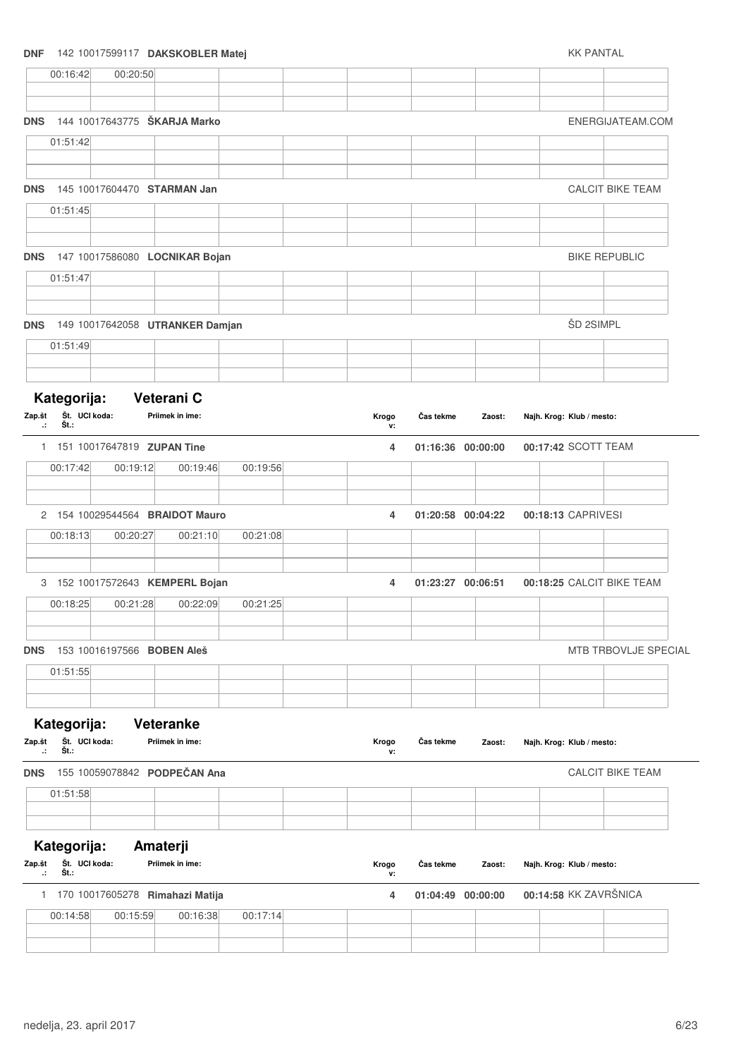#### **DNF** 142 10017599117 **DAKSKOBLER Matej** KK PANTAL

|                         | 00:16:42                             | 00:20:50 |                                    |          |             |                   |        |                           |                           |
|-------------------------|--------------------------------------|----------|------------------------------------|----------|-------------|-------------------|--------|---------------------------|---------------------------|
| <b>DNS</b>              |                                      |          | 144 10017643775 ŠKARJA Marko       |          |             |                   |        |                           | ENERGIJATEAM.COM          |
|                         | 01:51:42                             |          |                                    |          |             |                   |        |                           |                           |
|                         |                                      |          |                                    |          |             |                   |        |                           |                           |
| <b>DNS</b>              |                                      |          | 145 10017604470 STARMAN Jan        |          |             |                   |        |                           | <b>CALCIT BIKE TEAM</b>   |
|                         | 01:51:45                             |          |                                    |          |             |                   |        |                           |                           |
|                         |                                      |          | DNS 147 10017586080 LOCNIKAR Bojan |          |             |                   |        |                           | <b>BIKE REPUBLIC</b>      |
|                         | 01:51:47                             |          |                                    |          |             |                   |        |                           |                           |
| <b>DNS</b>              |                                      |          | 149 10017642058 UTRANKER Damjan    |          |             |                   |        | ŠD 2SIMPL                 |                           |
|                         | 01:51:49                             |          |                                    |          |             |                   |        |                           |                           |
|                         |                                      |          |                                    |          |             |                   |        |                           |                           |
| Zap.št<br>$\mathcal{L}$ | Kategorija:<br>Št. UCI koda:<br>Št.: |          | Veterani C<br>Priimek in ime:      |          | Krogo<br>v: | Čas tekme         | Zaost: | Najh. Krog: Klub / mesto: |                           |
|                         |                                      |          | 1 151 10017647819 ZUPAN Tine       |          | 4           | 01:16:36 00:00:00 |        | 00:17:42 SCOTT TEAM       |                           |
|                         | 00:17:42                             | 00:19:12 | 00:19:46                           | 00:19:56 |             |                   |        |                           |                           |
|                         |                                      |          | 2 154 10029544564 BRAIDOT Mauro    |          | 4           | 01:20:58 00:04:22 |        | 00:18:13 CAPRIVESI        |                           |
|                         | 00:18:13                             | 00:20:27 | 00:21:10                           | 00:21:08 |             |                   |        |                           |                           |
|                         |                                      |          |                                    |          |             |                   |        |                           |                           |
|                         |                                      |          | 3 152 10017572643 KEMPERL Bojan    |          | 4           | 01:23:27 00:06:51 |        |                           | 00:18:25 CALCIT BIKE TEAM |
|                         | 00:18:25                             | 00:21:28 | 00:22:09                           | 00:21:25 |             |                   |        |                           |                           |
| <b>DNS</b>              |                                      |          | 153 10016197566 BOBEN Aleš         |          |             |                   |        |                           | MTB TRBOVLJE SPECIAL      |
|                         | 01:51:55                             |          |                                    |          |             |                   |        |                           |                           |
|                         |                                      |          |                                    |          |             |                   |        |                           |                           |
|                         | Kategorija:                          |          | <b>Veteranke</b>                   |          |             |                   |        |                           |                           |
| Zap.št<br>л             | Št. UCI koda:<br>Št∴                 |          | Priimek in ime:                    |          | Krogo<br>v: | Čas tekme         | Zaost: | Najh. Krog: Klub / mesto: |                           |
| <b>DNS</b>              |                                      |          | 155 10059078842 PODPEČAN Ana       |          |             |                   |        |                           | <b>CALCIT BIKE TEAM</b>   |
|                         | 01:51:58                             |          |                                    |          |             |                   |        |                           |                           |
|                         |                                      |          |                                    |          |             |                   |        |                           |                           |
| Zap.št<br>$\mathcal{L}$ | Kategorija:<br>Št. UCI koda:<br>Št.: |          | Amaterji<br>Priimek in ime:        |          | Krogo<br>۷. | Čas tekme         | Zaost: | Najh. Krog: Klub / mesto: |                           |
|                         |                                      |          | 1 170 10017605278 Rimahazi Matija  |          | 4           | 01:04:49 00:00:00 |        | 00:14:58 KK ZAVRŠNICA     |                           |
|                         | 00:14:58                             | 00:15:59 | 00:16:38                           | 00:17:14 |             |                   |        |                           |                           |
|                         |                                      |          |                                    |          |             |                   |        |                           |                           |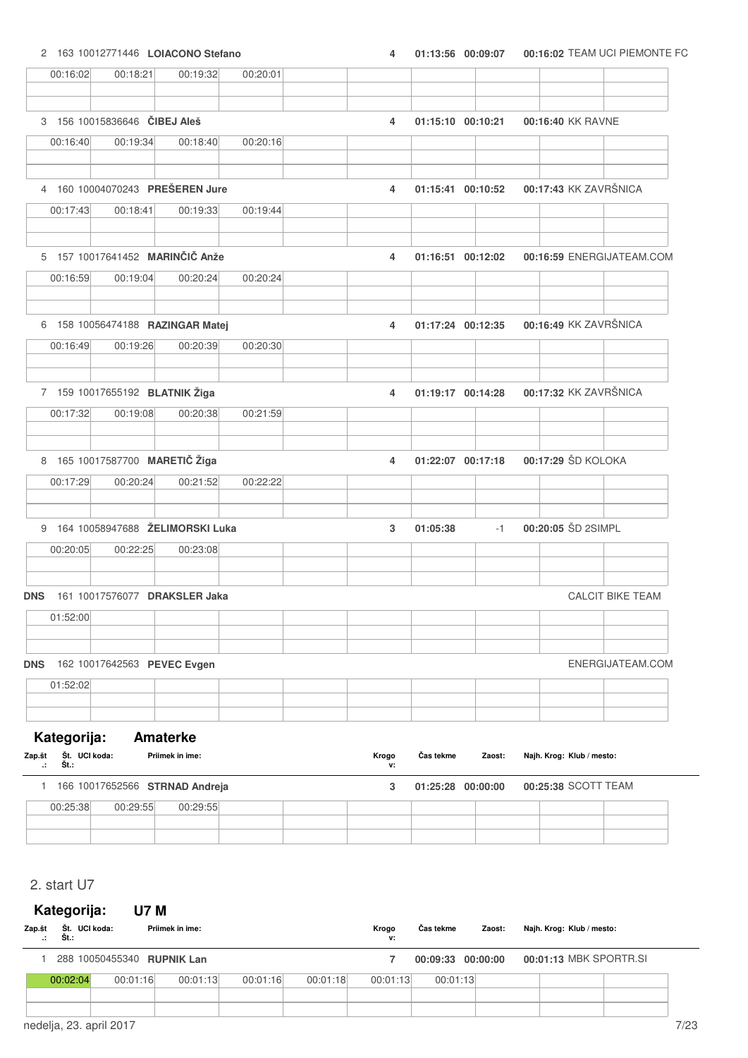2 163 10012771446 **LOIACONO Stefano 4 01:13:56 00:16:02 00:09:07** TEAM UCI PIEMONTE FC

| 00:16:02                             | 00:18:21                          | 00:19:32        | 00:20:01 |       |    |                   |        |  |                           |                           |
|--------------------------------------|-----------------------------------|-----------------|----------|-------|----|-------------------|--------|--|---------------------------|---------------------------|
|                                      |                                   |                 |          |       |    |                   |        |  |                           |                           |
|                                      | 3 156 10015836646 CIBEJ Aleš      |                 |          |       | 4  | 01:15:10 00:10:21 |        |  | 00:16:40 KK RAVNE         |                           |
| 00:16:40                             | 00:19:34                          | 00:18:40        | 00:20:16 |       |    |                   |        |  |                           |                           |
|                                      |                                   |                 |          |       |    |                   |        |  |                           |                           |
|                                      | 4 160 10004070243 PREŠEREN Jure   |                 |          |       | 4  | 01:15:41 00:10:52 |        |  |                           | 00:17:43 KK ZAVRŠNICA     |
| 00:17:43                             | 00:18:41                          | 00:19:33        | 00:19:44 |       |    |                   |        |  |                           |                           |
|                                      | 5 157 10017641452 MARINČIČ Anže   |                 |          |       | 4  | 01:16:51 00:12:02 |        |  |                           | 00:16:59 ENERGIJATEAM.COM |
| 00:16:59                             | 00:19:04                          | 00:20:24        | 00:20:24 |       |    |                   |        |  |                           |                           |
|                                      | 6 158 10056474188 RAZINGAR Matej  |                 |          |       | 4  | 01:17:24 00:12:35 |        |  |                           | 00:16:49 KK ZAVRŠNICA     |
| 00:16:49                             | 00:19:26                          | 00:20:39        | 00:20:30 |       |    |                   |        |  |                           |                           |
|                                      |                                   |                 |          |       |    |                   |        |  |                           |                           |
|                                      | 7 159 10017655192 BLATNIK Žiga    |                 |          |       | 4  | 01:19:17 00:14:28 |        |  |                           | 00:17:32 KK ZAVRŠNICA     |
| 00:17:32                             | 00:19:08                          | 00:20:38        | 00:21:59 |       |    |                   |        |  |                           |                           |
|                                      | 8 165 10017587700 MARETIČ Žiga    |                 |          |       | 4  | 01:22:07 00:17:18 |        |  | 00:17:29 ŠD KOLOKA        |                           |
| 00:17:29                             | 00:20:24                          | 00:21:52        | 00:22:22 |       |    |                   |        |  |                           |                           |
|                                      | 9 164 10058947688 ŽELIMORSKI Luka |                 |          |       | 3  | 01:05:38          | $-1$   |  | 00:20:05 ŠD 2SIMPL        |                           |
| 00:20:05                             | 00:22:25                          | 00:23:08        |          |       |    |                   |        |  |                           |                           |
|                                      |                                   |                 |          |       |    |                   |        |  |                           |                           |
| <b>DNS</b>                           | 161 10017576077 DRAKSLER Jaka     |                 |          |       |    |                   |        |  |                           | <b>CALCIT BIKE TEAM</b>   |
| 01:52:00                             |                                   |                 |          |       |    |                   |        |  |                           |                           |
| <b>DNS</b>                           | 162 10017642563 PEVEC Evgen       |                 |          |       |    |                   |        |  |                           | ENERGIJATEAM.COM          |
| 01:52:02                             |                                   |                 |          |       |    |                   |        |  |                           |                           |
|                                      |                                   |                 |          |       |    |                   |        |  |                           |                           |
| Kategorija:                          |                                   | <b>Amaterke</b> |          |       |    |                   |        |  |                           |                           |
| Št. UCI koda:<br>Zap.št<br>Št.:<br>÷ |                                   | Priimek in ime: |          | Krogo | v: | Čas tekme         | Zaost: |  | Najh. Krog: Klub / mesto: |                           |
|                                      | 1 166 10017652566 STRNAD Andreja  |                 |          |       | 3  | 01:25:28 00:00:00 |        |  | 00:25:38 SCOTT TEAM       |                           |
| 00:25:38                             | 00:29:55                          | 00:29:55        |          |       |    |                   |        |  |                           |                           |

### 2. start U7

#### **Kategorija: U7 M Št. Št.: .: Zap.št UCI koda: Priimek in ime: Klub / mesto:** Č**as tekme Zaost: Najh. Krog: Krogo v:** 1 288 10050455340 **RUPNIK Lan 7 00:09:33 00:01:13 00:00:00** MBK SPORTR.SI 00:02:04 00:01:16 00:01:13 00:01:16 00:01:18 00:01:13 00:01:13 nedelja, 23. april 2017 **7/23**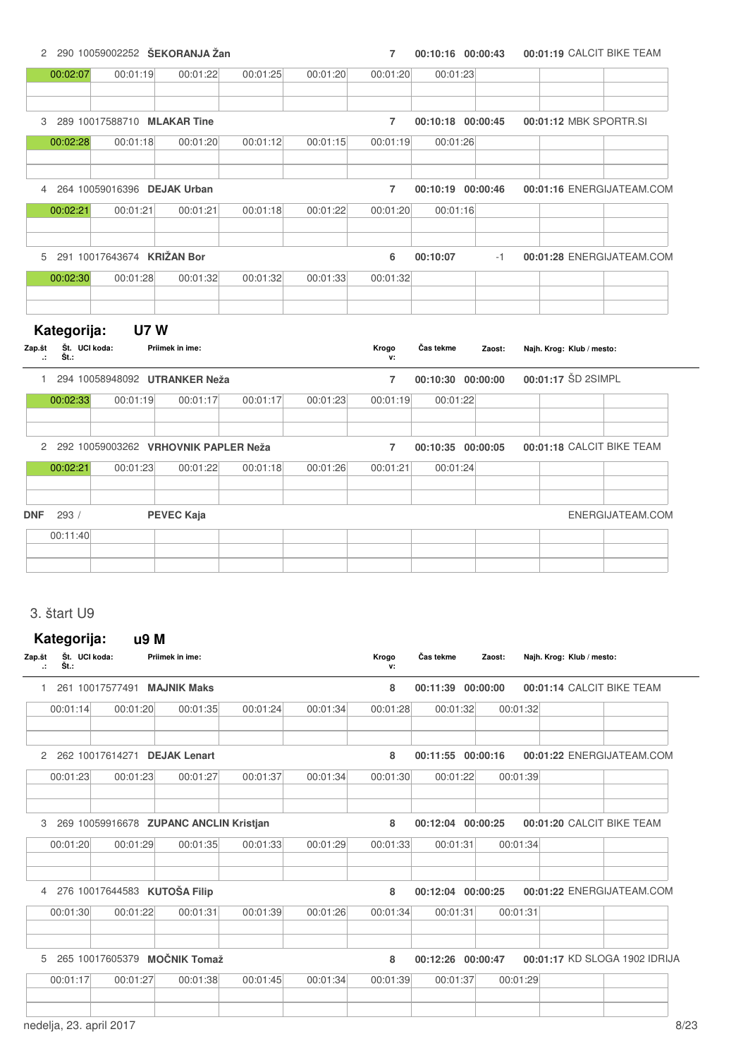2 290 10059002252 **ŠEKORANJA Žan 7 00:10:16 00:01:19 00:00:43** CALCIT BIKE TEAM

|          | 00:01:19                                                             | 00:01:22                                 | 00:01:25                                                                                                                                                         | 00:01:20                                                                              | 00:01:20       | 00:01:23  |          |                                                                                  |                                                 |
|----------|----------------------------------------------------------------------|------------------------------------------|------------------------------------------------------------------------------------------------------------------------------------------------------------------|---------------------------------------------------------------------------------------|----------------|-----------|----------|----------------------------------------------------------------------------------|-------------------------------------------------|
|          |                                                                      |                                          |                                                                                                                                                                  |                                                                                       |                |           |          |                                                                                  |                                                 |
|          |                                                                      |                                          |                                                                                                                                                                  |                                                                                       | $\overline{7}$ |           |          |                                                                                  | 00:01:12 MBK SPORTR.SI                          |
|          | 00:01:18                                                             | 00:01:20                                 | 00:01:12                                                                                                                                                         | 00:01:15                                                                              | 00:01:19       | 00:01:26  |          |                                                                                  |                                                 |
|          |                                                                      |                                          |                                                                                                                                                                  |                                                                                       | $\overline{7}$ |           |          |                                                                                  | 00:01:16 ENERGIJATEAM.COM                       |
|          | 00:01:21                                                             | 00:01:21                                 | 00:01:18                                                                                                                                                         | 00:01:22                                                                              | 00:01:20       | 00:01:16  |          |                                                                                  |                                                 |
|          |                                                                      |                                          |                                                                                                                                                                  |                                                                                       | 6              | 00:10:07  | $-1$     |                                                                                  | 00:01:28 ENERGIJATEAM.COM                       |
|          | 00:01:28                                                             | 00:01:32                                 | 00:01:32                                                                                                                                                         | 00:01:33                                                                              | 00:01:32       |           |          |                                                                                  |                                                 |
| Št.:     |                                                                      |                                          |                                                                                                                                                                  |                                                                                       | Krogo<br>v:    | Čas tekme | Zaost:   |                                                                                  |                                                 |
|          |                                                                      |                                          |                                                                                                                                                                  |                                                                                       | $\overline{7}$ |           |          |                                                                                  |                                                 |
|          |                                                                      |                                          |                                                                                                                                                                  |                                                                                       |                |           |          |                                                                                  |                                                 |
|          |                                                                      |                                          |                                                                                                                                                                  |                                                                                       | $\overline{7}$ |           |          |                                                                                  | 00:01:18 CALCIT BIKE TEAM                       |
| 00:02:21 | 00:01:23                                                             | 00:01:22                                 | 00:01:18                                                                                                                                                         | 00:01:26                                                                              | 00:01:21       | 00:01:24  |          |                                                                                  |                                                 |
| 293/     |                                                                      |                                          |                                                                                                                                                                  |                                                                                       |                |           |          |                                                                                  | ENERGIJATEAM.COM                                |
|          |                                                                      |                                          |                                                                                                                                                                  |                                                                                       |                |           |          |                                                                                  |                                                 |
|          |                                                                      |                                          |                                                                                                                                                                  |                                                                                       |                |           |          |                                                                                  |                                                 |
|          |                                                                      |                                          |                                                                                                                                                                  |                                                                                       |                |           |          |                                                                                  |                                                 |
| Zap.št   | 00:02:07<br>00:02:28<br>00:02:21<br>00:02:30<br>00:02:33<br>00:11:40 | Kategorija:<br>Št. UCI koda:<br>00:01:19 | 3 289 10017588710 MLAKAR Tine<br>4 264 10059016396 DEJAK Urban<br>5 291 10017643674 KRIŽAN Bor<br><b>U7W</b><br>Priimek in ime:<br>00:01:17<br><b>PEVEC Kaja</b> | 1 294 10058948092 UTRANKER Neža<br>00:01:17<br>2 292 10059003262 VRHOVNIK PAPLER Neža | 00:01:23       | 00:01:19  | 00:01:22 | 00:10:18 00:00:45<br>00:10:19 00:00:46<br>00:10:30 00:00:00<br>00:10:35 00:00:05 | Najh. Krog: Klub / mesto:<br>00:01:17 ŠD 2SIMPL |

| Zap.št<br>Št.: | Št. UCI koda: | Priimek in ime:                        |          |          | Krogo<br>v: | Čas tekme         | Zaost:   |          | Najh. Krog: Klub / mesto: |                               |
|----------------|---------------|----------------------------------------|----------|----------|-------------|-------------------|----------|----------|---------------------------|-------------------------------|
|                |               | 261 10017577491 MAJNIK Maks            |          |          | 8           | 00:11:39 00:00:00 |          |          | 00:01:14 CALCIT BIKE TEAM |                               |
| 00:01:14       | 00:01:20      | 00:01:35                               | 00:01:24 | 00:01:34 | 00:01:28    | 00:01:32          |          | 00:01:32 |                           |                               |
| $\mathcal{P}$  |               | 262 10017614271 DEJAK Lenart           |          |          | 8           | 00:11:55 00:00:16 |          |          |                           | 00:01:22 ENERGIJATEAM.COM     |
| 00:01:23       | 00:01:23      | 00:01:27                               | 00:01:37 | 00:01:34 | 00:01:30    | 00:01:22          |          | 00:01:39 |                           |                               |
| 3              |               | 269 10059916678 ZUPANC ANCLIN Kristjan |          |          | 8           | 00:12:04 00:00:25 |          |          | 00:01:20 CALCIT BIKE TEAM |                               |
| 00:01:20       | 00:01:29      | 00:01:35                               | 00:01:33 | 00:01:29 | 00:01:33    | 00:01:31          |          | 00:01:34 |                           |                               |
|                |               |                                        |          |          |             |                   |          |          |                           |                               |
| $\overline{4}$ |               | 276 10017644583 KUTOŠA Filip           |          |          | 8           | 00:12:04          | 00:00:25 |          |                           | 00:01:22 ENERGIJATEAM.COM     |
| 00:01:30       | 00:01:22      | 00:01:31                               | 00:01:39 | 00:01:26 | 00:01:34    | 00:01:31          |          | 00:01:31 |                           |                               |
| 5              |               | 265 10017605379 MOČNIK Tomaž           |          |          | 8           | 00:12:26 00:00:47 |          |          |                           | 00:01:17 KD SLOGA 1902 IDRIJA |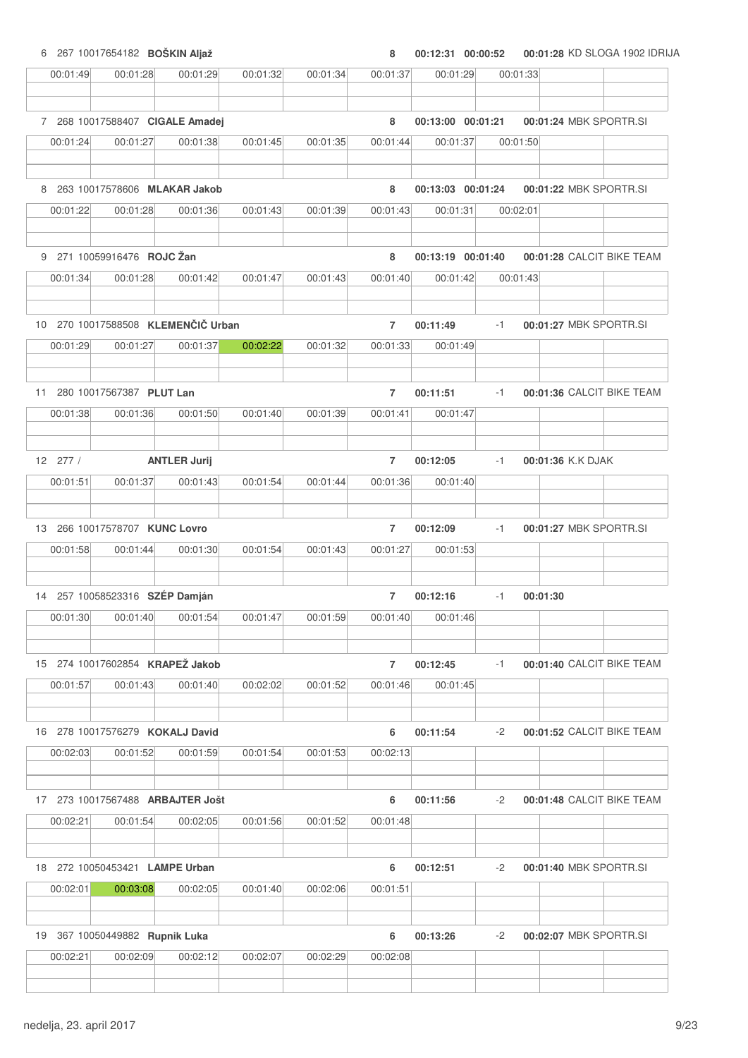6 267 10017654182 **BOŠKIN Aljaž 8 00:12:31 00:01:28 00:00:52** KD SLOGA 1902 IDRIJA

| 00:01:49                                   | 00:01:28                        | 00:01:29                           | 00:01:32 | 00:01:34 | 00:01:37       | 00:01:29          | 00:01:33 |                           |  |
|--------------------------------------------|---------------------------------|------------------------------------|----------|----------|----------------|-------------------|----------|---------------------------|--|
|                                            |                                 |                                    |          |          |                |                   |          |                           |  |
|                                            | 7 268 10017588407 CIGALE Amadej |                                    |          |          | 8              | 00:13:00 00:01:21 |          | 00:01:24 MBK SPORTR.SI    |  |
| 00:01:24                                   | 00:01:27                        | 00:01:38                           | 00:01:45 | 00:01:35 | 00:01:44       | 00:01:37          | 00:01:50 |                           |  |
| 8                                          | 263 10017578606 MLAKAR Jakob    |                                    |          |          | 8              | 00:13:03 00:01:24 |          | 00:01:22 MBK SPORTR.SI    |  |
| 00:01:22                                   | 00:01:28                        | 00:01:36                           | 00:01:43 | 00:01:39 | 00:01:43       | 00:01:31          | 00:02:01 |                           |  |
|                                            | 9 271 10059916476 ROJC Žan      |                                    |          |          | 8              | 00:13:19 00:01:40 |          | 00:01:28 CALCIT BIKE TEAM |  |
| 00:01:34                                   | 00:01:28                        | 00:01:42                           | 00:01:47 | 00:01:43 | 00:01:40       | 00:01:42          | 00:01:43 |                           |  |
|                                            |                                 |                                    |          |          |                |                   |          |                           |  |
|                                            |                                 | 10 270 10017588508 KLEMENČIČ Urban |          |          | $\overline{7}$ | 00:11:49          | $-1$     | 00:01:27 MBK SPORTR.SI    |  |
| 00:01:29                                   | 00:01:27                        | 00:01:37                           | 00:02:22 | 00:01:32 | 00:01:33       | 00:01:49          |          |                           |  |
| 11                                         | 280 10017567387 PLUT Lan        |                                    |          |          | $\overline{7}$ | 00:11:51          | $-1$     | 00:01:36 CALCIT BIKE TEAM |  |
| 00:01:38                                   | 00:01:36                        | 00:01:50                           | 00:01:40 | 00:01:39 | 00:01:41       | 00:01:47          |          |                           |  |
|                                            |                                 |                                    |          |          |                |                   |          |                           |  |
| 12 277 /                                   |                                 | <b>ANTLER Jurij</b>                |          |          | $\overline{7}$ | 00:12:05          | $-1$     | 00:01:36 K.K DJAK         |  |
| 00:01:51                                   | 00:01:37                        | 00:01:43                           | 00:01:54 | 00:01:44 | 00:01:36       | 00:01:40          |          |                           |  |
| 13                                         | 266 10017578707 KUNC Lovro      |                                    |          |          | $\overline{7}$ | 00:12:09          | $-1$     | 00:01:27 MBK SPORTR.SI    |  |
| 00:01:58                                   | 00:01:44                        | 00:01:30                           | 00:01:54 | 00:01:43 | 00:01:27       | 00:01:53          |          |                           |  |
|                                            |                                 |                                    |          |          |                |                   |          |                           |  |
| 14 257 10058523316 SZÉP Damján             |                                 |                                    |          |          | $\overline{7}$ | 00:12:16          | $-1$     | 00:01:30                  |  |
| 00:01:30                                   | 00:01:40                        | 00:01:54                           | 00:01:47 | 00:01:59 | 00:01:40       | 00:01:46          |          |                           |  |
|                                            |                                 |                                    |          |          |                |                   |          |                           |  |
| 15 274 10017602854 KRAPEŽ Jakob            |                                 |                                    |          |          | $\overline{7}$ | 00:12:45          | $-1$     | 00:01:40 CALCIT BIKE TEAM |  |
| 00:01:57                                   | 00:01:43                        | 00:01:40                           | 00:02:02 | 00:01:52 | 00:01:46       | 00:01:45          |          |                           |  |
| 16 278 10017576279 KOKALJ David            |                                 |                                    |          |          | 6              | 00:11:54          | $-2$     | 00:01:52 CALCIT BIKE TEAM |  |
| 00:02:03                                   | 00:01:52                        | 00:01:59                           | 00:01:54 | 00:01:53 | 00:02:13       |                   |          |                           |  |
|                                            |                                 |                                    |          |          |                |                   |          |                           |  |
|                                            |                                 | 17 273 10017567488 ARBAJTER Jošt   |          |          | 6              | 00:11:56          | $-2$     | 00:01:48 CALCIT BIKE TEAM |  |
| 00:02:21                                   | 00:01:54                        | 00:02:05                           | 00:01:56 | 00:01:52 | 00:01:48       |                   |          |                           |  |
|                                            |                                 |                                    |          |          |                |                   |          |                           |  |
| 18 272 10050453421 LAMPE Urban<br>00:02:01 | 00:03:08                        | 00:02:05                           | 00:01:40 | 00:02:06 | 6<br>00:01:51  | 00:12:51          | $-2$     | 00:01:40 MBK SPORTR.SI    |  |
|                                            |                                 |                                    |          |          |                |                   |          |                           |  |
| 19 367 10050449882 Rupnik Luka             |                                 |                                    |          |          | 6              | 00:13:26          | $-2$     | 00:02:07 MBK SPORTR.SI    |  |
| 00:02:21                                   | 00:02:09                        | 00:02:12                           | 00:02:07 | 00:02:29 | 00:02:08       |                   |          |                           |  |
|                                            |                                 |                                    |          |          |                |                   |          |                           |  |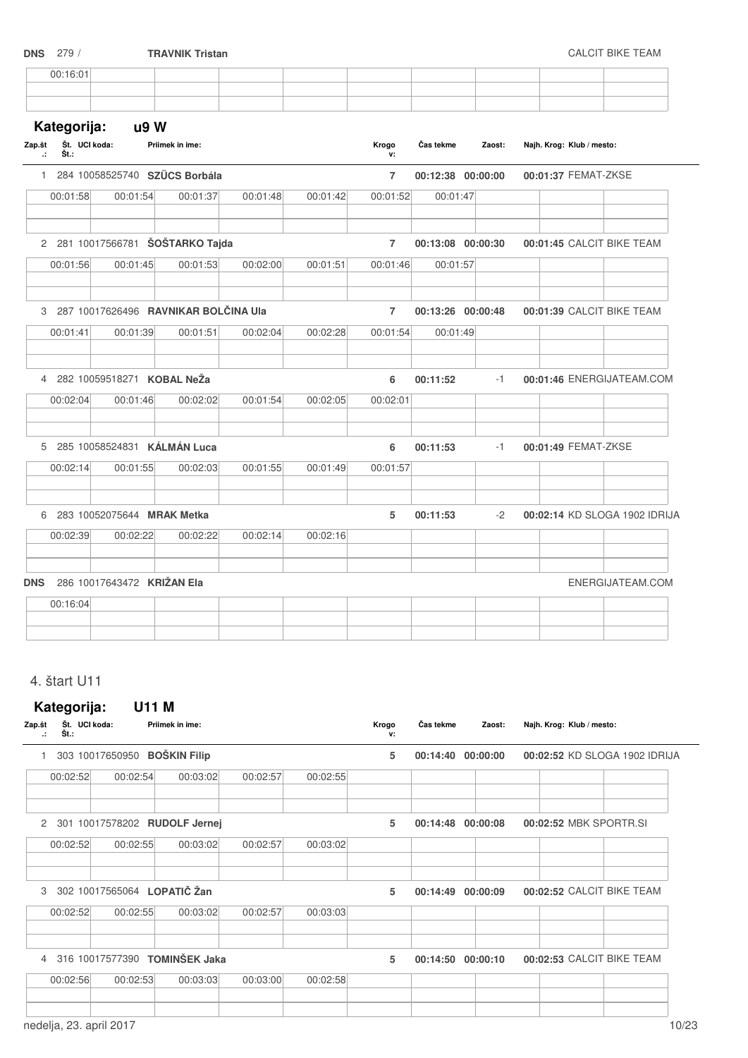|                                | <b>DNS</b> 279 /                     |                                 | <b>TRAVNIK Tristan</b>                 |          |          |                |                   |        |                           | <b>CALCIT BIKE TEAM</b>       |
|--------------------------------|--------------------------------------|---------------------------------|----------------------------------------|----------|----------|----------------|-------------------|--------|---------------------------|-------------------------------|
|                                | 00:16:01                             |                                 |                                        |          |          |                |                   |        |                           |                               |
| Zap.št<br>$\ddot{\phantom{a}}$ | Kategorija:<br>Št. UCI koda:<br>Št.: | u9W                             | Priimek in ime:                        |          |          | Krogo<br>v:    | Čas tekme         | Zaost: | Najh. Krog: Klub / mesto: |                               |
|                                |                                      | 1 284 10058525740 SZÜCS Borbála |                                        |          |          | $\overline{7}$ | 00:12:38 00:00:00 |        | 00:01:37 FEMAT-ZKSE       |                               |
|                                | 00:01:58                             | 00:01:54                        | 00:01:37                               | 00:01:48 | 00:01:42 | 00:01:52       | 00:01:47          |        |                           |                               |
|                                |                                      |                                 | 2 281 10017566781 ŠOŠTARKO Tajda       |          |          | $\overline{7}$ | 00:13:08 00:00:30 |        |                           | 00:01:45 CALCIT BIKE TEAM     |
|                                | 00:01:56                             | 00:01:45                        | 00:01:53                               | 00:02:00 | 00:01:51 | 00:01:46       | 00:01:57          |        |                           |                               |
|                                |                                      |                                 | 3 287 10017626496 RAVNIKAR BOLČINA Ula |          |          | $\overline{7}$ | 00:13:26 00:00:48 |        |                           | 00:01:39 CALCIT BIKE TEAM     |
|                                | 00:01:41                             | 00:01:39                        | 00:01:51                               | 00:02:04 | 00:02:28 | 00:01:54       | 00:01:49          |        |                           |                               |
|                                |                                      | 4 282 10059518271 KOBAL NeŽa    |                                        |          |          | 6              | 00:11:52          | $-1$   |                           | 00:01:46 ENERGIJATEAM.COM     |
|                                | 00:02:04                             | 00:01:46                        | 00:02:02                               | 00:01:54 | 00:02:05 | 00:02:01       |                   |        |                           |                               |
|                                |                                      | 5 285 10058524831 KÁLMÁN Luca   |                                        |          |          | 6              | 00:11:53          | $-1$   | 00:01:49 FEMAT-ZKSE       |                               |
|                                | 00:02:14                             | 00:01:55                        | 00:02:03                               | 00:01:55 | 00:01:49 | 00:01:57       |                   |        |                           |                               |
|                                |                                      | 6 283 10052075644 MRAK Metka    |                                        |          |          | 5              | 00:11:53          | $-2$   |                           | 00:02:14 KD SLOGA 1902 IDRIJA |
|                                | 00:02:39                             | 00:02:22                        | 00:02:22                               | 00:02:14 | 00:02:16 |                |                   |        |                           |                               |
| <b>DNS</b>                     |                                      | 286 10017643472 KRIŽAN Ela      |                                        |          |          |                |                   |        |                           | ENERGIJATEAM.COM              |
|                                | 00:16:04                             |                                 |                                        |          |          |                |                   |        |                           |                               |
|                                |                                      |                                 |                                        |          |          |                |                   |        |                           |                               |

### 4. štart U11

## **Kategorija: U11 M** Zap.št Št. UCI koda: **Št.: Zap.št UCI koda: Priimek in ime: Klub / mesto:** Č**as tekme Zaost: Najh. Krog: .: Krogo v:** 1 303 10017650950 **BOŠKIN Filip 5 00:14:40 00:02:52 00:00:00** KD SLOGA 1902 IDRIJA 00:02:52 00:02:54 00:03:02 00:02:57 00:02:55 2 301 10017578202 **RUDOLF Jernej 5 00:14:48 00:02:52 00:00:08** MBK SPORTR.SI 00:02:52 00:02:55 00:03:02 00:02:57 00:03:02 3 302 10017565064 **LOPATI**Č **Žan 5 00:14:49 00:02:52 00:00:09** CALCIT BIKE TEAM 00:02:52 00:02:55 00:03:02 00:02:57 00:03:03 4 316 10017577390 **TOMINŠEK Jaka 5 00:14:50 00:02:53 00:00:10** CALCIT BIKE TEAM 00:02:56 00:02:53 00:03:03 00:03:00 00:02:58 nedelja, 23. april 2017 10/23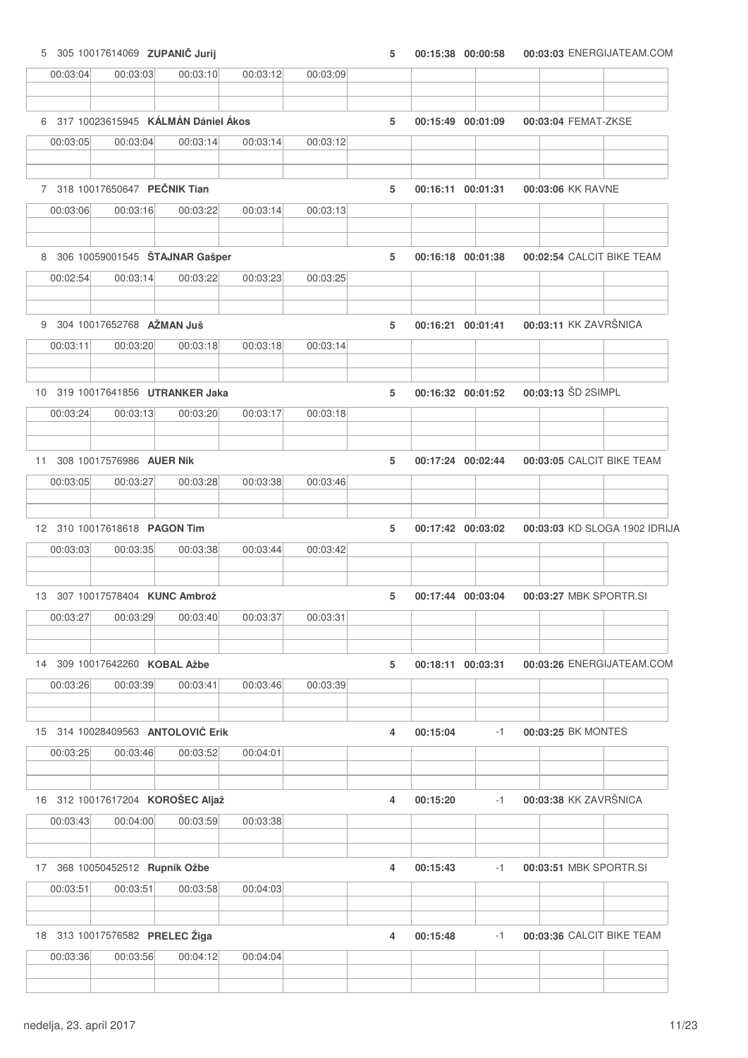5 305 10017614069 **ZUPANI**Č **Jurij 5 00:15:38 00:03:03 00:00:58** ENERGIJATEAM.COM

| 00:03:04 | 00:03:03                             | 00:03:10 | 00:03:12 | 00:03:09 |   |          |                   |                               |  |
|----------|--------------------------------------|----------|----------|----------|---|----------|-------------------|-------------------------------|--|
|          | 6 317 10023615945 KÁLMÁN Dániel Ákos |          |          |          | 5 |          | 00:15:49 00:01:09 | 00:03:04 FEMAT-ZKSE           |  |
| 00:03:05 | 00:03:04                             | 00:03:14 | 00:03:14 | 00:03:12 |   |          |                   |                               |  |
|          | 7 318 10017650647 PEČNIK Tian        |          |          |          | 5 |          | 00:16:11 00:01:31 | 00:03:06 KK RAVNE             |  |
| 00:03:06 | 00:03:16                             | 00:03:22 | 00:03:14 | 00:03:13 |   |          |                   |                               |  |
|          | 8 306 10059001545 STAJNAR Gasper     |          |          |          | 5 |          | 00:16:18 00:01:38 | 00:02:54 CALCIT BIKE TEAM     |  |
| 00:02:54 | 00:03:14                             | 00:03:22 | 00:03:23 | 00:03:25 |   |          |                   |                               |  |
|          | 9 304 10017652768 AŽMAN Juš          |          |          |          | 5 |          | 00:16:21 00:01:41 | 00:03:11 KK ZAVRŠNICA         |  |
| 00:03:11 | 00:03:20                             | 00:03:18 | 00:03:18 | 00:03:14 |   |          |                   |                               |  |
|          | 10 319 10017641856 UTRANKER Jaka     |          |          |          | 5 |          | 00:16:32 00:01:52 | 00:03:13 ŠD 2SIMPL            |  |
| 00:03:24 | 00:03:13                             | 00:03:20 | 00:03:17 | 00:03:18 |   |          |                   |                               |  |
| 11       | 308 10017576986 AUER Nik             |          |          |          | 5 |          | 00:17:24 00:02:44 | 00:03:05 CALCIT BIKE TEAM     |  |
| 00:03:05 | 00:03:27                             | 00:03:28 | 00:03:38 | 00:03:46 |   |          |                   |                               |  |
|          | 12 310 10017618618 PAGON Tim         |          |          |          | 5 |          | 00:17:42 00:03:02 | 00:03:03 KD SLOGA 1902 IDRIJA |  |
| 00:03:03 | 00:03:35                             | 00:03:38 | 00:03:44 | 00:03:42 |   |          |                   |                               |  |
|          | 13 307 10017578404 KUNC Ambrož       |          |          |          | 5 |          | 00:17:44 00:03:04 | 00:03:27 MBK SPORTR.SI        |  |
| 00:03:27 | 00:03:29                             | 00:03:40 | 00:03:37 | 00:03:31 |   |          |                   |                               |  |
|          | 14 309 10017642260 KOBAL Ažbe        |          |          |          | 5 |          | 00:18:11 00:03:31 | 00:03:26 ENERGIJATEAM.COM     |  |
| 00:03:26 | 00:03:39                             | 00:03:41 | 00:03:46 | 00:03:39 |   |          |                   |                               |  |
|          | 15 314 10028409563 ANTOLOVIĆ Erik    |          |          |          | 4 | 00:15:04 | $-1$              | 00:03:25 BK MONTES            |  |
| 00:03:25 | 00:03:46                             | 00:03:52 | 00:04:01 |          |   |          |                   |                               |  |
|          | 16 312 10017617204 KOROŠEC Aljaž     |          |          |          | 4 | 00:15:20 | $-1$              | 00:03:38 KK ZAVRŠNICA         |  |
| 00:03:43 | 00:04:00                             | 00:03:59 | 00:03:38 |          |   |          |                   |                               |  |
|          | 17 368 10050452512 Rupnik Ožbe       |          |          |          | 4 | 00:15:43 | $-1$              | 00:03:51 MBK SPORTR.SI        |  |
| 00:03:51 | 00:03:51                             | 00:03:58 | 00:04:03 |          |   |          |                   |                               |  |
|          | 18 313 10017576582 PRELEC Žiga       |          |          |          | 4 | 00:15:48 | $-1$              | 00:03:36 CALCIT BIKE TEAM     |  |
| 00:03:36 | 00:03:56                             | 00:04:12 | 00:04:04 |          |   |          |                   |                               |  |
|          |                                      |          |          |          |   |          |                   |                               |  |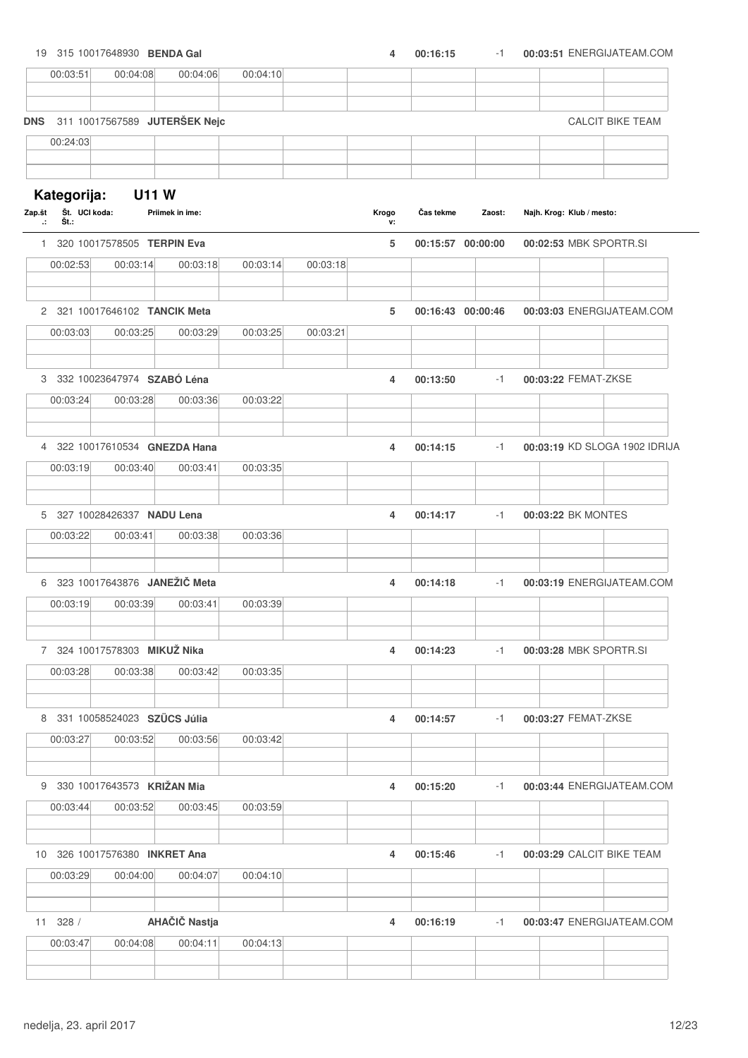| 19 315 10017648930 BENDA Gal         |                                |                               |          |          | 4           | 00:16:15          | $-1$   | 00:03:51 ENERGIJATEAM.COM     |
|--------------------------------------|--------------------------------|-------------------------------|----------|----------|-------------|-------------------|--------|-------------------------------|
| 00:03:51                             | 00:04:08                       | 00:04:06                      | 00:04:10 |          |             |                   |        |                               |
| <b>DNS</b>                           |                                | 311 10017567589 JUTERŠEK Nejc |          |          |             |                   |        | <b>CALCIT BIKE TEAM</b>       |
| 00:24:03                             |                                |                               |          |          |             |                   |        |                               |
|                                      |                                |                               |          |          |             |                   |        |                               |
| Kategorija:                          | <b>U11 W</b>                   |                               |          |          |             |                   |        |                               |
| Št. UCI koda:<br>Zap.št<br>Št.:<br>л |                                | Priimek in ime:               |          |          | Krogo<br>۷: | Čas tekme         | Zaost: | Najh. Krog: Klub / mesto:     |
|                                      | 1 320 10017578505 TERPIN Eva   |                               |          |          | 5           | 00:15:57 00:00:00 |        | 00:02:53 MBK SPORTR.SI        |
| 00:02:53                             | 00:03:14                       | 00:03:18                      | 00:03:14 | 00:03:18 |             |                   |        |                               |
|                                      | 2 321 10017646102 TANCIK Meta  |                               |          |          | 5           | 00:16:43 00:00:46 |        | 00:03:03 ENERGIJATEAM.COM     |
| 00:03:03                             | 00:03:25                       | 00:03:29                      | 00:03:25 | 00:03:21 |             |                   |        |                               |
|                                      |                                |                               |          |          |             |                   |        |                               |
|                                      | 3 332 10023647974 SZABÓ Léna   |                               |          |          | 4           | 00:13:50          | $-1$   | 00:03:22 FEMAT-ZKSE           |
| 00:03:24                             | 00:03:28                       | 00:03:36                      | 00:03:22 |          |             |                   |        |                               |
|                                      | 4 322 10017610534 GNEZDA Hana  |                               |          |          | 4           | 00:14:15          | $-1$   | 00:03:19 KD SLOGA 1902 IDRIJA |
| 00:03:19                             | 00:03:40                       | 00:03:41                      | 00:03:35 |          |             |                   |        |                               |
|                                      | 5 327 10028426337 NADU Lena    |                               |          |          | 4           | 00:14:17          | $-1$   | 00:03:22 BK MONTES            |
| 00:03:22                             | 00:03:41                       | 00:03:38                      | 00:03:36 |          |             |                   |        |                               |
|                                      | 6 323 10017643876 JANEŽIČ Meta |                               |          |          | 4           | 00:14:18          | $-1$   | 00:03:19 ENERGIJATEAM.COM     |
|                                      |                                |                               |          |          |             |                   |        |                               |
| 00:03:19                             | 00:03:39                       | 00:03:41                      | 00:03:39 |          |             |                   |        |                               |
|                                      | 7 324 10017578303 MIKUŽ Nika   |                               |          |          | 4           | 00:14:23          | $-1$   | 00:03:28 MBK SPORTR.SI        |
| 00:03:28                             | 00:03:38                       | 00:03:42                      | 00:03:35 |          |             |                   |        |                               |
|                                      | 8 331 10058524023 SZÜCS Júlia  |                               |          |          | 4           | 00:14:57          | $-1$   | 00:03:27 FEMAT-ZKSE           |
| 00:03:27                             | 00:03:52                       | 00:03:56                      | 00:03:42 |          |             |                   |        |                               |
|                                      | 9 330 10017643573 KRIŽAN Mia   |                               |          |          |             |                   |        |                               |
| 00:03:44                             | 00:03:52                       | 00:03:45                      | 00:03:59 |          | 4           | 00:15:20          | $-1$   | 00:03:44 ENERGIJATEAM.COM     |
|                                      |                                |                               |          |          |             |                   |        |                               |
| 10 326 10017576380 INKRET Ana        |                                |                               |          |          | 4           | 00:15:46          | $-1$   | 00:03:29 CALCIT BIKE TEAM     |
| 00:03:29                             | 00:04:00                       | 00:04:07                      | 00:04:10 |          |             |                   |        |                               |
| 11 328 /                             |                                | AHAČIČ Nastja                 |          |          | 4           | 00:16:19          | $-1$   | 00:03:47 ENERGIJATEAM.COM     |
| 00:03:47                             | 00:04:08                       | 00:04:11                      | 00:04:13 |          |             |                   |        |                               |
|                                      |                                |                               |          |          |             |                   |        |                               |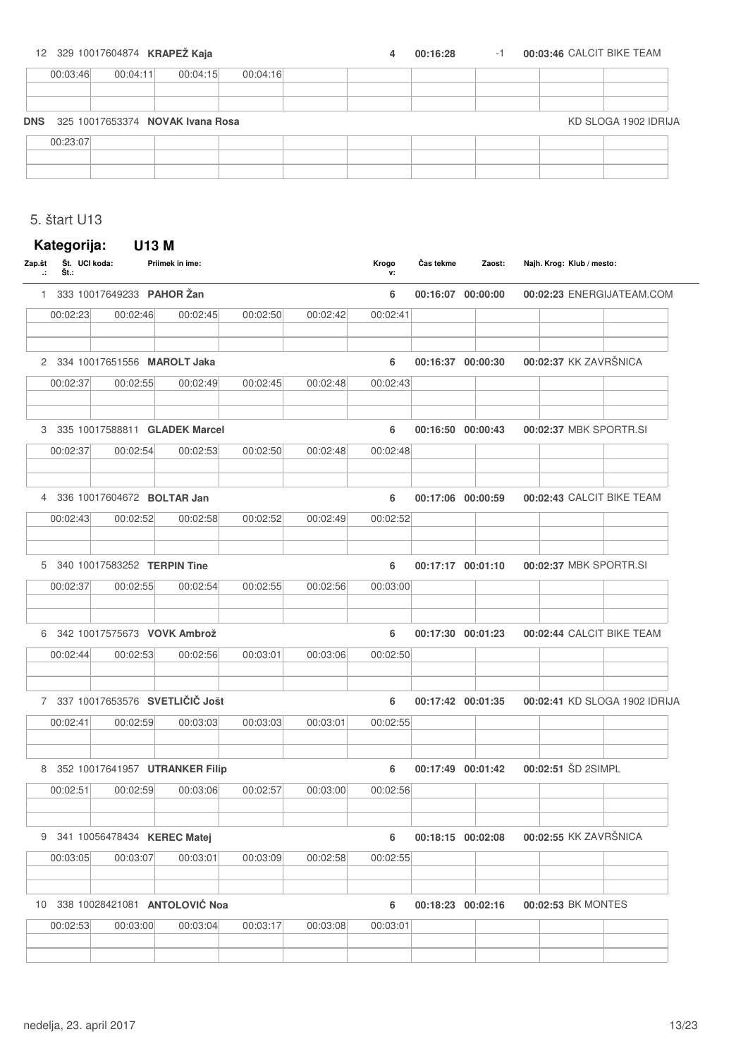#### 12 329 10017604874 **KRAPEŽ Kaja 12 329 10017604874 <b>KRAPEŽ Kaja 1 1 1 4 00:16:28 1 1 00:03:46** CALCIT BIKE TEAM

| 00:03:46                             | 00:04:11 | 00:04:15 | 00:04:16 |  |  |                      |
|--------------------------------------|----------|----------|----------|--|--|----------------------|
|                                      |          |          |          |  |  |                      |
|                                      |          |          |          |  |  |                      |
| DNS 325 10017653374 NOVAK Ivana Rosa |          |          |          |  |  | KD SLOGA 1902 IDRIJA |
|                                      |          |          |          |  |  |                      |
| 00:23:07                             |          |          |          |  |  |                      |
|                                      |          |          |          |  |  |                      |

### 5. štart U13

| Št.:     |          |                              |                                                                                                                                                                                                                                                                                                                                                                          |          | Krogo<br>v: | Čas tekme | Zaost:                           | Najh. Krog: Klub / mesto:                                                                                                                                                                                      |
|----------|----------|------------------------------|--------------------------------------------------------------------------------------------------------------------------------------------------------------------------------------------------------------------------------------------------------------------------------------------------------------------------------------------------------------------------|----------|-------------|-----------|----------------------------------|----------------------------------------------------------------------------------------------------------------------------------------------------------------------------------------------------------------|
|          |          |                              |                                                                                                                                                                                                                                                                                                                                                                          |          | 6           |           |                                  | 00:02:23 ENERGIJATEAM.COM                                                                                                                                                                                      |
| 00:02:23 | 00:02:46 | 00:02:45                     | 00:02:50                                                                                                                                                                                                                                                                                                                                                                 | 00:02:42 | 00:02:41    |           |                                  |                                                                                                                                                                                                                |
|          |          |                              |                                                                                                                                                                                                                                                                                                                                                                          |          | 6           |           |                                  | 00:02:37 KK ZAVRŠNICA                                                                                                                                                                                          |
| 00:02:37 | 00:02:55 | 00:02:49                     | 00:02:45                                                                                                                                                                                                                                                                                                                                                                 | 00:02:48 | 00:02:43    |           |                                  |                                                                                                                                                                                                                |
|          |          |                              |                                                                                                                                                                                                                                                                                                                                                                          |          | 6           |           |                                  | 00:02:37 MBK SPORTR.SI                                                                                                                                                                                         |
| 00:02:37 | 00:02:54 | 00:02:53                     | 00:02:50                                                                                                                                                                                                                                                                                                                                                                 | 00:02:48 | 00:02:48    |           |                                  |                                                                                                                                                                                                                |
|          |          |                              |                                                                                                                                                                                                                                                                                                                                                                          |          | 6           |           |                                  | 00:02:43 CALCIT BIKE TEAM                                                                                                                                                                                      |
| 00:02:43 | 00:02:52 | 00:02:58                     | 00:02:52                                                                                                                                                                                                                                                                                                                                                                 | 00:02:49 |             |           |                                  |                                                                                                                                                                                                                |
|          |          |                              |                                                                                                                                                                                                                                                                                                                                                                          |          | 6           |           |                                  | 00:02:37 MBK SPORTR.SI                                                                                                                                                                                         |
| 00:02:37 | 00:02:55 | 00:02:54                     | 00:02:55                                                                                                                                                                                                                                                                                                                                                                 | 00:02:56 | 00:03:00    |           |                                  |                                                                                                                                                                                                                |
|          |          |                              |                                                                                                                                                                                                                                                                                                                                                                          |          | 6           |           |                                  | 00:02:44 CALCIT BIKE TEAM                                                                                                                                                                                      |
| 00:02:44 | 00:02:53 | 00:02:56                     | 00:03:01                                                                                                                                                                                                                                                                                                                                                                 | 00:03:06 | 00:02:50    |           |                                  |                                                                                                                                                                                                                |
|          |          |                              |                                                                                                                                                                                                                                                                                                                                                                          |          | 6           |           |                                  | 00:02:41 KD SLOGA 1902 IDRIJA                                                                                                                                                                                  |
| 00:02:41 | 00:02:59 | 00:03:03                     | 00:03:03                                                                                                                                                                                                                                                                                                                                                                 | 00:03:01 | 00:02:55    |           |                                  |                                                                                                                                                                                                                |
|          |          |                              |                                                                                                                                                                                                                                                                                                                                                                          |          | 6           |           |                                  | 00:02:51 ŠD 2SIMPL                                                                                                                                                                                             |
| 00:02:51 | 00:02:59 | 00:03:06                     | 00:02:57                                                                                                                                                                                                                                                                                                                                                                 | 00:03:00 |             |           |                                  |                                                                                                                                                                                                                |
|          |          |                              |                                                                                                                                                                                                                                                                                                                                                                          |          | 6           |           |                                  | 00:02:55 KK ZAVRŠNICA                                                                                                                                                                                          |
| 00:03:05 | 00:03:07 | 00:03:01                     | 00:03:09                                                                                                                                                                                                                                                                                                                                                                 | 00:02:58 |             |           |                                  |                                                                                                                                                                                                                |
|          |          |                              |                                                                                                                                                                                                                                                                                                                                                                          |          | 6           |           |                                  | 00:02:53 BK MONTES                                                                                                                                                                                             |
| 00:02:53 | 00:03:00 | 00:03:04                     | 00:03:17                                                                                                                                                                                                                                                                                                                                                                 | 00:03:08 | 00:03:01    |           |                                  |                                                                                                                                                                                                                |
|          |          | Kategorija:<br>Št. UCI koda: | U13 M<br>Priimek in ime:<br>333 10017649233 PAHOR Žan<br>2 334 10017651556 MAROLT Jaka<br>3 335 10017588811 GLADEK Marcel<br>4 336 10017604672 BOLTAR Jan<br>5 340 10017583252 TERPIN Tine<br>6 342 10017575673 VOVK Ambrož<br>7 337 10017653576 SVETLIČIČ Jošt<br>8 352 10017641957 UTRANKER Filip<br>9 341 10056478434 KEREC Matej<br>10 338 10028421081 ANTOLOVIĆ Noa |          |             |           | 00:02:52<br>00:02:56<br>00:02:55 | 00:16:07 00:00:00<br>00:16:37 00:00:30<br>00:16:50 00:00:43<br>00:17:06 00:00:59<br>00:17:17 00:01:10<br>00:17:30 00:01:23<br>00:17:42 00:01:35<br>00:17:49 00:01:42<br>00:18:15 00:02:08<br>00:18:23 00:02:16 |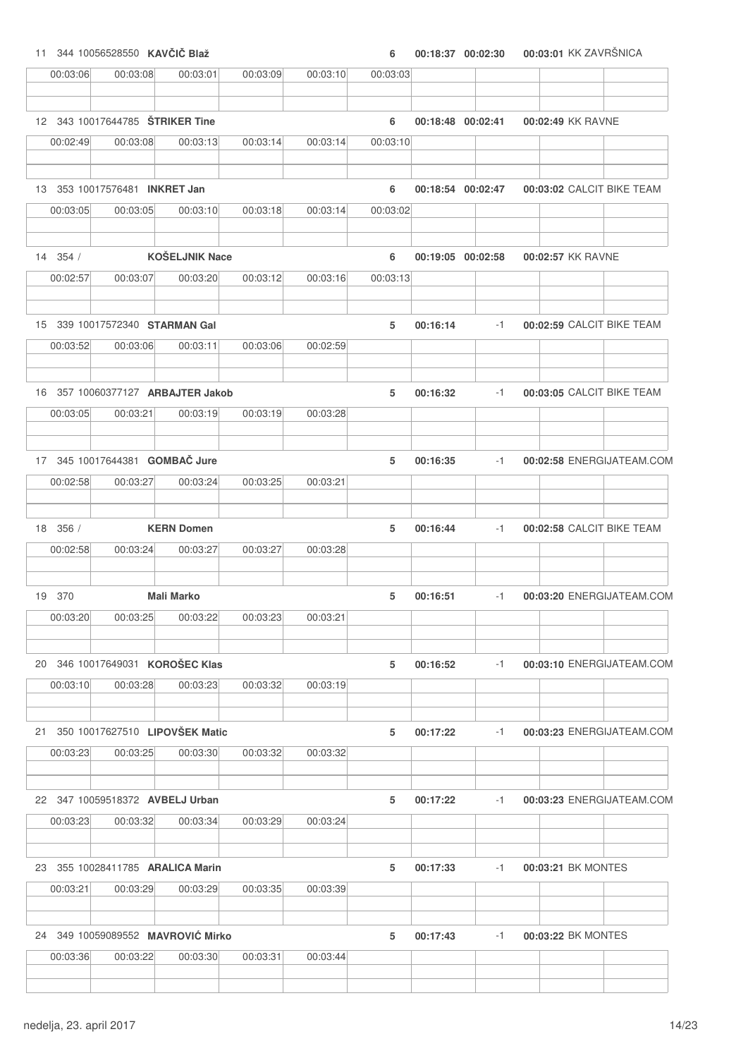|    |          | 11 344 10056528550 KAVČIČ Blaž              |                                   |          |          | 6        |          | 00:18:37 00:02:30 | 00:03:01 KK ZAVRŠNICA     |                           |
|----|----------|---------------------------------------------|-----------------------------------|----------|----------|----------|----------|-------------------|---------------------------|---------------------------|
|    | 00:03:06 | 00:03:08                                    | 00:03:01                          | 00:03:09 | 00:03:10 | 00:03:03 |          |                   |                           |                           |
|    |          |                                             |                                   |          |          |          |          |                   |                           |                           |
|    |          | 12 343 10017644785 <b>STRIKER Tine</b>      |                                   |          |          | 6        |          | 00:18:48 00:02:41 | 00:02:49 KK RAVNE         |                           |
|    | 00:02:49 | 00:03:08                                    | 00:03:13                          | 00:03:14 | 00:03:14 | 00:03:10 |          |                   |                           |                           |
|    |          | 13 353 10017576481 INKRET Jan               |                                   |          |          | 6        |          | 00:18:54 00:02:47 | 00:03:02 CALCIT BIKE TEAM |                           |
|    | 00:03:05 | 00:03:05                                    | 00:03:10                          | 00:03:18 | 00:03:14 | 00:03:02 |          |                   |                           |                           |
|    |          |                                             |                                   |          |          |          |          |                   |                           |                           |
|    | 14 354 / |                                             | <b>KOŠELJNIK Nace</b>             |          |          | 6        |          | 00:19:05 00:02:58 | 00:02:57 KK RAVNE         |                           |
|    | 00:02:57 | 00:03:07                                    | 00:03:20                          | 00:03:12 | 00:03:16 | 00:03:13 |          |                   |                           |                           |
|    |          | 15 339 10017572340 STARMAN Gal              |                                   |          |          | 5        | 00:16:14 | $-1$              | 00:02:59 CALCIT BIKE TEAM |                           |
|    | 00:03:52 | 00:03:06                                    | 00:03:11                          | 00:03:06 | 00:02:59 |          |          |                   |                           |                           |
|    |          |                                             |                                   |          |          |          |          |                   |                           |                           |
|    |          |                                             | 16 357 10060377127 ARBAJTER Jakob |          |          | 5        | 00:16:32 | $-1$              | 00:03:05 CALCIT BIKE TEAM |                           |
|    | 00:03:05 | 00:03:21                                    | 00:03:19                          | 00:03:19 | 00:03:28 |          |          |                   |                           |                           |
|    |          | 17 345 10017644381 GOMBAČ Jure              |                                   |          |          | 5        | 00:16:35 | $-1$              |                           | 00:02:58 ENERGIJATEAM.COM |
|    | 00:02:58 | 00:03:27                                    | 00:03:24                          | 00:03:25 | 00:03:21 |          |          |                   |                           |                           |
|    |          |                                             |                                   |          |          |          |          |                   |                           |                           |
|    | 18 356 / |                                             | <b>KERN Domen</b>                 |          |          | 5        | 00:16:44 | $-1$              | 00:02:58 CALCIT BIKE TEAM |                           |
|    | 00:02:58 | 00:03:24                                    | 00:03:27                          | 00:03:27 | 00:03:28 |          |          |                   |                           |                           |
|    | 19 370   |                                             | <b>Mali Marko</b>                 |          |          | 5        | 00:16:51 | $-1$              |                           | 00:03:20 ENERGIJATEAM.COM |
|    | 00:03:20 | 00:03:25                                    | 00:03:22                          | 00:03:23 | 00:03:21 |          |          |                   |                           |                           |
|    |          |                                             |                                   |          |          |          |          |                   |                           |                           |
|    | 00:03:10 | 20 346 10017649031 KOROŠEC Klas<br>00:03:28 | 00:03:23                          | 00:03:32 | 00:03:19 | 5        | 00:16:52 | $-1$              |                           | 00:03:10 ENERGIJATEAM.COM |
|    |          |                                             |                                   |          |          |          |          |                   |                           |                           |
| 21 |          |                                             | 350 10017627510 LIPOVŠEK Matic    |          |          | 5        | 00:17:22 | $-1$              |                           | 00:03:23 ENERGIJATEAM.COM |
|    | 00:03:23 | 00:03:25                                    | 00:03:30                          | 00:03:32 | 00:03:32 |          |          |                   |                           |                           |
|    |          |                                             |                                   |          |          |          |          |                   |                           |                           |
|    |          | 22 347 10059518372 AVBELJ Urban             |                                   |          |          | 5        | 00:17:22 | $-1$              |                           | 00:03:23 ENERGIJATEAM.COM |
|    | 00:03:23 | 00:03:32                                    | 00:03:34                          | 00:03:29 | 00:03:24 |          |          |                   |                           |                           |
|    |          | 23 355 10028411785 ARALICA Marin            |                                   |          |          | 5        | 00:17:33 | $-1$              | 00:03:21 BK MONTES        |                           |
|    | 00:03:21 | 00:03:29                                    | 00:03:29                          | 00:03:35 | 00:03:39 |          |          |                   |                           |                           |
|    |          |                                             |                                   |          |          |          |          |                   |                           |                           |
|    |          |                                             | 24 349 10059089552 MAVROVIĆ Mirko |          |          | 5        | 00:17:43 | $-1$              | 00:03:22 BK MONTES        |                           |
|    | 00:03:36 | 00:03:22                                    | 00:03:30                          | 00:03:31 | 00:03:44 |          |          |                   |                           |                           |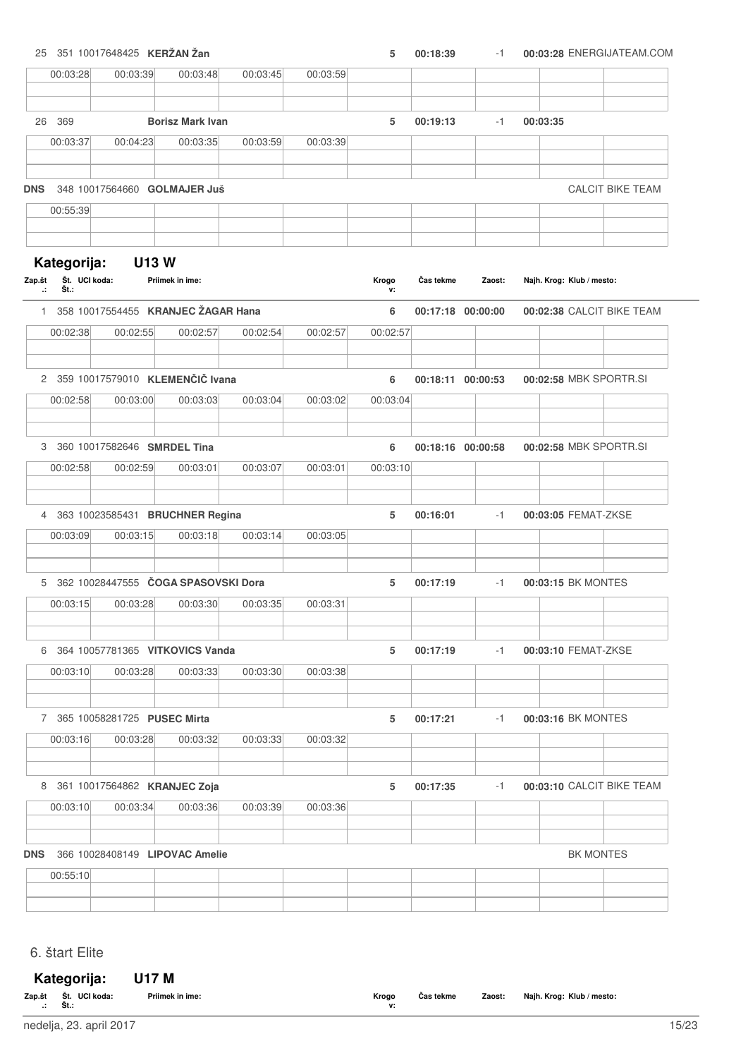25 351 10017648425 **KERŽAN Žan 5 00:18:39 00:03:28** -1 ENERGIJATEAM.COM

|                                | 00:03:28              | 00:03:39                                          | 00:03:48                | 00:03:45 | 00:03:59 |             |                   |        |          |                           |                           |
|--------------------------------|-----------------------|---------------------------------------------------|-------------------------|----------|----------|-------------|-------------------|--------|----------|---------------------------|---------------------------|
|                                |                       |                                                   |                         |          |          |             |                   |        |          |                           |                           |
|                                | 26 369                |                                                   | <b>Borisz Mark Ivan</b> |          |          | 5           | 00:19:13          | $-1$   | 00:03:35 |                           |                           |
|                                | 00:03:37              | 00:04:23                                          | 00:03:35                | 00:03:59 | 00:03:39 |             |                   |        |          |                           |                           |
|                                |                       |                                                   |                         |          |          |             |                   |        |          |                           |                           |
| <b>DNS</b>                     |                       | 348 10017564660 GOLMAJER Juš                      |                         |          |          |             |                   |        |          |                           | <b>CALCIT BIKE TEAM</b>   |
|                                | 00:55:39              |                                                   |                         |          |          |             |                   |        |          |                           |                           |
|                                |                       |                                                   |                         |          |          |             |                   |        |          |                           |                           |
|                                | Kategorija:           | <b>U13W</b>                                       |                         |          |          |             |                   |        |          |                           |                           |
| Zap.št<br>$\ddot{\phantom{a}}$ | Št. UCI koda:<br>Št.: |                                                   | Priimek in ime:         |          |          | Krogo<br>v: | Čas tekme         | Zaost: |          | Najh. Krog: Klub / mesto: |                           |
|                                |                       | 1 358 10017554455 KRANJEC ŽAGAR Hana              |                         |          |          | 6           | 00:17:18 00:00:00 |        |          |                           | 00:02:38 CALCIT BIKE TEAM |
|                                | 00:02:38              | 00:02:55                                          | 00:02:57                | 00:02:54 | 00:02:57 | 00:02:57    |                   |        |          |                           |                           |
|                                |                       |                                                   |                         |          |          |             |                   |        |          |                           |                           |
|                                |                       | 2 359 10017579010 KLEMENČIČ Ivana                 |                         |          |          | 6           | 00:18:11 00:00:53 |        |          | 00:02:58 MBK SPORTR.SI    |                           |
|                                | 00:02:58              | 00:03:00                                          | 00:03:03                | 00:03:04 | 00:03:02 | 00:03:04    |                   |        |          |                           |                           |
|                                |                       | 3 360 10017582646 SMRDEL Tina                     |                         |          |          | 6           | 00:18:16 00:00:58 |        |          | 00:02:58 MBK SPORTR.SI    |                           |
|                                | 00:02:58              | 00:02:59                                          | 00:03:01                | 00:03:07 | 00:03:01 | 00:03:10    |                   |        |          |                           |                           |
|                                |                       |                                                   |                         |          |          |             |                   |        |          |                           |                           |
| 4                              |                       | 363 10023585431 BRUCHNER Regina                   |                         |          |          | 5           | 00:16:01          | $-1$   |          | 00:03:05 FEMAT-ZKSE       |                           |
|                                | 00:03:09              | 00:03:15                                          | 00:03:18                | 00:03:14 | 00:03:05 |             |                   |        |          |                           |                           |
|                                |                       |                                                   |                         |          |          |             |                   |        |          |                           |                           |
|                                |                       | 5 362 10028447555 ČOGA SPASOVSKI Dora<br>00:03:28 | 00:03:30                |          |          | 5           | 00:17:19          | $-1$   |          | 00:03:15 BK MONTES        |                           |
|                                | 00:03:15              |                                                   |                         | 00:03:35 | 00:03:31 |             |                   |        |          |                           |                           |
|                                |                       | 6 364 10057781365 VITKOVICS Vanda                 |                         |          |          | 5           | 00:17:19          | $-1$   |          | 00:03:10 FEMAT-ZKSE       |                           |
|                                | 00:03:10              | 00:03:28                                          | 00:03:33                | 00:03:30 | 00:03:38 |             |                   |        |          |                           |                           |
|                                |                       |                                                   |                         |          |          |             |                   |        |          |                           |                           |
|                                |                       | 7 365 10058281725 PUSEC Mirta                     |                         |          |          | 5           | 00:17:21          | -1     |          | 00:03:16 BK MONTES        |                           |
|                                | 00:03:16              | 00:03:28                                          | 00:03:32                | 00:03:33 | 00:03:32 |             |                   |        |          |                           |                           |
|                                |                       | 8 361 10017564862 KRANJEC Zoja                    |                         |          |          | 5           | 00:17:35          | $-1$   |          |                           | 00:03:10 CALCIT BIKE TEAM |
|                                | 00:03:10              | 00:03:34                                          | 00:03:36                | 00:03:39 | 00:03:36 |             |                   |        |          |                           |                           |
|                                |                       |                                                   |                         |          |          |             |                   |        |          |                           |                           |
| <b>DNS</b>                     |                       | 366 10028408149 LIPOVAC Amelie                    |                         |          |          |             |                   |        |          | <b>BK MONTES</b>          |                           |
|                                | 00:55:10              |                                                   |                         |          |          |             |                   |        |          |                           |                           |
|                                |                       |                                                   |                         |          |          |             |                   |        |          |                           |                           |

6. štart Elite

### **Kategorija: U17 M**

| Zap.št<br> | __<br>UCI koda:<br>St.<br>c.<br>งเ | Priimek in ime: | Krogo<br>$\cdots$ | Cas tekme | Zaost: | Najh. Krog: Klub / mesto: |  |
|------------|------------------------------------|-----------------|-------------------|-----------|--------|---------------------------|--|
|            |                                    |                 |                   |           |        |                           |  |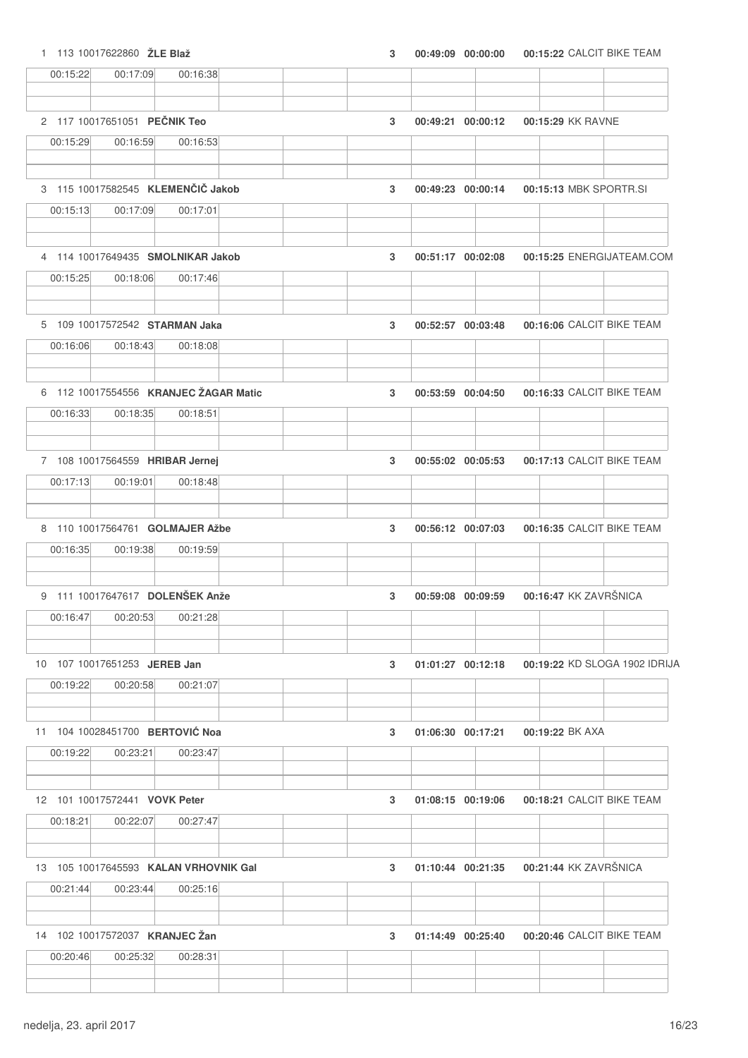1 113 10017622860 **ŽLE Blaž 3 00:49:09 00:15:22 00:00:00** CALCIT BIKE TEAM

| 00:15:22 | 00:17:09                        | 00:16:38                                          |   |                   |                        |                               |
|----------|---------------------------------|---------------------------------------------------|---|-------------------|------------------------|-------------------------------|
|          | 2 117 10017651051 PEČNIK Teo    |                                                   |   |                   |                        |                               |
| 00:15:29 | 00:16:59                        | 00:16:53                                          | 3 | 00:49:21 00:00:12 | 00:15:29 KK RAVNE      |                               |
|          |                                 |                                                   |   |                   |                        |                               |
|          |                                 | 3 115 10017582545 KLEMENČIČ Jakob                 | 3 | 00:49:23 00:00:14 | 00:15:13 MBK SPORTR.SI |                               |
| 00:15:13 | 00:17:09                        | 00:17:01                                          |   |                   |                        |                               |
|          |                                 | 4 114 10017649435 SMOLNIKAR Jakob                 | 3 | 00:51:17 00:02:08 |                        | 00:15:25 ENERGIJATEAM.COM     |
| 00:15:25 | 00:18:06                        | 00:17:46                                          |   |                   |                        |                               |
|          | 5 109 10017572542 STARMAN Jaka  |                                                   | 3 | 00:52:57 00:03:48 |                        | 00:16:06 CALCIT BIKE TEAM     |
| 00:16:06 | 00:18:43                        | 00:18:08                                          |   |                   |                        |                               |
|          |                                 | 6 112 10017554556 KRANJEC ŽAGAR Matic             | 3 | 00:53:59 00:04:50 |                        | 00:16:33 CALCIT BIKE TEAM     |
| 00:16:33 | 00:18:35                        | 00:18:51                                          |   |                   |                        |                               |
|          | 7 108 10017564559 HRIBAR Jernej |                                                   | 3 | 00:55:02 00:05:53 |                        | 00:17:13 CALCIT BIKE TEAM     |
| 00:17:13 | 00:19:01                        | 00:18:48                                          |   |                   |                        |                               |
|          |                                 | 8 110 10017564761 GOLMAJER Ažbe                   | 3 | 00:56:12 00:07:03 |                        | 00:16:35 CALCIT BIKE TEAM     |
| 00:16:35 | 00:19:38                        | 00:19:59                                          |   |                   |                        |                               |
|          |                                 | 9 111 10017647617 DOLENŠEK Anže                   | 3 | 00:59:08 00:09:59 | 00:16:47 KK ZAVRŠNICA  |                               |
| 00:16:47 | 00:20:53                        | 00:21:28                                          |   |                   |                        |                               |
|          | 10 107 10017651253 JEREB Jan    |                                                   | 3 | 01:01:27 00:12:18 |                        | 00:19:22 KD SLOGA 1902 IDRIJA |
| 00:19:22 | 00:20:58                        | 00:21:07                                          |   |                   |                        |                               |
|          | 11 104 10028451700 BERTOVIĆ Noa |                                                   | 3 | 01:06:30 00:17:21 | 00:19:22 BK AXA        |                               |
| 00:19:22 | 00:23:21                        | 00:23:47                                          |   |                   |                        |                               |
|          | 12 101 10017572441 VOVK Peter   |                                                   | 3 | 01:08:15 00:19:06 |                        | 00:18:21 CALCIT BIKE TEAM     |
|          |                                 |                                                   |   |                   |                        |                               |
| 00:18:21 | 00:22:07                        | 00:27:47                                          |   |                   |                        |                               |
|          |                                 |                                                   |   |                   |                        |                               |
| 00:21:44 | 00:23:44                        | 13 105 10017645593 KALAN VRHOVNIK Gal<br>00:25:16 | 3 | 01:10:44 00:21:35 | 00:21:44 KK ZAVRŠNICA  |                               |
|          | 14 102 10017572037 KRANJEC Žan  |                                                   | 3 | 01:14:49 00:25:40 |                        | 00:20:46 CALCIT BIKE TEAM     |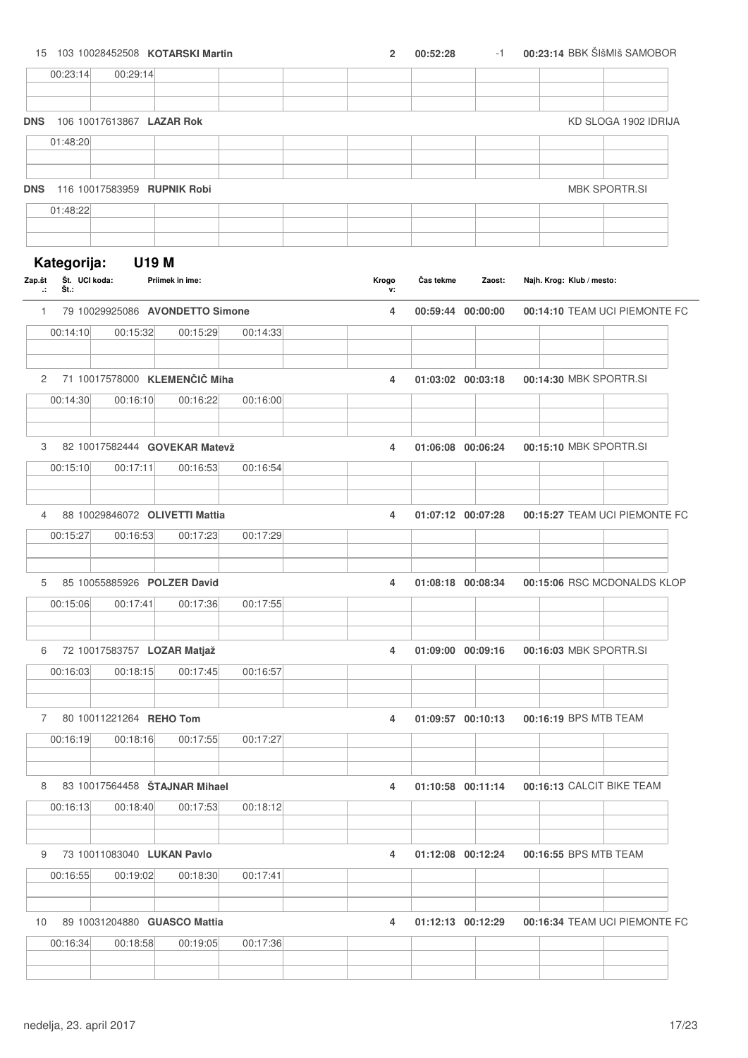|                    |                              |                             | 15 103 10028452508 KOTARSKI Martin        |          | $\overline{2}$ | 00:52:28          | $-1$   |                           | 00:23:14 BBK ŠIšMIš SAMOBOR   |
|--------------------|------------------------------|-----------------------------|-------------------------------------------|----------|----------------|-------------------|--------|---------------------------|-------------------------------|
|                    | 00:23:14                     | 00:29:14                    |                                           |          |                |                   |        |                           |                               |
| <b>DNS</b>         |                              | 106 10017613867 LAZAR Rok   |                                           |          |                |                   |        |                           | KD SLOGA 1902 IDRIJA          |
|                    | 01:48:20                     |                             |                                           |          |                |                   |        |                           |                               |
|                    |                              |                             |                                           |          |                |                   |        |                           |                               |
| <b>DNS</b>         |                              | 116 10017583959 RUPNIK Robi |                                           |          |                |                   |        |                           | <b>MBK SPORTR.SI</b>          |
|                    | 01:48:22                     |                             |                                           |          |                |                   |        |                           |                               |
| Zap.št             | Kategorija:<br>Št. UCI koda: | <b>U19 M</b>                | Priimek in ime:                           |          | Krogo          | Čas tekme         | Zaost: | Najh. Krog: Klub / mesto: |                               |
| ÷.<br>$\mathbf{1}$ | Št.:                         |                             | 79 10029925086 AVONDETTO Simone           |          | v:<br>4        | 00:59:44 00:00:00 |        |                           | 00:14:10 TEAM UCI PIEMONTE FC |
|                    | 00:14:10                     | 00:15:32                    | 00:15:29                                  | 00:14:33 |                |                   |        |                           |                               |
| 2                  |                              |                             | 71 10017578000 KLEMENČIČ Miha             |          | 4              | 01:03:02 00:03:18 |        |                           | 00:14:30 MBK SPORTR.SI        |
|                    | 00:14:30                     | 00:16:10                    | 00:16:22                                  | 00:16:00 |                |                   |        |                           |                               |
| 3                  |                              |                             | 82 10017582444 GOVEKAR Matevž             |          | 4              | 01:06:08 00:06:24 |        |                           | 00:15:10 MBK SPORTR.SI        |
|                    | 00:15:10                     | 00:17:11                    | 00:16:53                                  | 00:16:54 |                |                   |        |                           |                               |
|                    |                              |                             |                                           |          |                |                   |        |                           |                               |
| 4                  |                              |                             | 88 10029846072 OLIVETTI Mattia            |          | 4              | 01:07:12 00:07:28 |        |                           | 00:15:27 TEAM UCI PIEMONTE FC |
|                    | 00:15:27                     | 00:16:53                    | 00:17:23                                  | 00:17:29 |                |                   |        |                           |                               |
| 5                  |                              | 85 10055885926 POLZER David |                                           |          | 4              | 01:08:18 00:08:34 |        |                           | 00:15:06 RSC MCDONALDS KLOP   |
|                    | 00:15:06                     | 00:17:41                    | 00:17:36                                  | 00:17:55 |                |                   |        |                           |                               |
| 6                  |                              | 72 10017583757 LOZAR Matjaž |                                           |          | 4              | 01:09:00 00:09:16 |        |                           | 00:16:03 MBK SPORTR.SI        |
|                    | 00:16:03                     | 00:18:15                    | 00:17:45                                  | 00:16:57 |                |                   |        |                           |                               |
|                    |                              | 7 80 10011221264 REHO Tom   |                                           |          | 4              | 01:09:57 00:10:13 |        | 00:16:19 BPS MTB TEAM     |                               |
|                    | 00:16:19                     | 00:18:16                    | 00:17:55                                  | 00:17:27 |                |                   |        |                           |                               |
|                    |                              |                             |                                           |          |                |                   |        |                           |                               |
| 8                  | 00:16:13                     | 00:18:40                    | 83 10017564458 STAJNAR Mihael<br>00:17:53 | 00:18:12 | 4              | 01:10:58 00:11:14 |        |                           | 00:16:13 CALCIT BIKE TEAM     |
|                    |                              |                             |                                           |          |                |                   |        |                           |                               |
| 9                  |                              | 73 10011083040 LUKAN Pavlo  |                                           |          | 4              | 01:12:08 00:12:24 |        | 00:16:55 BPS MTB TEAM     |                               |
|                    | 00:16:55                     | 00:19:02                    | 00:18:30                                  | 00:17:41 |                |                   |        |                           |                               |
| 10                 |                              |                             | 89 10031204880 GUASCO Mattia              |          | 4              | 01:12:13 00:12:29 |        |                           | 00:16:34 TEAM UCI PIEMONTE FC |
|                    | 00:16:34                     | 00:18:58                    | 00:19:05                                  | 00:17:36 |                |                   |        |                           |                               |
|                    |                              |                             |                                           |          |                |                   |        |                           |                               |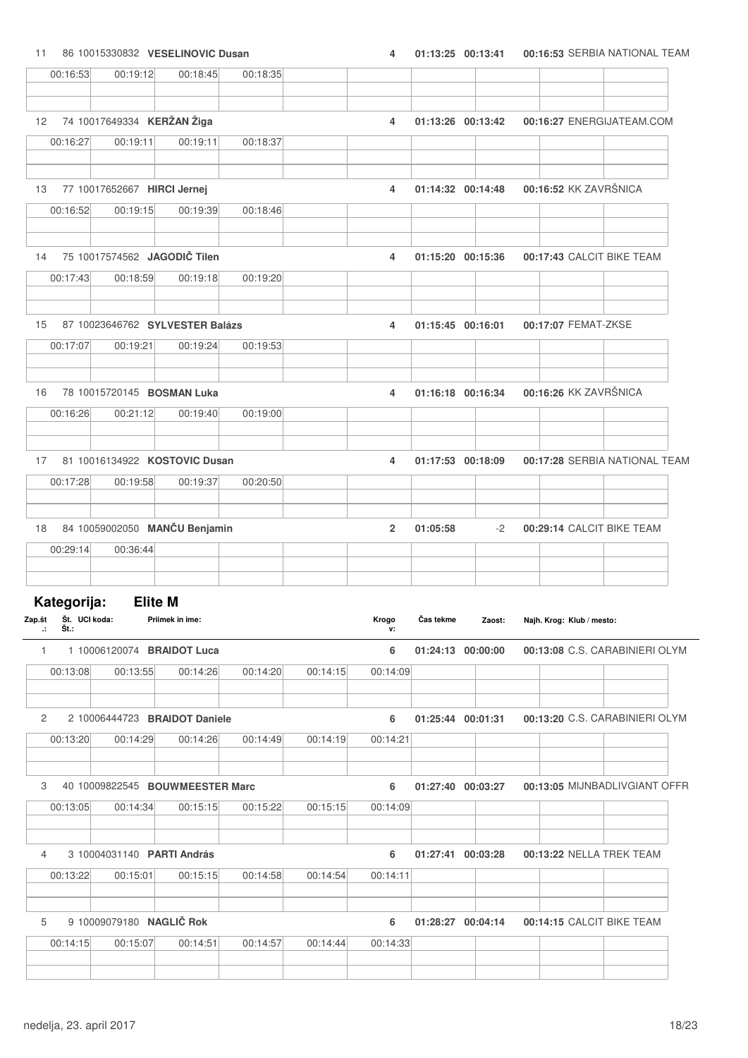# 11 86 10015330832 **VESELINOVIC Dusan 4 01:13:25 00:16:53 00:13:41** SERBIA NATIONAL TEAM

|              | 00:16:53                                                                | 00:19:12       | 00:18:45                          | 00:18:35 |          |                |           |                   |                           |                                |
|--------------|-------------------------------------------------------------------------|----------------|-----------------------------------|----------|----------|----------------|-----------|-------------------|---------------------------|--------------------------------|
| 12           |                                                                         |                | 74 10017649334 KERŽAN Žiga        |          |          | 4              |           | 01:13:26 00:13:42 |                           | 00:16:27 ENERGIJATEAM.COM      |
|              | 00:16:27                                                                | 00:19:11       | 00:19:11                          | 00:18:37 |          |                |           |                   |                           |                                |
| 13           |                                                                         |                | 77 10017652667 HIRCI Jernej       |          |          | 4              |           | 01:14:32 00:14:48 |                           | 00:16:52 KK ZAVRŠNICA          |
|              | 00:16:52                                                                | 00:19:15       | 00:19:39                          | 00:18:46 |          |                |           |                   |                           |                                |
| 14           |                                                                         |                | 75 10017574562 JAGODIČ Tilen      |          |          | 4              |           | 01:15:20 00:15:36 |                           | 00:17:43 CALCIT BIKE TEAM      |
|              | 00:17:43                                                                | 00:18:59       | 00:19:18                          | 00:19:20 |          |                |           |                   |                           |                                |
| 15           |                                                                         |                | 87 10023646762 SYLVESTER Balázs   |          |          | 4              |           | 01:15:45 00:16:01 | 00:17:07 FEMAT-ZKSE       |                                |
|              | 00:17:07                                                                | 00:19:21       | 00:19:24                          | 00:19:53 |          |                |           |                   |                           |                                |
| 16           |                                                                         |                | 78 10015720145 BOSMAN Luka        |          |          | 4              |           | 01:16:18 00:16:34 |                           | 00:16:26 KK ZAVRŠNICA          |
|              | 00:16:26                                                                | 00:21:12       | 00:19:40                          | 00:19:00 |          |                |           |                   |                           |                                |
| 17           |                                                                         |                | 81 10016134922 KOSTOVIC Dusan     |          |          | 4              |           | 01:17:53 00:18:09 |                           | 00:17:28 SERBIA NATIONAL TEAM  |
|              | 00:17:28                                                                | 00:19:58       | 00:19:37                          | 00:20:50 |          |                |           |                   |                           |                                |
| 18           |                                                                         |                | 84 10059002050 MANČU Benjamin     |          |          | $\overline{2}$ | 01:05:58  | -2                |                           | 00:29:14 CALCIT BIKE TEAM      |
|              | 00:29:14                                                                | 00:36:44       |                                   |          |          |                |           |                   |                           |                                |
|              | Kategorija:                                                             | <b>Elite M</b> |                                   |          |          |                |           |                   |                           |                                |
|              | Zap.št Št. UCI koda:<br>$\cdot$ $\cdot$ $\cdot$ $\cdot$ $\cdot$ $\cdot$ |                | Priimek in ime:                   |          |          | Krogo<br>ν:    | Čas tekme | Zaost:            | Najh. Krog: Klub / mesto: |                                |
|              | 1                                                                       |                | 1 10006120074 BRAIDOT Luca        |          |          | 6              |           | 01:24:13 00:00:00 |                           | 00:13:08 C.S. CARABINIERI OLYM |
|              | 00:13:08                                                                | 00:13:55       | 00:14:26                          | 00:14:20 | 00:14:15 | 00:14:09       |           |                   |                           |                                |
| $\mathbf{2}$ |                                                                         |                | 2 10006444723 BRAIDOT Daniele     |          |          | 6              |           | 01:25:44 00:01:31 |                           | 00:13:20 C.S. CARABINIERI OLYM |
|              | 00:13:20                                                                | 00:14:29       | 00:14:26                          | 00:14:49 | 00:14:19 | 00:14:21       |           |                   |                           |                                |
|              |                                                                         |                | 3 40 10009822545 BOUWMEESTER Marc |          |          | 6              |           | 01:27:40 00:03:27 |                           | 00:13:05 MIJNBADLIVGIANT OFFR  |
|              | 00:13:05                                                                | 00:14:34       | 00:15:15                          | 00:15:22 | 00:15:15 | 00:14:09       |           |                   |                           |                                |
| 4            |                                                                         |                | 3 10004031140 PARTI András        |          |          | 6              |           | 01:27:41 00:03:28 |                           | 00:13:22 NELLA TREK TEAM       |
|              | 00:13:22                                                                | 00:15:01       | 00:15:15                          | 00:14:58 | 00:14:54 | 00:14:11       |           |                   |                           |                                |
| 5            |                                                                         |                | 9 10009079180 NAGLIČ Rok          |          |          | 6              |           | 01:28:27 00:04:14 |                           | 00:14:15 CALCIT BIKE TEAM      |
|              | 00:14:15                                                                | 00:15:07       | 00:14:51                          | 00:14:57 | 00:14:44 | 00:14:33       |           |                   |                           |                                |
|              |                                                                         |                |                                   |          |          |                |           |                   |                           |                                |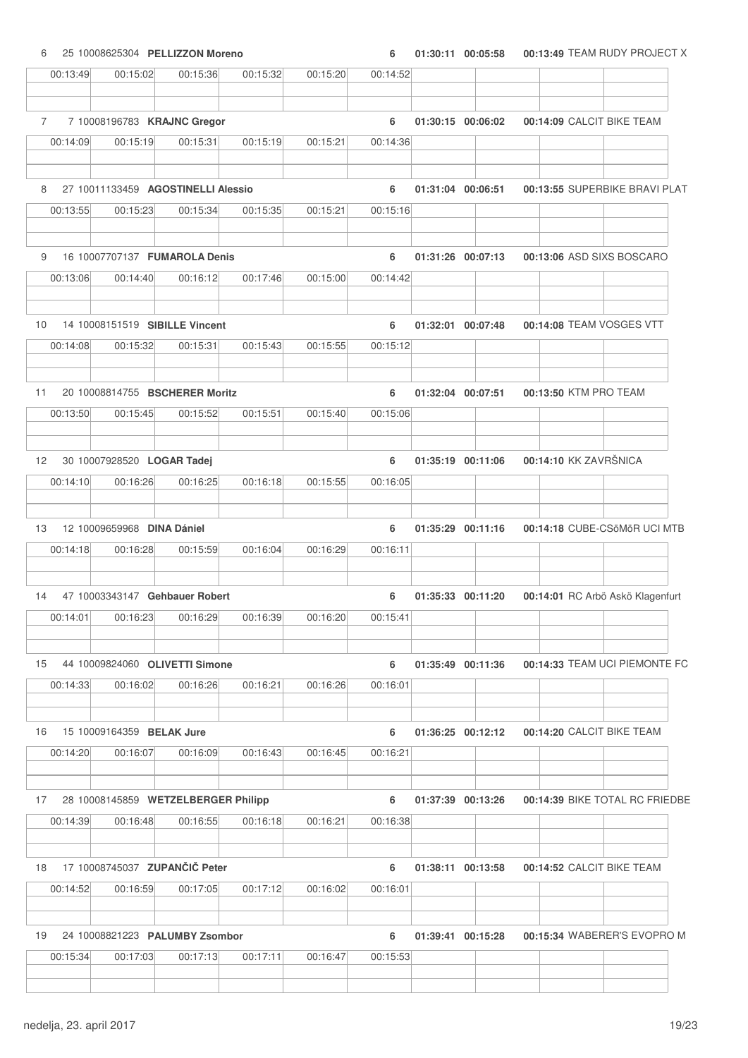| 6               | 25 10008625304 PELLIZZON Moreno     |          |          |          | 6        | 01:30:11 00:05:58 | 00:13:49 TEAM RUDY PROJECT X     |
|-----------------|-------------------------------------|----------|----------|----------|----------|-------------------|----------------------------------|
| 00:13:49        | 00:15:02                            | 00:15:36 | 00:15:32 | 00:15:20 | 00:14:52 |                   |                                  |
| $\overline{7}$  | 7 10008196783 KRAJNC Gregor         |          |          |          | 6        | 01:30:15 00:06:02 | 00:14:09 CALCIT BIKE TEAM        |
| 00:14:09        | 00:15:19                            | 00:15:31 | 00:15:19 | 00:15:21 | 00:14:36 |                   |                                  |
|                 |                                     |          |          |          |          |                   |                                  |
| 8               | 27 10011133459 AGOSTINELLI Alessio  |          |          |          | 6        | 01:31:04 00:06:51 | 00:13:55 SUPERBIKE BRAVI PLAT    |
| 00:13:55        | 00:15:23                            | 00:15:34 | 00:15:35 | 00:15:21 | 00:15:16 |                   |                                  |
| 9               | 16 10007707137 FUMAROLA Denis       |          |          |          | 6        | 01:31:26 00:07:13 | 00:13:06 ASD SIXS BOSCARO        |
| 00:13:06        | 00:14:40                            | 00:16:12 | 00:17:46 | 00:15:00 | 00:14:42 |                   |                                  |
| 10 <sup>°</sup> | 14 10008151519 SIBILLE Vincent      |          |          |          | 6        | 01:32:01 00:07:48 | 00:14:08 TEAM VOSGES VTT         |
| 00:14:08        | 00:15:32                            | 00:15:31 | 00:15:43 | 00:15:55 | 00:15:12 |                   |                                  |
|                 |                                     |          |          |          |          |                   |                                  |
| 11              | 20 10008814755 BSCHERER Moritz      |          |          |          | 6        | 01:32:04 00:07:51 | 00:13:50 KTM PRO TEAM            |
| 00:13:50        | 00:15:45                            | 00:15:52 | 00:15:51 | 00:15:40 | 00:15:06 |                   |                                  |
| 12 <sup>2</sup> | 30 10007928520 LOGAR Tadej          |          |          |          | 6        | 01:35:19 00:11:06 | 00:14:10 KK ZAVRŠNICA            |
| 00:14:10        | 00:16:26                            | 00:16:25 | 00:16:18 | 00:15:55 | 00:16:05 |                   |                                  |
| 13              | 12 10009659968 DINA Dániel          |          |          |          | 6        | 01:35:29 00:11:16 | 00:14:18 CUBE-CSöMöR UCI MTB     |
| 00:14:18        | 00:16:28                            | 00:15:59 | 00:16:04 | 00:16:29 | 00:16:11 |                   |                                  |
| 14              | 47 10003343147 Gehbauer Robert      |          |          |          | 6        | 01:35:33 00:11:20 | 00:14:01 RC Arbö Askö Klagenfurt |
| 00:14:01        | 00:16:23                            | 00:16:29 | 00:16:39 | 00:16:20 | 00:15:41 |                   |                                  |
| 15              | 44 10009824060 OLIVETTI Simone      |          |          |          | 6        | 01:35:49 00:11:36 | 00:14:33 TEAM UCI PIEMONTE FC    |
| 00:14:33        | 00:16:02                            | 00:16:26 | 00:16:21 | 00:16:26 | 00:16:01 |                   |                                  |
|                 |                                     |          |          |          |          |                   |                                  |
| 16              | 15 10009164359 BELAK Jure           |          |          |          | 6        | 01:36:25 00:12:12 | 00:14:20 CALCIT BIKE TEAM        |
| 00:14:20        | 00:16:07                            | 00:16:09 | 00:16:43 | 00:16:45 | 00:16:21 |                   |                                  |
| 17              | 28 10008145859 WETZELBERGER Philipp |          |          |          | 6        | 01:37:39 00:13:26 | 00:14:39 BIKE TOTAL RC FRIEDBE   |
| 00:14:39        | 00:16:48                            | 00:16:55 | 00:16:18 | 00:16:21 | 00:16:38 |                   |                                  |
| 18              | 17 10008745037 ZUPANČIČ Peter       |          |          |          | 6        | 01:38:11 00:13:58 | 00:14:52 CALCIT BIKE TEAM        |
| 00:14:52        | 00:16:59                            | 00:17:05 | 00:17:12 | 00:16:02 | 00:16:01 |                   |                                  |
|                 |                                     |          |          |          |          |                   |                                  |
| 19              | 24 10008821223 PALUMBY Zsombor      |          |          |          | 6        | 01:39:41 00:15:28 | 00:15:34 WABERER'S EVOPRO M      |
| 00:15:34        | 00:17:03                            | 00:17:13 | 00:17:11 | 00:16:47 | 00:15:53 |                   |                                  |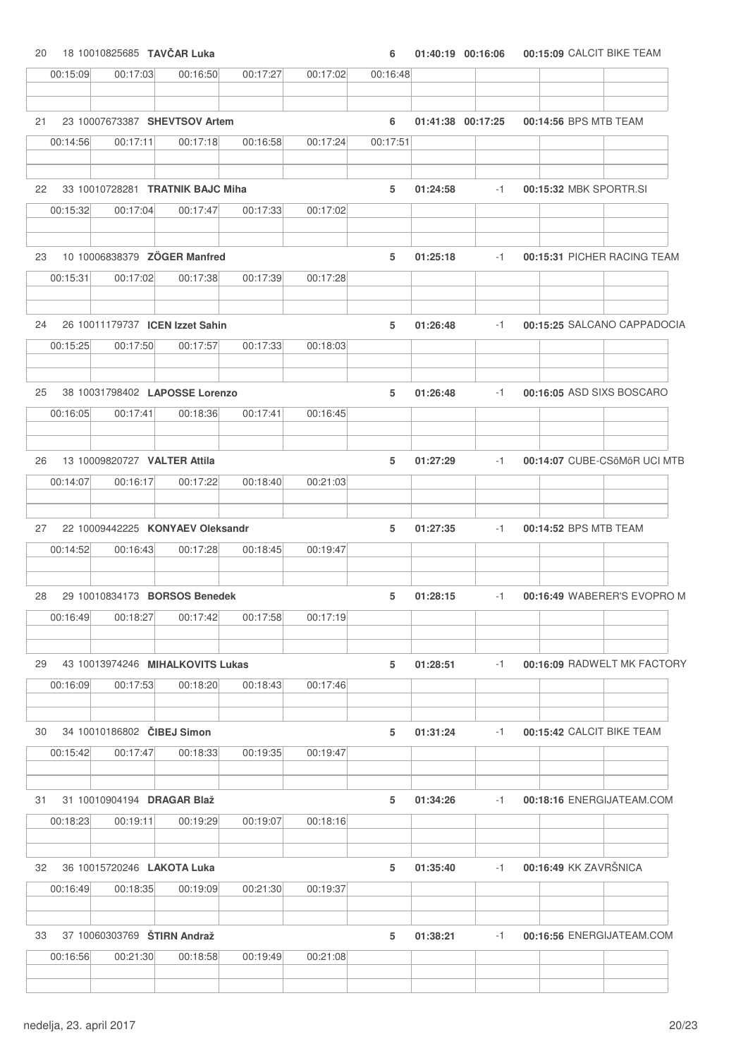20 18 10010825685 **TAV**Č**AR Luka 6 01:40:19 00:15:09 00:16:06** CALCIT BIKE TEAM

| 00:15:09       | 00:17:03                               | 00:16:50                         | 00:17:27 | 00:17:02 | 00:16:48 |          |                   |                             |                              |
|----------------|----------------------------------------|----------------------------------|----------|----------|----------|----------|-------------------|-----------------------------|------------------------------|
|                |                                        |                                  |          |          |          |          |                   |                             |                              |
| 21             |                                        | 23 10007673387 SHEVTSOV Artem    |          |          | 6        |          | 01:41:38 00:17:25 | 00:14:56 BPS MTB TEAM       |                              |
| 00:14:56       | 00:17:11                               | 00:17:18                         | 00:16:58 | 00:17:24 | 00:17:51 |          |                   |                             |                              |
| 22             |                                        | 33 10010728281 TRATNIK BAJC Miha |          |          | 5        | 01:24:58 | $-1$              | 00:15:32 MBK SPORTR.SI      |                              |
| 00:15:32       | 00:17:04                               | 00:17:47                         | 00:17:33 | 00:17:02 |          |          |                   |                             |                              |
|                |                                        |                                  |          |          |          |          |                   |                             |                              |
| 23             |                                        | 10 10006838379 ZOGER Manfred     |          |          | 5        | 01:25:18 | $-1$              | 00:15:31 PICHER RACING TEAM |                              |
| 00:15:31       | 00:17:02                               | 00:17:38                         | 00:17:39 | 00:17:28 |          |          |                   |                             |                              |
| 24             |                                        | 26 10011179737 ICEN Izzet Sahin  |          |          | 5        | 01:26:48 | $-1$              |                             | 00:15:25 SALCANO CAPPADOCIA  |
| 00:15:25       | 00:17:50                               | 00:17:57                         | 00:17:33 | 00:18:03 |          |          |                   |                             |                              |
| 25             |                                        | 38 10031798402 LAPOSSE Lorenzo   |          |          | 5        | 01:26:48 | $-1$              | 00:16:05 ASD SIXS BOSCARO   |                              |
| 00:16:05       | 00:17:41                               | 00:18:36                         | 00:17:41 | 00:16:45 |          |          |                   |                             |                              |
| 26             | 13 10009820727 VALTER Attila           |                                  |          |          | 5        | 01:27:29 | $-1$              |                             | 00:14:07 CUBE-CSöMöR UCI MTB |
| 00:14:07       | 00:16:17                               | 00:17:22                         | 00:18:40 | 00:21:03 |          |          |                   |                             |                              |
|                |                                        |                                  |          |          |          |          |                   |                             |                              |
| 27             |                                        | 22 10009442225 KONYAEV Oleksandr |          |          | 5        | 01:27:35 | $-1$              | 00:14:52 BPS MTB TEAM       |                              |
| 00:14:52       | 00:16:43                               | 00:17:28                         | 00:18:45 | 00:19:47 |          |          |                   |                             |                              |
| 28             |                                        | 29 10010834173 BORSOS Benedek    |          |          | 5        | 01:28:15 | $-1$              |                             | 00:16:49 WABERER'S EVOPRO M  |
| 00:16:49       | 00:18:27                               | 00:17:42                         | 00:17:58 | 00:17:19 |          |          |                   |                             |                              |
|                |                                        |                                  |          |          |          |          |                   |                             |                              |
| 29             |                                        | 43 10013974246 MIHALKOVITS Lukas |          |          | 5        | 01:28:51 | $-1$              |                             | 00:16:09 RADWELT MK FACTORY  |
| 00:16:09       | 00:17:53                               | 00:18:20                         | 00:18:43 | 00:17:46 |          |          |                   |                             |                              |
|                |                                        |                                  |          |          |          |          |                   |                             |                              |
| 30<br>00:15:42 | 34 10010186802 CIBEJ Simon<br>00:17:47 | 00:18:33                         | 00:19:35 | 00:19:47 | 5        | 01:31:24 | $-1$              | 00:15:42 CALCIT BIKE TEAM   |                              |
|                |                                        |                                  |          |          |          |          |                   |                             |                              |
| 31             | 31 10010904194 DRAGAR Blaž             |                                  |          |          | 5        | 01:34:26 | $-1$              | 00:18:16 ENERGIJATEAM.COM   |                              |
| 00:18:23       | 00:19:11                               | 00:19:29                         | 00:19:07 | 00:18:16 |          |          |                   |                             |                              |
|                |                                        |                                  |          |          |          |          |                   |                             |                              |
| 32             | 36 10015720246 LAKOTA Luka             |                                  |          |          | 5        | 01:35:40 | -1                | 00:16:49 KK ZAVRŠNICA       |                              |
| 00:16:49       | 00:18:35                               | 00:19:09                         | 00:21:30 | 00:19:37 |          |          |                   |                             |                              |
| 33             | 37 10060303769 ŠTIRN Andraž            |                                  |          |          | 5        | 01:38:21 | $-1$              | 00:16:56 ENERGIJATEAM.COM   |                              |
| 00:16:56       | 00:21:30                               | 00:18:58                         | 00:19:49 | 00:21:08 |          |          |                   |                             |                              |
|                |                                        |                                  |          |          |          |          |                   |                             |                              |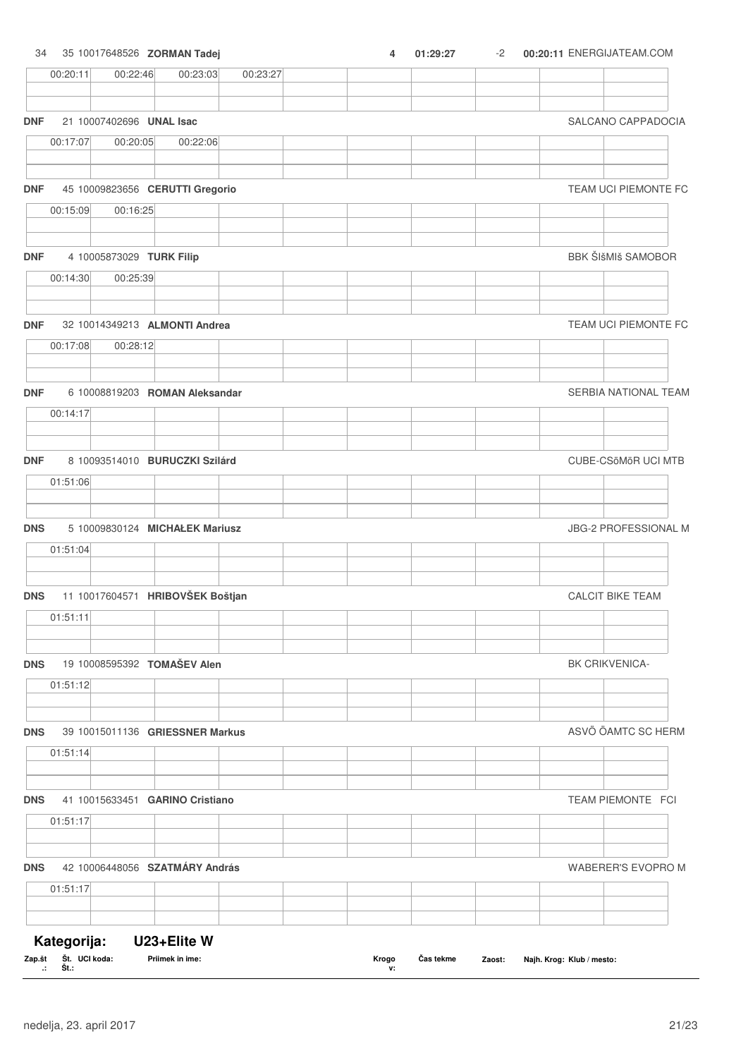# 34 35 10017648526 **ZORMAN Tadej 4 01:29:27 00:20:11** -2 ENERGIJATEAM.COM 00:20:11 00:22:46 00:23:03 00:23:27 **DNF** 21 10007402696 **UNAL Isac** SALCANO CAPPADOCIA 00:17:07 00:20:05 00:22:06 **DNF** 45 10009823656 **CERUTTI Gregorio** TEAM UCI PIEMONTE FC 00:15:09 00:16:25 **DNF** 4 10005873029 **TURK Filip** 1 **CONFIDENTIAL BEAR ASSESSED BRANCH BEAR ASSESSED BRANCH BBK ŠIŠMIŠ SAMOBOR** 00:14:30 00:25:39 **DNF** 32 10014349213 **ALMONTI Andrea** TEAM UCI PIEMONTE FC 00:17:08 00:28:12 **DNF** 6 10008819203 **ROMAN Aleksandar** SERBIA NATIONAL TEAM 00:14:17 **DNF** 8 10093514010 **BURUCZKI Szilárd** CUBE-CSöMöR UCI MTB 01:51:06 **DNS** 5 10009830124 **MICHAŁEK Mariusz** JBG-2 PROFESSIONAL M 01:51:04 **DNS** 11 10017604571 **HRIBOVŠEK Boštjan** CALCIT BIKE TEAM 01:51:11 **DNS** 19 10008595392 **TOMAŠEV Alen** BK CRIKVENICA-01:51:12 **DNS** 39 10015011136 **GRIESSNER Markus** ASVÖ ÖAMTC SC HERM 01:51:14 **DNS** 41 10015633451 **GARINO Cristiano** TEAM PIEMONTE FCI 01:51:17 **DNS** 42 10006448056 **SZATMÁRY András** WABERER'S EVOPRO M 01:51:17 **Kategorija: U23+Elite W**

#### Zap.št Št. UCI koda: **Št.: Zap.št UCI koda: Priimek in ime: Klub / mesto:** Č**as tekme Zaost: Najh. Krog: .: Krogo v:**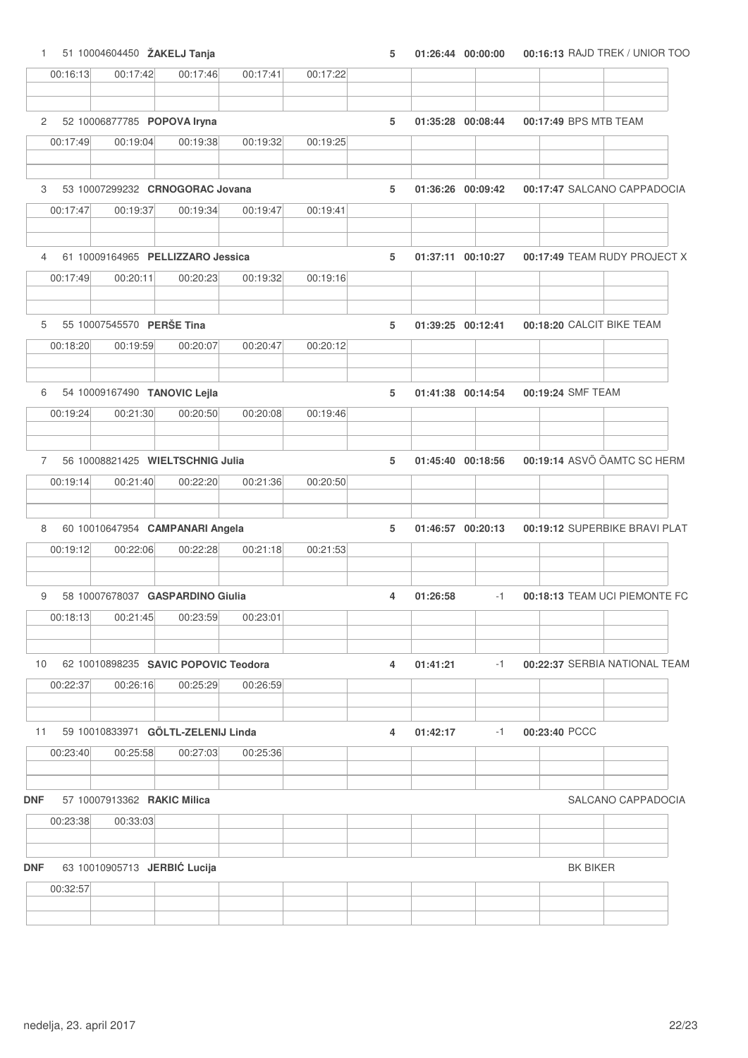1 51 10004604450 **ŽAKELJ Tanja 5 01:26:44 00:16:13 00:00:00** RAJD TREK / UNIOR TOO

|                | 00:16:13 | 00:17:42                             | 00:17:46 | 00:17:41 | 00:17:22 |   |                   |                   |                   |                 |                               |
|----------------|----------|--------------------------------------|----------|----------|----------|---|-------------------|-------------------|-------------------|-----------------|-------------------------------|
|                |          |                                      |          |          |          |   |                   |                   |                   |                 |                               |
| $\overline{2}$ |          | 52 10006877785 POPOVA Iryna          |          |          |          | 5 |                   | 01:35:28 00:08:44 |                   |                 | 00:17:49 BPS MTB TEAM         |
|                | 00:17:49 | 00:19:04                             | 00:19:38 | 00:19:32 | 00:19:25 |   |                   |                   |                   |                 |                               |
| 3              |          | 53 10007299232 CRNOGORAC Jovana      |          |          |          | 5 |                   | 01:36:26 00:09:42 |                   |                 | 00:17:47 SALCANO CAPPADOCIA   |
|                | 00:17:47 | 00:19:37                             | 00:19:34 | 00:19:47 | 00:19:41 |   |                   |                   |                   |                 |                               |
| 4              |          | 61 10009164965 PELLIZZARO Jessica    |          |          |          | 5 |                   | 01:37:11 00:10:27 |                   |                 | 00:17:49 TEAM RUDY PROJECT X  |
|                | 00:17:49 | 00:20:11                             | 00:20:23 | 00:19:32 | 00:19:16 |   |                   |                   |                   |                 |                               |
| 5              |          | 55 10007545570 PERŠE Tina            |          |          |          | 5 | 01:39:25 00:12:41 |                   |                   |                 | 00:18:20 CALCIT BIKE TEAM     |
|                | 00:18:20 | 00:19:59                             | 00:20:07 | 00:20:47 | 00:20:12 |   |                   |                   |                   |                 |                               |
| 6              |          | 54 10009167490 TANOVIC Lejla         |          |          |          | 5 |                   | 01:41:38 00:14:54 | 00:19:24 SMF TEAM |                 |                               |
|                | 00:19:24 | 00:21:30                             | 00:20:50 | 00:20:08 | 00:19:46 |   |                   |                   |                   |                 |                               |
| $7^{\circ}$    |          | 56 10008821425 WIELTSCHNIG Julia     |          |          |          | 5 |                   | 01:45:40 00:18:56 |                   |                 | 00:19:14 ASVÖ ÖAMTC SC HERM   |
|                | 00:19:14 | 00:21:40                             | 00:22:20 | 00:21:36 | 00:20:50 |   |                   |                   |                   |                 |                               |
| 8              |          | 60 10010647954 CAMPANARI Angela      |          |          |          | 5 |                   | 01:46:57 00:20:13 |                   |                 | 00:19:12 SUPERBIKE BRAVI PLAT |
|                | 00:19:12 | 00:22:06                             | 00:22:28 | 00:21:18 | 00:21:53 |   |                   |                   |                   |                 |                               |
| 9              |          | 58 10007678037 GASPARDINO Giulia     |          |          |          | 4 | 01:26:58          | $-1$              |                   |                 | 00:18:13 TEAM UCI PIEMONTE FC |
|                | 00:18:13 | 00:21:45                             | 00:23:59 | 00:23:01 |          |   |                   |                   |                   |                 |                               |
| 10             |          | 62 10010898235 SAVIC POPOVIC Teodora |          |          |          | 4 | 01:41:21          | $-1$              |                   |                 | 00:22:37 SERBIA NATIONAL TEAM |
|                | 00:22:37 | 00:26:16                             | 00:25:29 | 00:26:59 |          |   |                   |                   |                   |                 |                               |
| 11             |          | 59 10010833971 GÖLTL-ZELENIJ Linda   |          |          |          | 4 | 01:42:17          | $-1$              | 00:23:40 PCCC     |                 |                               |
|                | 00:23:40 | 00:25:58                             | 00:27:03 | 00:25:36 |          |   |                   |                   |                   |                 |                               |
| DNF            |          | 57 10007913362 RAKIC Milica          |          |          |          |   |                   |                   |                   |                 | SALCANO CAPPADOCIA            |
|                | 00:23:38 | 00:33:03                             |          |          |          |   |                   |                   |                   |                 |                               |
|                |          |                                      |          |          |          |   |                   |                   |                   |                 |                               |
| <b>DNF</b>     | 00:32:57 | 63 10010905713 JERBIĆ Lucija         |          |          |          |   |                   |                   |                   | <b>BK BIKER</b> |                               |
|                |          |                                      |          |          |          |   |                   |                   |                   |                 |                               |
|                |          |                                      |          |          |          |   |                   |                   |                   |                 |                               |